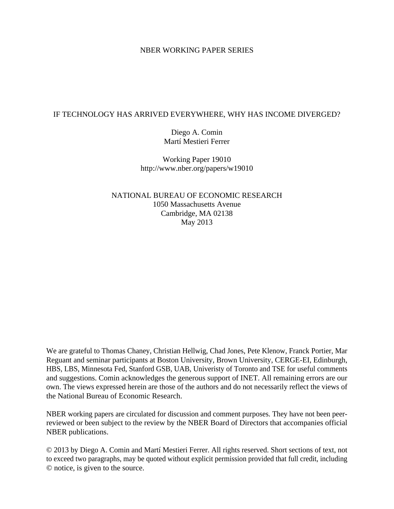## NBER WORKING PAPER SERIES

## IF TECHNOLOGY HAS ARRIVED EVERYWHERE, WHY HAS INCOME DIVERGED?

Diego A. Comin Martí Mestieri Ferrer

Working Paper 19010 http://www.nber.org/papers/w19010

NATIONAL BUREAU OF ECONOMIC RESEARCH 1050 Massachusetts Avenue Cambridge, MA 02138 May 2013

We are grateful to Thomas Chaney, Christian Hellwig, Chad Jones, Pete Klenow, Franck Portier, Mar Reguant and seminar participants at Boston University, Brown University, CERGE-EI, Edinburgh, HBS, LBS, Minnesota Fed, Stanford GSB, UAB, Univeristy of Toronto and TSE for useful comments and suggestions. Comin acknowledges the generous support of INET. All remaining errors are our own. The views expressed herein are those of the authors and do not necessarily reflect the views of the National Bureau of Economic Research.

NBER working papers are circulated for discussion and comment purposes. They have not been peerreviewed or been subject to the review by the NBER Board of Directors that accompanies official NBER publications.

© 2013 by Diego A. Comin and Martí Mestieri Ferrer. All rights reserved. Short sections of text, not to exceed two paragraphs, may be quoted without explicit permission provided that full credit, including © notice, is given to the source.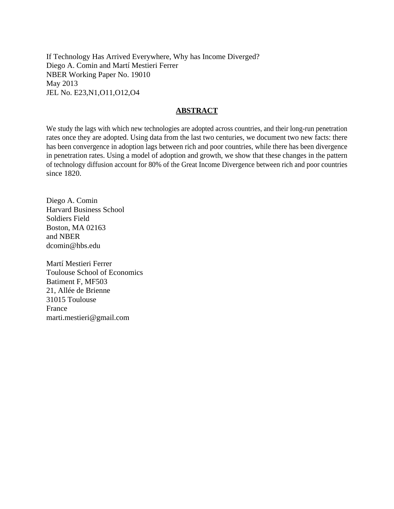If Technology Has Arrived Everywhere, Why has Income Diverged? Diego A. Comin and Martí Mestieri Ferrer NBER Working Paper No. 19010 May 2013 JEL No. E23,N1,O11,O12,O4

## **ABSTRACT**

We study the lags with which new technologies are adopted across countries, and their long-run penetration rates once they are adopted. Using data from the last two centuries, we document two new facts: there has been convergence in adoption lags between rich and poor countries, while there has been divergence in penetration rates. Using a model of adoption and growth, we show that these changes in the pattern of technology diffusion account for 80% of the Great Income Divergence between rich and poor countries since 1820.

Diego A. Comin Harvard Business School Soldiers Field Boston, MA 02163 and NBER dcomin@hbs.edu

Martí Mestieri Ferrer Toulouse School of Economics Batiment F, MF503 21, Allée de Brienne 31015 Toulouse France marti.mestieri@gmail.com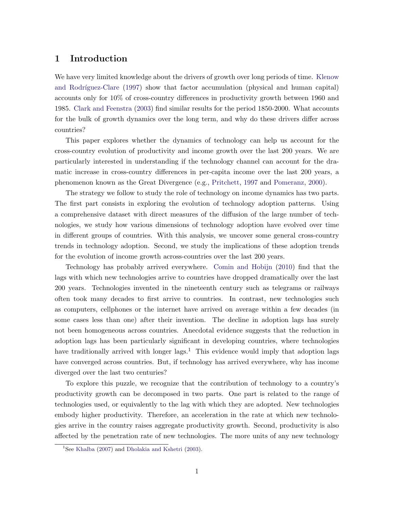## 1 Introduction

We have very limited knowledge about the drivers of growth over long periods of time. [Klenow](#page-36-0) and Rodríguez-Clare [\(1997\)](#page-36-0) show that factor accumulation (physical and human capital) accounts only for 10% of cross-country differences in productivity growth between 1960 and 1985. [Clark and Feenstra](#page-35-0) [\(2003\)](#page-35-0) find similar results for the period 1850-2000. What accounts for the bulk of growth dynamics over the long term, and why do these drivers differ across countries?

This paper explores whether the dynamics of technology can help us account for the cross-country evolution of productivity and income growth over the last 200 years. We are particularly interested in understanding if the technology channel can account for the dramatic increase in cross-country differences in per-capita income over the last 200 years, a phenomenon known as the Great Divergence (e.g., [Pritchett,](#page-36-0) [1997](#page-36-0) and [Pomeranz,](#page-36-0) [2000\)](#page-36-0).

The strategy we follow to study the role of technology on income dynamics has two parts. The first part consists in exploring the evolution of technology adoption patterns. Using a comprehensive dataset with direct measures of the diffusion of the large number of technologies, we study how various dimensions of technology adoption have evolved over time in different groups of countries. With this analysis, we uncover some general cross-country trends in technology adoption. Second, we study the implications of these adoption trends for the evolution of income growth across-countries over the last 200 years.

Technology has probably arrived everywhere. [Comin and Hobijn](#page-35-0) [\(2010\)](#page-35-0) find that the lags with which new technologies arrive to countries have dropped dramatically over the last 200 years. Technologies invented in the nineteenth century such as telegrams or railways often took many decades to first arrive to countries. In contrast, new technologies such as computers, cellphones or the internet have arrived on average within a few decades (in some cases less than one) after their invention. The decline in adoption lags has surely not been homogeneous across countries. Anecdotal evidence suggests that the reduction in adoption lags has been particularly significant in developing countries, where technologies have traditionally arrived with longer  $\text{lags.}^1$ . This evidence would imply that adoption lags have converged across countries. But, if technology has arrived everywhere, why has income diverged over the last two centuries?

To explore this puzzle, we recognize that the contribution of technology to a country's productivity growth can be decomposed in two parts. One part is related to the range of technologies used, or equivalently to the lag with which they are adopted. New technologies embody higher productivity. Therefore, an acceleration in the rate at which new technologies arrive in the country raises aggregate productivity growth. Second, productivity is also affected by the penetration rate of new technologies. The more units of any new technology

<sup>&</sup>lt;sup>1</sup>See [Khalba](#page-36-0) [\(2007\)](#page-36-0) and [Dholakia and Kshetri](#page-35-0) [\(2003\)](#page-35-0).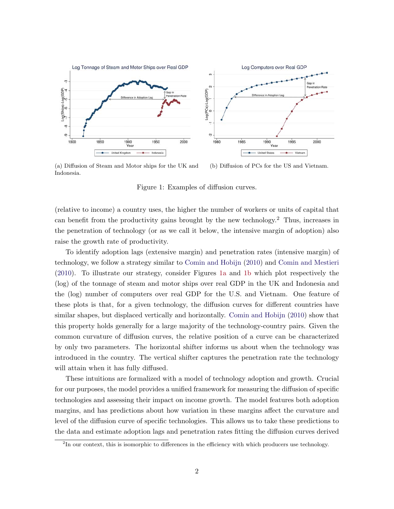<span id="page-3-0"></span>

(a) Diffusion of Steam and Motor ships for the UK and Indonesia. (b) Diffusion of PCs for the US and Vietnam.

Figure 1: Examples of diffusion curves.

(relative to income) a country uses, the higher the number of workers or units of capital that can benefit from the productivity gains brought by the new technology.<sup>2</sup> Thus, increases in the penetration of technology (or as we call it below, the intensive margin of adoption) also raise the growth rate of productivity.

To identify adoption lags (extensive margin) and penetration rates (intensive margin) of technology, we follow a strategy similar to [Comin and Hobijn](#page-35-0) [\(2010\)](#page-35-0) and [Comin and Mestieri](#page-35-0) [\(2010\)](#page-35-0). To illustrate our strategy, consider Figures 1a and 1b which plot respectively the (log) of the tonnage of steam and motor ships over real GDP in the UK and Indonesia and the (log) number of computers over real GDP for the U.S. and Vietnam. One feature of these plots is that, for a given technology, the diffusion curves for different countries have similar shapes, but displaced vertically and horizontally. [Comin and Hobijn](#page-35-0) [\(2010\)](#page-35-0) show that this property holds generally for a large majority of the technology-country pairs. Given the common curvature of diffusion curves, the relative position of a curve can be characterized by only two parameters. The horizontal shifter informs us about when the technology was introduced in the country. The vertical shifter captures the penetration rate the technology will attain when it has fully diffused.

These intuitions are formalized with a model of technology adoption and growth. Crucial for our purposes, the model provides a unified framework for measuring the diffusion of specific technologies and assessing their impact on income growth. The model features both adoption margins, and has predictions about how variation in these margins affect the curvature and level of the diffusion curve of specific technologies. This allows us to take these predictions to the data and estimate adoption lags and penetration rates fitting the diffusion curves derived

<sup>&</sup>lt;sup>2</sup>In our context, this is isomorphic to differences in the efficiency with which producers use technology.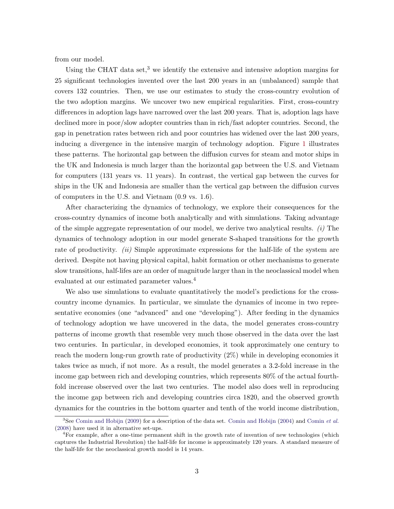from our model.

Using the CHAT data set,<sup>3</sup> we identify the extensive and intensive adoption margins for 25 significant technologies invented over the last 200 years in an (unbalanced) sample that covers 132 countries. Then, we use our estimates to study the cross-country evolution of the two adoption margins. We uncover two new empirical regularities. First, cross-country differences in adoption lags have narrowed over the last 200 years. That is, adoption lags have declined more in poor/slow adopter countries than in rich/fast adopter countries. Second, the gap in penetration rates between rich and poor countries has widened over the last 200 years, inducing a divergence in the intensive margin of technology adoption. Figure [1](#page-3-0) illustrates these patterns. The horizontal gap between the diffusion curves for steam and motor ships in the UK and Indonesia is much larger than the horizontal gap between the U.S. and Vietnam for computers (131 years vs. 11 years). In contrast, the vertical gap between the curves for ships in the UK and Indonesia are smaller than the vertical gap between the diffusion curves of computers in the U.S. and Vietnam (0.9 vs. 1.6).

After characterizing the dynamics of technology, we explore their consequences for the cross-country dynamics of income both analytically and with simulations. Taking advantage of the simple aggregate representation of our model, we derive two analytical results.  $(i)$  The dynamics of technology adoption in our model generate S-shaped transitions for the growth rate of productivity. *(ii)* Simple approximate expressions for the half-life of the system are derived. Despite not having physical capital, habit formation or other mechanisms to generate slow transitions, half-lifes are an order of magnitude larger than in the neoclassical model when evaluated at our estimated parameter values.<sup>4</sup>

We also use simulations to evaluate quantitatively the model's predictions for the crosscountry income dynamics. In particular, we simulate the dynamics of income in two representative economies (one "advanced" and one "developing"). After feeding in the dynamics of technology adoption we have uncovered in the data, the model generates cross-country patterns of income growth that resemble very much those observed in the data over the last two centuries. In particular, in developed economies, it took approximately one century to reach the modern long-run growth rate of productivity (2%) while in developing economies it takes twice as much, if not more. As a result, the model generates a 3.2-fold increase in the income gap between rich and developing countries, which represents 80% of the actual fourthfold increase observed over the last two centuries. The model also does well in reproducing the income gap between rich and developing countries circa 1820, and the observed growth dynamics for the countries in the bottom quarter and tenth of the world income distribution,

<sup>&</sup>lt;sup>3</sup>See [Comin and Hobijn](#page-35-0) [\(2009\)](#page-35-0) for a description of the data set. Comin and Hobijn [\(2004\)](#page-35-0) and [Comin](#page-35-0) et al. [\(2008\)](#page-35-0) have used it in alternative set-ups.

<sup>&</sup>lt;sup>4</sup>For example, after a one-time permanent shift in the growth rate of invention of new technologies (which captures the Industrial Revolution) the half-life for income is approximately 120 years. A standard measure of the half-life for the neoclassical growth model is 14 years.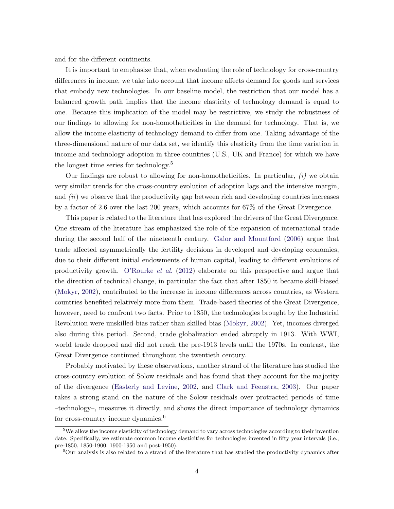and for the different continents.

It is important to emphasize that, when evaluating the role of technology for cross-country differences in income, we take into account that income affects demand for goods and services that embody new technologies. In our baseline model, the restriction that our model has a balanced growth path implies that the income elasticity of technology demand is equal to one. Because this implication of the model may be restrictive, we study the robustness of our findings to allowing for non-homotheticities in the demand for technology. That is, we allow the income elasticity of technology demand to differ from one. Taking advantage of the three-dimensional nature of our data set, we identify this elasticity from the time variation in income and technology adoption in three countries (U.S., UK and France) for which we have the longest time series for technology.<sup>5</sup>

Our findings are robust to allowing for non-homotheticities. In particular,  $(i)$  we obtain very similar trends for the cross-country evolution of adoption lags and the intensive margin, and  $(ii)$  we observe that the productivity gap between rich and developing countries increases by a factor of 2.6 over the last 200 years, which accounts for 67% of the Great Divergence.

This paper is related to the literature that has explored the drivers of the Great Divergence. One stream of the literature has emphasized the role of the expansion of international trade during the second half of the nineteenth century. [Galor and Mountford](#page-35-0) [\(2006\)](#page-35-0) argue that trade affected asymmetrically the fertility decisions in developed and developing economies, due to their different initial endowments of human capital, leading to different evolutions of productivity growth. [O'Rourke](#page-36-0) et al. [\(2012\)](#page-36-0) elaborate on this perspective and argue that the direction of technical change, in particular the fact that after 1850 it became skill-biased [\(Mokyr,](#page-36-0) [2002\)](#page-36-0), contributed to the increase in income differences across countries, as Western countries benefited relatively more from them. Trade-based theories of the Great Divergence, however, need to confront two facts. Prior to 1850, the technologies brought by the Industrial Revolution were unskilled-bias rather than skilled bias [\(Mokyr,](#page-36-0) [2002\)](#page-36-0). Yet, incomes diverged also during this period. Second, trade globalization ended abruptly in 1913. With WWI, world trade dropped and did not reach the pre-1913 levels until the 1970s. In contrast, the Great Divergence continued throughout the twentieth century.

Probably motivated by these observations, another strand of the literature has studied the cross-country evolution of Solow residuals and has found that they account for the majority of the divergence [\(Easterly and Levine,](#page-35-0) [2002,](#page-35-0) and [Clark and Feenstra,](#page-35-0) [2003\)](#page-35-0). Our paper takes a strong stand on the nature of the Solow residuals over protracted periods of time –technology–, measures it directly, and shows the direct importance of technology dynamics for cross-country income dynamics.<sup>6</sup>

<sup>&</sup>lt;sup>5</sup>We allow the income elasticity of technology demand to vary across technologies according to their invention date. Specifically, we estimate common income elasticities for technologies invented in fifty year intervals (i.e., pre-1850, 1850-1900, 1900-1950 and post-1950).

<sup>6</sup>Our analysis is also related to a strand of the literature that has studied the productivity dynamics after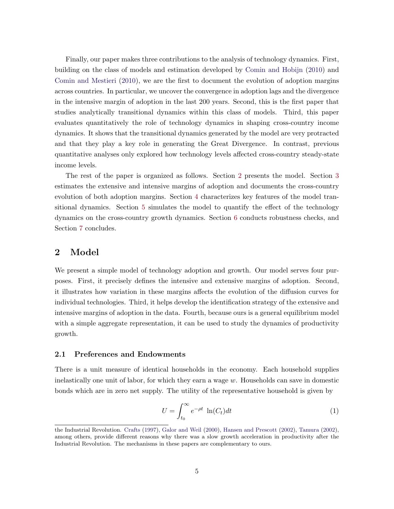<span id="page-6-0"></span>Finally, our paper makes three contributions to the analysis of technology dynamics. First, building on the class of models and estimation developed by [Comin and Hobijn](#page-35-0) [\(2010\)](#page-35-0) and [Comin and Mestieri](#page-35-0) [\(2010\)](#page-35-0), we are the first to document the evolution of adoption margins across countries. In particular, we uncover the convergence in adoption lags and the divergence in the intensive margin of adoption in the last 200 years. Second, this is the first paper that studies analytically transitional dynamics within this class of models. Third, this paper evaluates quantitatively the role of technology dynamics in shaping cross-country income dynamics. It shows that the transitional dynamics generated by the model are very protracted and that they play a key role in generating the Great Divergence. In contrast, previous quantitative analyses only explored how technology levels affected cross-country steady-state income levels.

The rest of the paper is organized as follows. Section 2 presents the model. Section [3](#page-12-0) estimates the extensive and intensive margins of adoption and documents the cross-country evolution of both adoption margins. Section [4](#page-17-0) characterizes key features of the model transitional dynamics. Section [5](#page-25-0) simulates the model to quantify the effect of the technology dynamics on the cross-country growth dynamics. Section [6](#page-30-0) conducts robustness checks, and Section [7](#page-33-0) concludes.

## 2 Model

We present a simple model of technology adoption and growth. Our model serves four purposes. First, it precisely defines the intensive and extensive margins of adoption. Second, it illustrates how variation in these margins affects the evolution of the diffusion curves for individual technologies. Third, it helps develop the identification strategy of the extensive and intensive margins of adoption in the data. Fourth, because ours is a general equilibrium model with a simple aggregate representation, it can be used to study the dynamics of productivity growth.

### 2.1 Preferences and Endowments

There is a unit measure of identical households in the economy. Each household supplies inelastically one unit of labor, for which they earn a wage w. Households can save in domestic bonds which are in zero net supply. The utility of the representative household is given by

$$
U = \int_{t_0}^{\infty} e^{-\rho t} \ln(C_t) dt
$$
 (1)

the Industrial Revolution. [Crafts](#page-35-0) [\(1997\)](#page-35-0), [Galor and Weil](#page-36-0) [\(2000\)](#page-36-0), [Hansen and Prescott](#page-36-0) [\(2002\)](#page-36-0), [Tamura](#page-36-0) [\(2002\)](#page-36-0), among others, provide different reasons why there was a slow growth acceleration in productivity after the Industrial Revolution. The mechanisms in these papers are complementary to ours.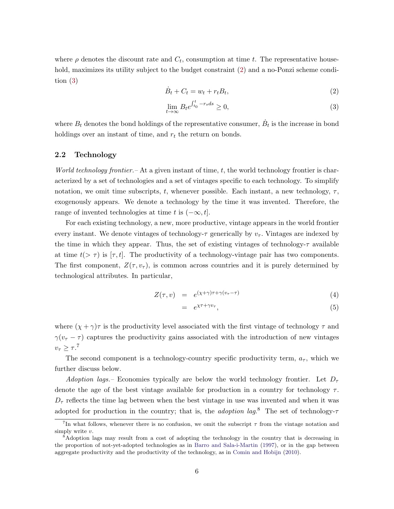<span id="page-7-0"></span>where  $\rho$  denotes the discount rate and  $C_t$ , consumption at time t. The representative household, maximizes its utility subject to the budget constraint (2) and a no-Ponzi scheme condition (3)

$$
\dot{B}_t + C_t = w_t + r_t B_t,\tag{2}
$$

$$
\lim_{t \to \infty} B_t e^{\int_{t_0}^t -r_s ds} \ge 0,\tag{3}
$$

where  $B_t$  denotes the bond holdings of the representative consumer,  $\dot{B}_t$  is the increase in bond holdings over an instant of time, and  $r_t$  the return on bonds.

### 2.2 Technology

World technology frontier.  $-\Lambda t$  a given instant of time, t, the world technology frontier is characterized by a set of technologies and a set of vintages specific to each technology. To simplify notation, we omit time subscripts, t, whenever possible. Each instant, a new technology,  $\tau$ , exogenously appears. We denote a technology by the time it was invented. Therefore, the range of invented technologies at time t is  $(-\infty, t]$ .

For each existing technology, a new, more productive, vintage appears in the world frontier every instant. We denote vintages of technology- $\tau$  generically by  $v_{\tau}$ . Vintages are indexed by the time in which they appear. Thus, the set of existing vintages of technology- $\tau$  available at time  $t(>\tau)$  is  $[\tau, t]$ . The productivity of a technology-vintage pair has two components. The first component,  $Z(\tau, v_{\tau})$ , is common across countries and it is purely determined by technological attributes. In particular,

$$
Z(\tau, v) = e^{(\chi + \gamma)\tau + \gamma(v_{\tau} - \tau)}
$$
\n(4)

$$
= e^{\chi \tau + \gamma v_{\tau}}, \tag{5}
$$

where  $(\chi + \gamma)\tau$  is the productivity level associated with the first vintage of technology  $\tau$  and  $\gamma(v_\tau - \tau)$  captures the productivity gains associated with the introduction of new vintages  $v_\tau \geq \tau$ .<sup>7</sup>

The second component is a technology-country specific productivity term,  $a_{\tau}$ , which we further discuss below.

Adoption lags.– Economies typically are below the world technology frontier. Let  $D_{\tau}$ denote the age of the best vintage available for production in a country for technology  $\tau$ .  $D_{\tau}$  reflects the time lag between when the best vintage in use was invented and when it was adopted for production in the country; that is, the *adoption lag*.<sup>8</sup> The set of technology- $\tau$ 

<sup>&</sup>lt;sup>7</sup>In what follows, whenever there is no confusion, we omit the subscript  $\tau$  from the vintage notation and simply write  $v$ .

<sup>&</sup>lt;sup>8</sup>Adoption lags may result from a cost of adopting the technology in the country that is decreasing in the proportion of not-yet-adopted technologies as in [Barro and Sala-i-Martin](#page-35-0) [\(1997\)](#page-35-0), or in the gap between aggregate productivity and the productivity of the technology, as in [Comin and Hobijn](#page-35-0) [\(2010\)](#page-35-0).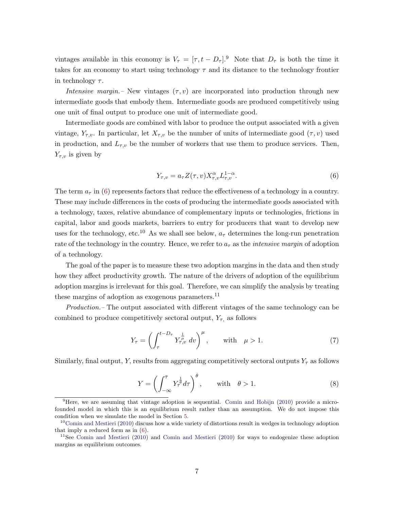<span id="page-8-0"></span>vintages available in this economy is  $V_{\tau} = [\tau, t - D_{\tau}]^{9}$ . Note that  $D_{\tau}$  is both the time it takes for an economy to start using technology  $\tau$  and its distance to the technology frontier in technology  $\tau$ .

Intensive margin.– New vintages  $(\tau, v)$  are incorporated into production through new intermediate goods that embody them. Intermediate goods are produced competitively using one unit of final output to produce one unit of intermediate good.

Intermediate goods are combined with labor to produce the output associated with a given vintage,  $Y_{\tau,v}$ . In particular, let  $X_{\tau,v}$  be the number of units of intermediate good  $(\tau,v)$  used in production, and  $L_{\tau,v}$  be the number of workers that use them to produce services. Then,  $Y_{\tau,v}$  is given by

$$
Y_{\tau,v} = a_{\tau} Z(\tau, v) X_{\tau,v}^{\alpha} L_{\tau,v}^{1-\alpha}.
$$
\n
$$
(6)
$$

The term  $a_{\tau}$  in (6) represents factors that reduce the effectiveness of a technology in a country. These may include differences in the costs of producing the intermediate goods associated with a technology, taxes, relative abundance of complementary inputs or technologies, frictions in capital, labor and goods markets, barriers to entry for producers that want to develop new uses for the technology, etc.<sup>10</sup> As we shall see below,  $a<sub>\tau</sub>$  determines the long-run penetration rate of the technology in the country. Hence, we refer to  $a<sub>\tau</sub>$  as the *intensive margin* of adoption of a technology.

The goal of the paper is to measure these two adoption margins in the data and then study how they affect productivity growth. The nature of the drivers of adoption of the equilibrium adoption margins is irrelevant for this goal. Therefore, we can simplify the analysis by treating these margins of adoption as exogenous parameters. $^{11}$ 

Production.– The output associated with different vintages of the same technology can be combined to produce competitively sectoral output,  $Y_{\tau}$ , as follows

$$
Y_{\tau} = \left(\int_{\tau}^{t - D_{\tau}} Y_{\tau, v}^{\frac{1}{\mu}} dv\right)^{\mu}, \quad \text{with} \quad \mu > 1.
$$
 (7)

Similarly, final output, Y, results from aggregating competitively sectoral outputs  $Y_\tau$  as follows

$$
Y = \left(\int_{-\infty}^{\bar{\tau}} Y_{\tau}^{\frac{1}{\theta}} d\tau\right)^{\theta}, \quad \text{with} \quad \theta > 1.
$$
 (8)

<sup>9</sup>Here, we are assuming that vintage adoption is sequential. [Comin and Hobijn](#page-35-0) [\(2010\)](#page-35-0) provide a microfounded model in which this is an equilibrium result rather than an assumption. We do not impose this condition when we simulate the model in Section [5.](#page-25-0)

 $10^{\circ}$ [Comin and Mestieri](#page-35-0) [\(2010\)](#page-35-0) discuss how a wide variety of distortions result in wedges in technology adoption that imply a reduced form as in (6).

<sup>&</sup>lt;sup>11</sup>See [Comin and Mestieri](#page-35-0) [\(2010\)](#page-35-0) and Comin and Mestieri (2010) for ways to endogenize these adoption margins as equilibrium outcomes.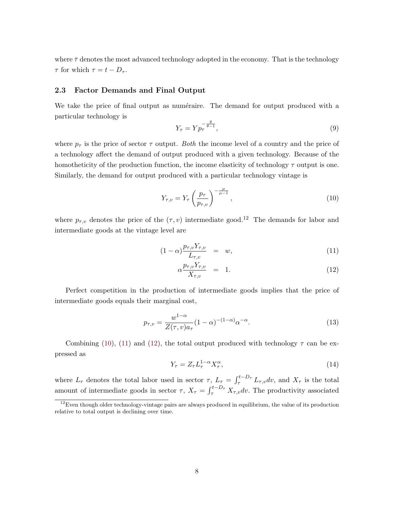<span id="page-9-0"></span>where  $\bar{\tau}$  denotes the most advanced technology adopted in the economy. That is the technology  $\tau$  for which  $\tau = t - D_{\tau}$ .

#### 2.3 Factor Demands and Final Output

We take the price of final output as numéraire. The demand for output produced with a particular technology is

$$
Y_{\tau} = Y p_{\tau}^{-\frac{\theta}{\theta - 1}},\tag{9}
$$

where  $p_{\tau}$  is the price of sector  $\tau$  output. Both the income level of a country and the price of a technology affect the demand of output produced with a given technology. Because of the homotheticity of the production function, the income elasticity of technology  $\tau$  output is one. Similarly, the demand for output produced with a particular technology vintage is

$$
Y_{\tau,v} = Y_{\tau} \left(\frac{p_{\tau}}{p_{\tau,v}}\right)^{-\frac{\mu}{\mu-1}},
$$
\n(10)

where  $p_{\tau,v}$  denotes the price of the  $(\tau, v)$  intermediate good.<sup>12</sup> The demands for labor and intermediate goods at the vintage level are

$$
(1 - \alpha) \frac{p_{\tau, v} Y_{\tau, v}}{L_{\tau, v}} = w, \tag{11}
$$

$$
\alpha \frac{p_{\tau,\upsilon} Y_{\tau,\upsilon}}{X_{\tau,\upsilon}} = 1. \tag{12}
$$

Perfect competition in the production of intermediate goods implies that the price of intermediate goods equals their marginal cost,

$$
p_{\tau,v} = \frac{w^{1-\alpha}}{Z(\tau,v)a_{\tau}} (1-\alpha)^{-(1-\alpha)} \alpha^{-\alpha}.
$$
\n(13)

Combining (10), (11) and (12), the total output produced with technology  $\tau$  can be expressed as

$$
Y_{\tau} = Z_{\tau} L_{\tau}^{1-\alpha} X_{\tau}^{\alpha},\tag{14}
$$

where  $L_{\tau}$  denotes the total labor used in sector  $\tau$ ,  $L_{\tau} = \int_{\tau}^{t-D_{\tau}} L_{\tau,v} dv$ , and  $X_{\tau}$  is the total amount of intermediate goods in sector  $\tau$ ,  $X_{\tau} = \int_{\tau}^{t-D_{\tau}} X_{\tau,v} dv$ . The productivity associated

 $12$ Even though older technology-vintage pairs are always produced in equilibrium, the value of its production relative to total output is declining over time.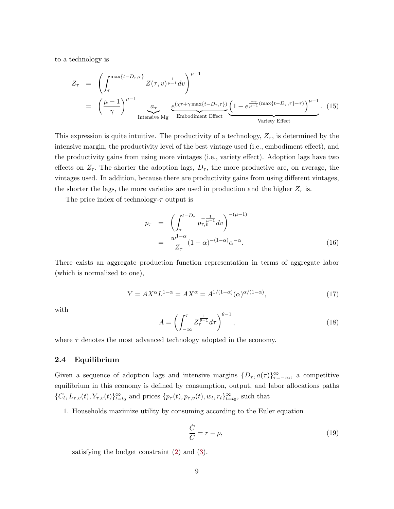<span id="page-10-0"></span>to a technology is

$$
Z_{\tau} = \left(\int_{\tau}^{\max\{t-D_{\tau},\tau\}} Z(\tau,v)^{\frac{1}{\mu-1}} dv\right)^{\mu-1}
$$
  
=  $\left(\frac{\mu-1}{\gamma}\right)^{\mu-1} \underbrace{a_{\tau}}_{\text{Intensive Mg}} \underbrace{e^{(\chi\tau+\gamma\max\{t-D_{\tau},\tau\})}} \underbrace{\left(1-e^{\frac{-\gamma}{\mu-1}(\max\{t-D_{\tau},\tau\}-\tau)}\right)^{\mu-1}}_{\text{Variety Effect}}.$  (15)

This expression is quite intuitive. The productivity of a technology,  $Z_{\tau}$ , is determined by the intensive margin, the productivity level of the best vintage used (i.e., embodiment effect), and the productivity gains from using more vintages (i.e., variety effect). Adoption lags have two effects on  $Z_{\tau}$ . The shorter the adoption lags,  $D_{\tau}$ , the more productive are, on average, the vintages used. In addition, because there are productivity gains from using different vintages, the shorter the lags, the more varieties are used in production and the higher  $Z_{\tau}$  is.

The price index of technology- $\tau$  output is

$$
p_{\tau} = \left( \int_{\tau}^{t - D_{\tau}} p_{\tau, v}^{-\frac{1}{\mu - 1}} dv \right)^{-(\mu - 1)}
$$
  
= 
$$
\frac{w^{1 - \alpha}}{Z_{\tau}} (1 - \alpha)^{-(1 - \alpha)} \alpha^{-\alpha}.
$$
 (16)

There exists an aggregate production function representation in terms of aggregate labor (which is normalized to one),

$$
Y = AX^{\alpha}L^{1-\alpha} = AX^{\alpha} = A^{1/(1-\alpha)}(\alpha)^{\alpha/(1-\alpha)},\tag{17}
$$

with

$$
A = \left(\int_{-\infty}^{\overline{\tau}} Z_{\tau}^{\frac{1}{\theta - 1}} d\tau\right)^{\theta - 1},\tag{18}
$$

where  $\bar{\tau}$  denotes the most advanced technology adopted in the economy.

### 2.4 Equilibrium

Given a sequence of adoption lags and intensive margins  $\{D_\tau, a(\tau)\}_{\tau=-\infty}^\infty$ , a competitive equilibrium in this economy is defined by consumption, output, and labor allocations paths  ${C_t, L_{\tau,v}(t), Y_{\tau,v}(t)}_{t=t_0}^{\infty}$  and prices  ${p_{\tau}(t), p_{\tau,v}(t), w_t, r_t}_{t=t_0}^{\infty}$ , such that

1. Households maximize utility by consuming according to the Euler equation

$$
\frac{\dot{C}}{C} = r - \rho,\tag{19}
$$

satisfying the budget constraint [\(2\)](#page-7-0) and [\(3\)](#page-7-0).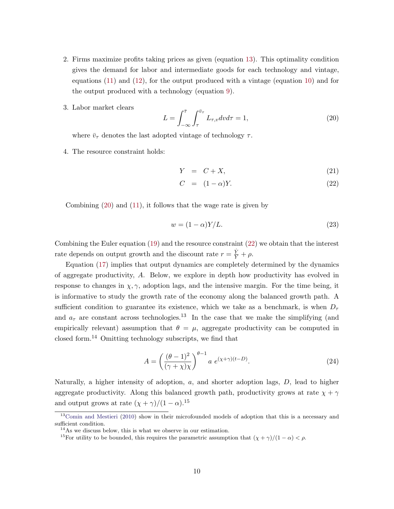- <span id="page-11-0"></span>2. Firms maximize profits taking prices as given (equation [13\)](#page-9-0). This optimality condition gives the demand for labor and intermediate goods for each technology and vintage, equations [\(11\)](#page-9-0) and [\(12\)](#page-9-0), for the output produced with a vintage (equation [10\)](#page-9-0) and for the output produced with a technology (equation [9\)](#page-9-0).
- 3. Labor market clears

$$
L = \int_{-\infty}^{\overline{\tau}} \int_{\tau}^{\overline{v}_{\tau}} L_{\tau, v} dv d\tau = 1,
$$
\n(20)

where  $\bar{v}_{\tau}$  denotes the last adopted vintage of technology  $\tau$ .

4. The resource constraint holds:

$$
Y = C + X,\tag{21}
$$

$$
C = (1 - \alpha)Y. \tag{22}
$$

Combining (20) and [\(11\)](#page-9-0), it follows that the wage rate is given by

$$
w = (1 - \alpha)Y/L.
$$
\n<sup>(23)</sup>

Combining the Euler equation [\(19\)](#page-10-0) and the resource constraint (22) we obtain that the interest rate depends on output growth and the discount rate  $r = \frac{\dot{Y}}{Y} + \rho$ .

Equation [\(17\)](#page-10-0) implies that output dynamics are completely determined by the dynamics of aggregate productivity, A. Below, we explore in depth how productivity has evolved in response to changes in  $\chi, \gamma$ , adoption lags, and the intensive margin. For the time being, it is informative to study the growth rate of the economy along the balanced growth path. A sufficient condition to guarantee its existence, which we take as a benchmark, is when  $D_{\tau}$ and  $a_{\tau}$  are constant across technologies.<sup>13</sup> In the case that we make the simplifying (and empirically relevant) assumption that  $\theta = \mu$ , aggregate productivity can be computed in closed form.<sup>14</sup> Omitting technology subscripts, we find that

$$
A = \left(\frac{(\theta - 1)^2}{(\gamma + \chi)\chi}\right)^{\theta - 1} a e^{(\chi + \gamma)(t - D)}.
$$
 (24)

Naturally, a higher intensity of adoption,  $a$ , and shorter adoption lags,  $D$ , lead to higher aggregate productivity. Along this balanced growth path, productivity grows at rate  $\chi + \gamma$ and output grows at rate  $(\chi + \gamma)/(1 - \alpha)$ .<sup>15</sup>

<sup>&</sup>lt;sup>13</sup>[Comin and Mestieri](#page-35-0) [\(2010\)](#page-35-0) show in their microfounded models of adoption that this is a necessary and sufficient condition.

<sup>14</sup>As we discuss below, this is what we observe in our estimation.

<sup>&</sup>lt;sup>15</sup>For utility to be bounded, this requires the parametric assumption that  $(\chi + \gamma)/(1 - \alpha) < \rho$ .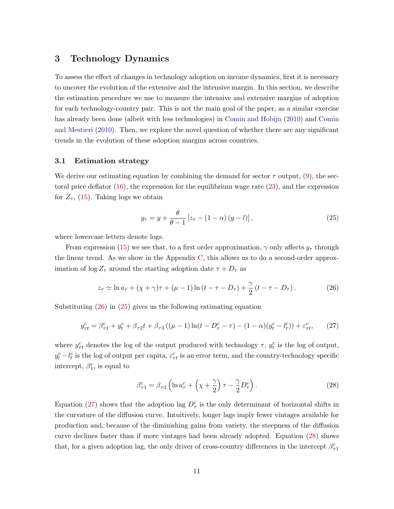## <span id="page-12-0"></span>3 Technology Dynamics

To assess the effect of changes in technology adoption on income dynamics, first it is necessary to uncover the evolution of the extensive and the intensive margin. In this section, we describe the estimation procedure we use to measure the intensive and extensive margins of adoption for each technology-country pair. This is not the main goal of the paper, as a similar exercise has already been done (albeit with less technologies) in [Comin and Hobijn](#page-35-0) [\(2010\)](#page-35-0) and [Comin](#page-35-0) [and Mestieri](#page-35-0) [\(2010\)](#page-35-0). Then, we explore the novel question of whether there are any significant trends in the evolution of these adoption margins across countries.

### 3.1 Estimation strategy

We derive our estimating equation by combining the demand for sector  $\tau$  output, [\(9\)](#page-9-0), the sectoral price deflator [\(16\)](#page-10-0), the expression for the equilibrium wage rate [\(23\)](#page-11-0), and the expression for  $Z_{\tau}$ , [\(15\)](#page-10-0). Taking logs we obtain

$$
y_{\tau} = y + \frac{\theta}{\theta - 1} \left[ z_{\tau} - (1 - \alpha) \left( y - l \right) \right],\tag{25}
$$

where lowercase letters denote logs.

From expression [\(15\)](#page-10-0) we see that, to a first order approximation,  $\gamma$  only affects  $y_{\tau}$  through the linear trend. As we show in the Appendix [C,](#page-48-0) this allows us to do a second-order approximation of  $\log Z_{\tau}$  around the starting adoption date  $\tau + D_{\tau}$  as

$$
z_{\tau} \simeq \ln a_{\tau} + (\chi + \gamma)\tau + (\mu - 1)\ln (t - \tau - D_{\tau}) + \frac{\gamma}{2}(t - \tau - D_{\tau}).
$$
 (26)

Substituting (26) in (25) gives us the following estimating equation

$$
y_{\tau t}^c = \beta_{\tau 1}^c + y_t^c + \beta_{\tau 2} t + \beta_{\tau 3} \left( (\mu - 1) \ln(t - D_{\tau}^c - \tau) - (1 - \alpha)(y_t^c - l_t^c) \right) + \varepsilon_{\tau t}^c, \tag{27}
$$

where  $y_{\tau t}^c$  denotes the log of the output produced with technology  $\tau$ ,  $y_t^c$  is the log of output,  $y_t^c - l_t^c$  is the log of output per capita,  $\varepsilon_{\tau t}^c$  is an error term, and the country-technology specific intercept,  $\beta_1^c$ , is equal to

$$
\beta_{\tau_1}^c = \beta_{\tau_3} \left( \ln a_{\tau}^c + \left( \chi + \frac{\gamma}{2} \right) \tau - \frac{\gamma}{2} D_{\tau}^c \right). \tag{28}
$$

Equation (27) shows that the adoption lag  $D_{\tau}^{c}$  is the only determinant of horizontal shifts in the curvature of the diffusion curve. Intuitively, longer lags imply fewer vintages available for production and, because of the diminishing gains from variety, the steepness of the diffusion curve declines faster than if more vintages had been already adopted. Equation (28) shows that, for a given adoption lag, the only driver of cross-country differences in the intercept  $\beta_{\tau1}^c$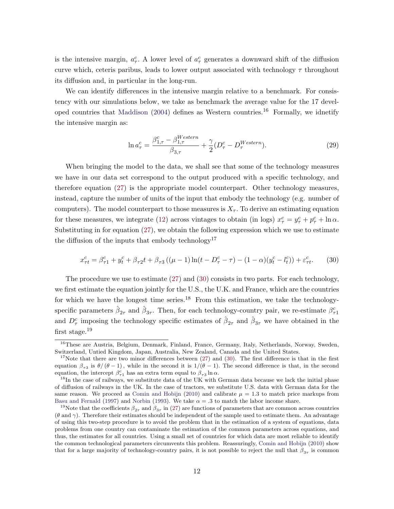<span id="page-13-0"></span>is the intensive margin,  $a_{\tau}^c$ . A lower level of  $a_{\tau}^c$  generates a downward shift of the diffusion curve which, ceteris paribus, leads to lower output associated with technology  $\tau$  throughout its diffusion and, in particular in the long-run.

We can identify differences in the intensive margin relative to a benchmark. For consistency with our simulations below, we take as benchmark the average value for the 17 devel-oped countries that [Maddison](#page-36-0)  $(2004)$  defines as Western countries.<sup>16</sup> Formally, we idnetify the intensive margin as:

$$
\ln a_{\tau}^c = \frac{\beta_{1,\tau}^c - \beta_{1,\tau}^{Western}}{\beta_{3,\tau}} + \frac{\gamma}{2} (D_{\tau}^c - D_{\tau}^{Western}). \tag{29}
$$

When bringing the model to the data, we shall see that some of the technology measures we have in our data set correspond to the output produced with a specific technology, and therefore equation [\(27\)](#page-12-0) is the appropriate model counterpart. Other technology measures, instead, capture the number of units of the input that embody the technology (e.g. number of computers). The model counterpart to those measures is  $X<sub>\tau</sub>$ . To derive an estimating equation for these measures, we integrate [\(12\)](#page-9-0) across vintages to obtain (in logs)  $x_{\tau}^c = y_{\tau}^c + p_{\tau}^c + \ln \alpha$ . Substituting in for equation [\(27\)](#page-12-0), we obtain the following expression which we use to estimate the diffusion of the inputs that embody technology<sup>17</sup>

$$
x_{\tau t}^c = \beta_{\tau 1}^c + y_t^c + \beta_{\tau 2} t + \beta_{\tau 3} \left( (\mu - 1) \ln(t - D_{\tau}^c - \tau) - (1 - \alpha)(y_t^c - l_t^c) \right) + \varepsilon_{\tau t}^c. \tag{30}
$$

The procedure we use to estimate [\(27\)](#page-12-0) and (30) consists in two parts. For each technology, we first estimate the equation jointly for the U.S., the U.K. and France, which are the countries for which we have the longest time series.<sup>18</sup> From this estimation, we take the technologyspecific parameters  $\hat{\beta}_{2\tau}$  and  $\hat{\beta}_{3\tau}$ . Then, for each technology-country pair, we re-estimate  $\beta_{\tau1}^c$ and  $D_{\tau}^{c}$  imposing the technology specific estimates of  $\hat{\beta}_{2\tau}$  and  $\hat{\beta}_{3\tau}$  we have obtained in the first stage.<sup>19</sup>

<sup>&</sup>lt;sup>16</sup>These are Austria, Belgium, Denmark, Finland, France, Germany, Italy, Netherlands, Norway, Sweden, Switzerland, Untied Kingdom, Japan, Australia, New Zealand, Canada and the United States.

<sup>&</sup>lt;sup>17</sup>Note that there are two minor differences between  $(27)$  and  $(30)$ . The first difference is that in the first equation  $\beta_{\tau_3}$  is  $\theta/(\theta-1)$ , while in the second it is  $1/(\theta-1)$ . The second difference is that, in the second equation, the intercept  $\beta_{\tau_1}^c$  has an extra term equal to  $\beta_{\tau_3} \ln \alpha$ .

<sup>&</sup>lt;sup>18</sup>In the case of railways, we substitute data of the UK with German data because we lack the initial phase of diffusion of railways in the UK. In the case of tractors, we substitute U.S. data with German data for the same reason. We proceed as [Comin and Hobijn](#page-35-0) [\(2010\)](#page-35-0) and calibrate  $\mu = 1.3$  to match price markups from [Basu and Fernald](#page-35-0) [\(1997\)](#page-35-0) and [Norbin](#page-36-0) [\(1993\)](#page-36-0). We take  $\alpha = 0.3$  to match the labor income share.

<sup>&</sup>lt;sup>19</sup>Note that the coefficients  $\beta_{2\tau}$  and  $\beta_{3\tau}$  in [\(27\)](#page-12-0) are functions of parameters that are common across countries  $(\theta \text{ and } \gamma)$ . Therefore their estimates should be independent of the sample used to estimate them. An advantage of using this two-step procedure is to avoid the problem that in the estimation of a system of equations, data problems from one country can contaminate the estimation of the common parameters across equations, and thus, the estimates for all countries. Using a small set of countries for which data are most reliable to identify the common technological parameters circumvents this problem. Reassuringly, [Comin and Hobijn](#page-35-0) [\(2010\)](#page-35-0) show that for a large majority of technology-country pairs, it is not possible to reject the null that  $\beta_{3\tau}$  is common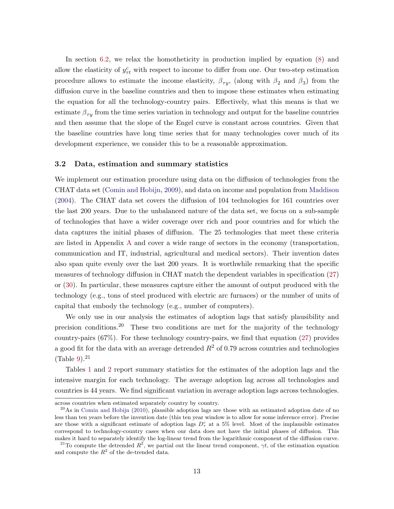<span id="page-14-0"></span>In section [6.2,](#page-30-0) we relax the homotheticity in production implied by equation [\(8\)](#page-8-0) and allow the elasticity of  $y_{\tau t}^c$  with respect to income to differ from one. Our two-step estimation procedure allows to estimate the income elasticity,  $\beta_{\tau y}$ , (along with  $\beta_2$  and  $\beta_3$ ) from the diffusion curve in the baseline countries and then to impose these estimates when estimating the equation for all the technology-country pairs. Effectively, what this means is that we estimate  $\beta_{\tau y}$  from the time series variation in technology and output for the baseline countries and then assume that the slope of the Engel curve is constant across countries. Given that the baseline countries have long time series that for many technologies cover much of its development experience, we consider this to be a reasonable approximation.

#### 3.2 Data, estimation and summary statistics

We implement our estimation procedure using data on the diffusion of technologies from the CHAT data set [\(Comin and Hobijn,](#page-35-0) [2009\)](#page-35-0), and data on income and population from [Maddison](#page-36-0) [\(2004\)](#page-36-0). The CHAT data set covers the diffusion of 104 technologies for 161 countries over the last 200 years. Due to the unbalanced nature of the data set, we focus on a sub-sample of technologies that have a wider coverage over rich and poor countries and for which the data captures the initial phases of diffusion. The 25 technologies that meet these criteria are listed in Appendix [A](#page-44-0) and cover a wide range of sectors in the economy (transportation, communication and IT, industrial, agricultural and medical sectors). Their invention dates also span quite evenly over the last 200 years. It is worthwhile remarking that the specific measures of technology diffusion in CHAT match the dependent variables in specification [\(27\)](#page-12-0) or [\(30\)](#page-13-0). In particular, these measures capture either the amount of output produced with the technology (e.g., tons of steel produced with electric arc furnaces) or the number of units of capital that embody the technology (e.g., number of computers).

We only use in our analysis the estimates of adoption lags that satisfy plausibility and precision conditions.<sup>20</sup> These two conditions are met for the majority of the technology country-pairs (67%). For these technology country-pairs, we find that equation [\(27\)](#page-12-0) provides a good fit for the data with an average detrended  $R^2$  of 0.79 across countries and technologies  $(Table 9).<sup>21</sup>$  $(Table 9).<sup>21</sup>$  $(Table 9).<sup>21</sup>$ 

Tables [1](#page-15-0) and [2](#page-16-0) report summary statistics for the estimates of the adoption lags and the intensive margin for each technology. The average adoption lag across all technologies and countries is 44 years. We find significant variation in average adoption lags across technologies.

across countries when estimated separately country by country.

 $^{20}$ As in [Comin and Hobijn](#page-35-0) [\(2010\)](#page-35-0), plausible adoption lags are those with an estimated adoption date of no less than ten years before the invention date (this ten year window is to allow for some inference error). Precise are those with a significant estimate of adoption lags  $D_{\tau}^{c}$  at a 5% level. Most of the implausible estimates correspond to technology-country cases when our data does not have the initial phases of diffusion. This makes it hard to separately identify the log-linear trend from the logarithmic component of the diffusion curve.

<sup>&</sup>lt;sup>21</sup>To compute the detrended  $R^2$ , we partial out the linear trend component,  $\gamma t$ , of the estimation equation and compute the  $R^2$  of the de-trended data.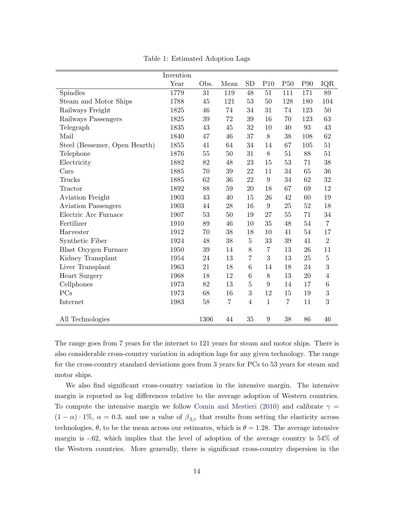<span id="page-15-0"></span>

|                               | Invention |        |                |                  |                  |                 |                 |                  |
|-------------------------------|-----------|--------|----------------|------------------|------------------|-----------------|-----------------|------------------|
|                               | Year      | Obs.   | Mean           | <b>SD</b>        | P10              | P <sub>50</sub> | P <sub>90</sub> | IQR              |
| Spindles                      | 1779      | 31     | 119            | 48               | 51               | 111             | 171             | 89               |
| Steam and Motor Ships         | 1788      | 45     | 121            | 53               | 50               | 128             | 180             | 104              |
| Railways Freight              | 1825      | 46     | 74             | 34               | 31               | 74              | 123             | 50               |
| Railways Passengers           | 1825      | 39     | 72             | 39               | 16               | 70              | 123             | 63               |
| Telegraph                     | 1835      | 43     | 45             | 32               | 10               | 40              | 93              | $43\,$           |
| Mail                          | 1840      | 47     | 46             | 37               | 8                | 38              | 108             | $62\,$           |
| Steel (Bessemer, Open Hearth) | 1855      | 41     | 64             | 34               | 14               | 67              | 105             | 51               |
| Telephone                     | 1876      | $55\,$ | 50             | 31               | 8                | 51              | 88              | 51               |
| Electricity                   | 1882      | 82     | 48             | 23               | 15               | 53              | 71              | 38               |
| Cars                          | 1885      | 70     | 39             | 22               | 11               | 34              | 65              | 36               |
| Trucks                        | 1885      | 62     | 36             | 22               | $\boldsymbol{9}$ | 34              | 62              | 32               |
| Tractor                       | 1892      | 88     | $59\,$         | 20               | 18               | 67              | 69              | 12               |
| Aviation Freight              | 1903      | $43\,$ | 40             | 15               | 26               | 42              | 60              | 19               |
| <b>Aviation Passengers</b>    | 1903      | 44     | 28             | 16               | $\boldsymbol{9}$ | 25              | 52              | 18               |
| Electric Arc Furnace          | 1907      | 53     | 50             | 19               | 27               | 55              | 71              | 34               |
| Fertilizer                    | 1910      | 89     | 46             | 10               | 35               | 48              | 54              | $\overline{7}$   |
| Harvester                     | 1912      | 70     | $38\,$         | 18               | 10               | 41              | 54              | 17               |
| Synthetic Fiber               | 1924      | 48     | 38             | $\bf 5$          | 33               | 39              | 41              | $\overline{2}$   |
| Blast Oxygen Furnace          | 1950      | $39\,$ | 14             | $8\,$            | $\,7$            | 13              | 26              | 11               |
| Kidney Transplant             | 1954      | 24     | 13             | 7                | $\sqrt{3}$       | 13              | 25              | $\bf 5$          |
| Liver Transplant              | 1963      | 21     | 18             | $\boldsymbol{6}$ | 14               | 18              | 24              | 3                |
| <b>Heart Surgery</b>          | 1968      | 18     | 12             | 6                | 8                | 13              | 20              | $\overline{4}$   |
| Cellphones                    | 1973      | 82     | 13             | $\overline{5}$   | $\boldsymbol{9}$ | 14              | 17              | $\,6$            |
| PCs                           | 1973      | 68     | 16             | $\boldsymbol{3}$ | 12               | 15              | 19              | $\boldsymbol{3}$ |
| Internet                      | 1983      | 58     | $\overline{7}$ | $\overline{4}$   | $\mathbf{1}$     | $\overline{7}$  | 11              | 3                |
|                               |           |        |                |                  |                  |                 |                 |                  |
| All Technologies              |           | 1306   | 44             | 35               | $\boldsymbol{9}$ | 38              | 86              | 46               |

Table 1: Estimated Adoption Lags

The range goes from 7 years for the internet to 121 years for steam and motor ships. There is also considerable cross-country variation in adoption lags for any given technology. The range for the cross-country standard deviations goes from 3 years for PCs to 53 years for steam and motor ships.

We also find significant cross-country variation in the intensive margin. The intensive margin is reported as log differences relative to the average adoption of Western countries. To compute the intensive margin we follow [Comin and Mestieri](#page-35-0) [\(2010\)](#page-35-0) and calibrate  $\gamma =$  $(1 - \alpha) \cdot 1\%$ ,  $\alpha = 0.3$ , and use a value of  $\beta_{3,\tau}$  that results from setting the elasticity across technologies,  $\theta$ , to be the mean across our estimates, which is  $\theta = 1.28$ . The average intensive margin is -.62, which implies that the level of adoption of the average country is 54% of the Western countries. More generally, there is significant cross-country dispersion in the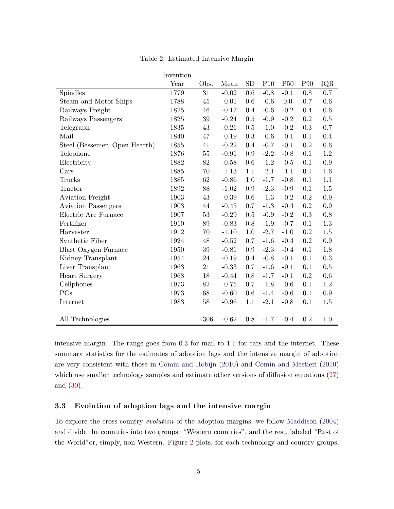<span id="page-16-0"></span>

|                               | Invention |        |         |           |        |                 |                 |         |
|-------------------------------|-----------|--------|---------|-----------|--------|-----------------|-----------------|---------|
|                               | Year      | Obs.   | Mean    | <b>SD</b> | P10    | P <sub>50</sub> | P <sub>90</sub> | IQR     |
| Spindles                      | 1779      | 31     | $-0.02$ | 0.6       | $-0.8$ | $-0.1$          | 0.8             | 0.7     |
| Steam and Motor Ships         | 1788      | $45\,$ | $-0.01$ | 0.6       | $-0.6$ | 0.0             | 0.7             | $0.6\,$ |
| Railways Freight              | 1825      | 46     | $-0.17$ | 0.4       | $-0.6$ | $-0.2$          | 0.4             | 0.6     |
| Railways Passengers           | 1825      | $39\,$ | $-0.24$ | 0.5       | $-0.9$ | $-0.2$          | 0.2             | 0.5     |
| Telegraph                     | 1835      | 43     | $-0.26$ | 0.5       | $-1.0$ | $-0.2$          | 0.3             | 0.7     |
| Mail                          | 1840      | 47     | $-0.19$ | 0.3       | $-0.6$ | $-0.1$          | 0.1             | 0.4     |
| Steel (Bessemer, Open Hearth) | 1855      | 41     | $-0.22$ | 0.4       | $-0.7$ | $-0.1$          | 0.2             | 0.6     |
| Telephone                     | 1876      | $55\,$ | $-0.91$ | 0.9       | $-2.2$ | $-0.8$          | 0.1             | 1.2     |
| Electricity                   | 1882      | 82     | $-0.58$ | 0.6       | $-1.2$ | $-0.5$          | 0.1             | 0.9     |
| Cars                          | 1885      | 70     | $-1.13$ | 1.1       | $-2.1$ | $-1.1$          | 0.1             | 1.6     |
| Trucks                        | 1885      | 62     | $-0.86$ | 1.0       | $-1.7$ | $-0.8$          | 0.1             | 1.1     |
| Tractor                       | 1892      | 88     | $-1.02$ | 0.9       | $-2.3$ | $-0.9$          | 0.1             | 1.5     |
| Aviation Freight              | 1903      | 43     | $-0.39$ | 0.6       | $-1.3$ | $-0.2$          | 0.2             | 0.9     |
| <b>Aviation Passengers</b>    | 1903      | $44\,$ | $-0.45$ | 0.7       | $-1.3$ | $-0.4$          | 0.2             | 0.9     |
| Electric Arc Furnace          | 1907      | $53\,$ | $-0.29$ | 0.5       | $-0.9$ | $-0.2$          | $\rm 0.3$       | 0.8     |
| Fertilizer                    | 1910      | 89     | $-0.83$ | 0.8       | $-1.9$ | $-0.7$          | 0.1             | 1.3     |
| Harvester                     | 1912      | 70     | $-1.10$ | 1.0       | $-2.7$ | $-1.0$          | 0.2             | $1.5\,$ |
| Synthetic Fiber               | 1924      | $48\,$ | $-0.52$ | 0.7       | $-1.6$ | $-0.4$          | $\rm 0.2$       | 0.9     |
| Blast Oxygen Furnace          | 1950      | $39\,$ | $-0.81$ | 0.9       | $-2.3$ | $-0.4$          | 0.1             | 1.8     |
| Kidney Transplant             | 1954      | $24\,$ | $-0.19$ | 0.4       | $-0.8$ | $-0.1$          | 0.1             | 0.3     |
| Liver Transplant              | 1963      | 21     | $-0.33$ | 0.7       | $-1.6$ | $-0.1$          | 0.1             | 0.5     |
| <b>Heart Surgery</b>          | 1968      | 18     | $-0.44$ | 0.8       | $-1.7$ | $-0.1$          | 0.2             | 0.6     |
| Cellphones                    | 1973      | 82     | $-0.75$ | 0.7       | $-1.8$ | $-0.6$          | 0.1             | $1.2\,$ |
| PCs                           | 1973      | 68     | $-0.60$ | 0.6       | $-1.4$ | $-0.6$          | 0.1             | $0.9\,$ |
| Internet                      | 1983      | 58     | $-0.96$ | 1.1       | $-2.1$ | $-0.8$          | 0.1             | 1.5     |
|                               |           |        |         |           |        |                 |                 |         |
| All Technologies              |           | 1306   | $-0.62$ | 0.8       | $-1.7$ | $-0.4$          | 0.2             | 1.0     |

Table 2: Estimated Intensive Margin

intensive margin. The range goes from 0.3 for mail to 1.1 for cars and the internet. These summary statistics for the estimates of adoption lags and the intensive margin of adoption are very consistent with those in [Comin and Hobijn](#page-35-0) [\(2010\)](#page-35-0) and [Comin and Mestieri](#page-35-0) [\(2010\)](#page-35-0) which use smaller technology samples and estimate other versions of diffusion equations [\(27\)](#page-12-0) and [\(30\)](#page-13-0).

### 3.3 Evolution of adoption lags and the intensive margin

To explore the cross-country evolution of the adoption margins, we follow [Maddison](#page-36-0) [\(2004\)](#page-36-0) and divide the countries into two groups: "Western countries", and the rest, labeled "Rest of the World"or, simply, non-Western. Figure [2](#page-18-0) plots, for each technology and country groups,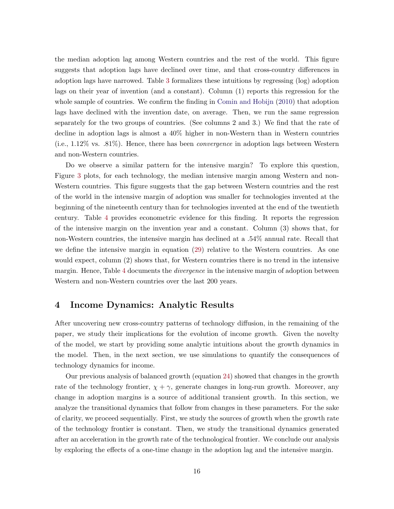<span id="page-17-0"></span>the median adoption lag among Western countries and the rest of the world. This figure suggests that adoption lags have declined over time, and that cross-country differences in adoption lags have narrowed. Table [3](#page-18-0) formalizes these intuitions by regressing (log) adoption lags on their year of invention (and a constant). Column (1) reports this regression for the whole sample of countries. We confirm the finding in [Comin and Hobijn](#page-35-0) [\(2010\)](#page-35-0) that adoption lags have declined with the invention date, on average. Then, we run the same regression separately for the two groups of countries. (See columns 2 and 3.) We find that the rate of decline in adoption lags is almost a 40% higher in non-Western than in Western countries  $(i.e., 1.12\%$  vs.  $.81\%)$ . Hence, there has been *convergence* in adoption lags between Western and non-Western countries.

Do we observe a similar pattern for the intensive margin? To explore this question, Figure [3](#page-19-0) plots, for each technology, the median intensive margin among Western and non-Western countries. This figure suggests that the gap between Western countries and the rest of the world in the intensive margin of adoption was smaller for technologies invented at the beginning of the nineteenth century than for technologies invented at the end of the twentieth century. Table [4](#page-19-0) provides econometric evidence for this finding. It reports the regression of the intensive margin on the invention year and a constant. Column (3) shows that, for non-Western countries, the intensive margin has declined at a .54% annual rate. Recall that we define the intensive margin in equation [\(29\)](#page-13-0) relative to the Western countries. As one would expect, column (2) shows that, for Western countries there is no trend in the intensive margin. Hence, Table [4](#page-19-0) documents the *divergence* in the intensive margin of adoption between Western and non-Western countries over the last 200 years.

## 4 Income Dynamics: Analytic Results

After uncovering new cross-country patterns of technology diffusion, in the remaining of the paper, we study their implications for the evolution of income growth. Given the novelty of the model, we start by providing some analytic intuitions about the growth dynamics in the model. Then, in the next section, we use simulations to quantify the consequences of technology dynamics for income.

Our previous analysis of balanced growth (equation [24\)](#page-11-0) showed that changes in the growth rate of the technology frontier,  $\chi + \gamma$ , generate changes in long-run growth. Moreover, any change in adoption margins is a source of additional transient growth. In this section, we analyze the transitional dynamics that follow from changes in these parameters. For the sake of clarity, we proceed sequentially. First, we study the sources of growth when the growth rate of the technology frontier is constant. Then, we study the transitional dynamics generated after an acceleration in the growth rate of the technological frontier. We conclude our analysis by exploring the effects of a one-time change in the adoption lag and the intensive margin.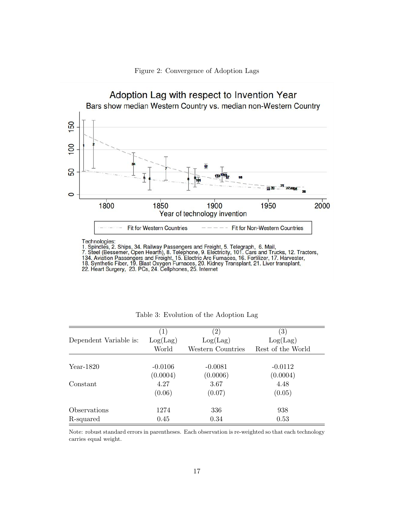

<span id="page-18-0"></span>

|                        | $\left( 1\right)$ | (2)               | $\left( 3\right)$ |
|------------------------|-------------------|-------------------|-------------------|
| Dependent Variable is: | Log(Lag)          | Log(Lag)          | Log(Lag)          |
|                        | World             | Western Countries | Rest of the World |
|                        |                   |                   |                   |
| Year-1820              | $-0.0106$         | $-0.0081$         | $-0.0112$         |
|                        | (0.0004)          | (0.0006)          | (0.0004)          |
| Constant               | 4.27              | 3.67              | 4.48              |
|                        | (0.06)            | (0.07)            | (0.05)            |
| Observations           | 1274              | 336               | 938               |
| R-squared              | 0.45              | 0.34              | 0.53              |

Table 3: Evolution of the Adoption Lag

Note: robust standard errors in parentheses. Each observation is re-weighted so that each technology carries equal weight.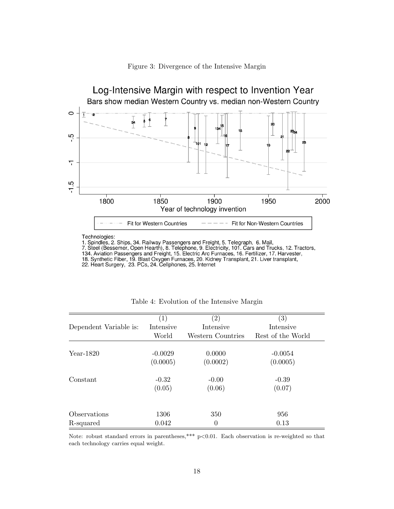<span id="page-19-0"></span>

Figure 3: Divergence of the Intensive Margin

|                        | $\left(1\right)$ | $\left( 2\right)$ | $\left( 3\right)$ |
|------------------------|------------------|-------------------|-------------------|
| Dependent Variable is: | Intensive        | Intensive         | Intensive         |
|                        | World            | Western Countries | Rest of the World |
| Year-1820              | $-0.0029$        | 0.0000            | $-0.0054$         |
|                        | (0.0005)         | (0.0002)          | (0.0005)          |
| Constant               | $-0.32$          | $-0.00$           | $-0.39$           |
|                        | (0.05)           | (0.06)            | (0.07)            |
|                        |                  |                   |                   |
| Observations           | 1306             | 350               | 956               |
| R-squared              | 0.042            | $\boldsymbol{0}$  | 0.13              |

Table 4: Evolution of the Intensive Margin

Note: robust standard errors in parentheses,\*\*\* p<0.01. Each observation is re-weighted so that each technology carries equal weight.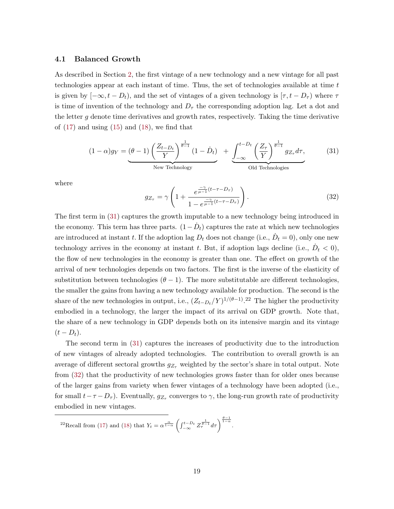#### 4.1 Balanced Growth

As described in Section [2,](#page-6-0) the first vintage of a new technology and a new vintage for all past technologies appear at each instant of time. Thus, the set of technologies available at time t is given by  $[-\infty, t - D_t]$ , and the set of vintages of a given technology is  $[\tau, t - D_\tau]$  where  $\tau$ is time of invention of the technology and  $D_{\tau}$  the corresponding adoption lag. Let a dot and the letter g denote time derivatives and growth rates, respectively. Taking the time derivative of  $(17)$  and using  $(15)$  and  $(18)$ , we find that

$$
(1 - \alpha) g_Y = \underbrace{(\theta - 1) \left(\frac{Z_{t - D_t}}{Y}\right)^{\frac{1}{\theta - 1}} (1 - \dot{D}_t)}_{\text{New Technology}} + \underbrace{\int_{-\infty}^{t - D_t} \left(\frac{Z_{\tau}}{Y}\right)^{\frac{1}{\theta - 1}} g_{Z_{\tau}} d\tau}_{\text{Old Technologies}},
$$
(31)

where

$$
g_{Z_{\tau}} = \gamma \left( 1 + \frac{e^{\frac{-\gamma}{\mu - 1}(t - \tau - D_{\tau})}}{1 - e^{\frac{-\gamma}{\mu - 1}(t - \tau - D_{\tau})}} \right). \tag{32}
$$

The first term in (31) captures the growth imputable to a new technology being introduced in the economy. This term has three parts.  $(1 - \dot{D}_t)$  captures the rate at which new technologies are introduced at instant t. If the adoption lag  $D_t$  does not change (i.e.,  $\dot{D}_t = 0$ ), only one new technology arrives in the economy at instant t. But, if adoption lags decline (i.e.,  $\dot{D}_t < 0$ ), the flow of new technologies in the economy is greater than one. The effect on growth of the arrival of new technologies depends on two factors. The first is the inverse of the elasticity of substitution between technologies  $(\theta - 1)$ . The more substitutable are different technologies, the smaller the gains from having a new technology available for production. The second is the share of the new technologies in output, i.e.,  $(Z_{t-D_t}/Y)^{1/(\theta-1)}$ .<sup>22</sup> The higher the productivity embodied in a technology, the larger the impact of its arrival on GDP growth. Note that, the share of a new technology in GDP depends both on its intensive margin and its vintage  $(t-D_t).$ 

The second term in (31) captures the increases of productivity due to the introduction of new vintages of already adopted technologies. The contribution to overall growth is an average of different sectoral growths  $g_{Z_{\tau}}$  weighted by the sector's share in total output. Note from (32) that the productivity of new technologies grows faster than for older ones because of the larger gains from variety when fewer vintages of a technology have been adopted (i.e., for small  $t-\tau-D_{\tau}$ ). Eventually,  $g_{Z_{\tau}}$  converges to  $\gamma$ , the long-run growth rate of productivity embodied in new vintages.

$$
^{22}\text{Recall from (17) and (18) that }Y_t = \alpha^{\frac{\alpha}{1-\alpha}} \left( \int_{-\infty}^{t-D_t} Z_t^{\frac{1}{\theta-1}} d\tau \right)^{\frac{\theta-1}{1-\alpha}}.
$$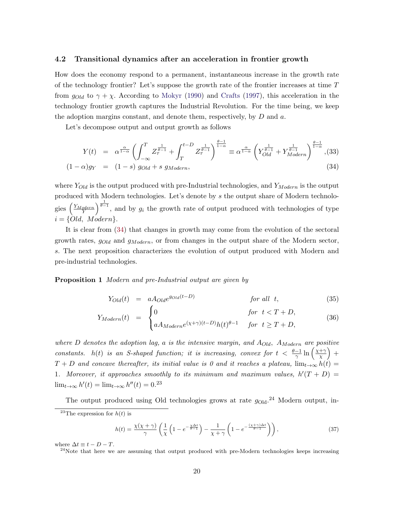#### <span id="page-21-0"></span>4.2 Transitional dynamics after an acceleration in frontier growth

How does the economy respond to a permanent, instantaneous increase in the growth rate of the technology frontier? Let's suppose the growth rate of the frontier increases at time  $T$ from  $g_{Old}$  to  $\gamma + \chi$ . According to [Mokyr](#page-36-0) [\(1990\)](#page-36-0) and [Crafts](#page-35-0) [\(1997\)](#page-35-0), this acceleration in the technology frontier growth captures the Industrial Revolution. For the time being, we keep the adoption margins constant, and denote them, respectively, by  $D$  and  $a$ .

Let's decompose output and output growth as follows

$$
Y(t) = \alpha^{\frac{\alpha}{1-\alpha}} \left( \int_{-\infty}^{T} Z_{\tau}^{\frac{1}{\theta-1}} + \int_{T}^{t-D} Z_{\tau}^{\frac{1}{\theta-1}} \right)^{\frac{\theta-1}{1-\alpha}} \equiv \alpha^{\frac{\alpha}{1-\alpha}} \left( Y_{Old}^{\frac{1}{\theta-1}} + Y_{Modern}^{\frac{1}{\theta-1}} \right)^{\frac{\theta-1}{1-\alpha}}, (33)
$$
\n
$$
(1-\alpha)g_{Y} = (1-s) g_{Old} + s g_{Modern}, \qquad (34)
$$

where  $Y_{Old}$  is the output produced with pre-Industrial technologies, and  $Y_{Modern}$  is the output produced with Modern technologies. Let's denote by s the output share of Modern technologies  $\left(\frac{Y_{Modern}}{Y}\right)^{\frac{1}{\theta-1}}$ , and by  $g_i$  the growth rate of output produced with technologies of type  $i = \{Old, Modern\}.$ 

It is clear from (34) that changes in growth may come from the evolution of the sectoral growth rates,  $g_{Old}$  and  $g_{Modern}$ , or from changes in the output share of the Modern sector, s. The next proposition characterizes the evolution of output produced with Modern and pre-industrial technologies.

**Proposition 1** Modern and pre-Industrial output are given by

$$
Y_{Old}(t) = aA_{Old}e^{g_{Old}(t-D)} \t\t for all t,
$$
\n(35)

$$
Y_{Modern}(t) = \begin{cases} 0 & \text{for } t < T + D, \\ aA_{Modern}e^{(\chi + \gamma)(t - D)}h(t)^{\theta - 1} & \text{for } t \ge T + D, \end{cases}
$$
(36)

where D denotes the adoption lag, a is the intensive margin, and  $A_{Old}$ ,  $A_{Modern}$  are positive constants. h(t) is an S-shaped function; it is increasing, convex for  $t < \frac{\theta - 1}{\gamma} \ln \left( \frac{\chi + \gamma}{\chi} \right)$  $(\frac{+\gamma}{\chi})$  +  $T + D$  and concave thereafter, its initial value is 0 and it reaches a plateau,  $\lim_{t\to\infty} h(t) =$ 1. Moreover, it approaches smoothly to its minimum and maximum values,  $h'(T+D) =$  $\lim_{t\to\infty} h'(t) = \lim_{t\to\infty} h''(t) = 0.23$ 

The output produced using Old technologies grows at rate  $g_{\text{Old}}^{24}$  Modern output, in-

$$
h(t) = \frac{\chi(\chi + \gamma)}{\gamma} \left( \frac{1}{\chi} \left( 1 - e^{-\frac{\chi \Delta t}{\theta - 1}} \right) - \frac{1}{\chi + \gamma} \left( 1 - e^{-\frac{(\chi + \gamma)\Delta t}{\theta - 1}} \right) \right),\tag{37}
$$

where  $\Delta t \equiv t - D - T$ .

<sup>&</sup>lt;sup>23</sup>The expression for  $h(t)$  is

 $24$ Note that here we are assuming that output produced with pre-Modern technologies keeps increasing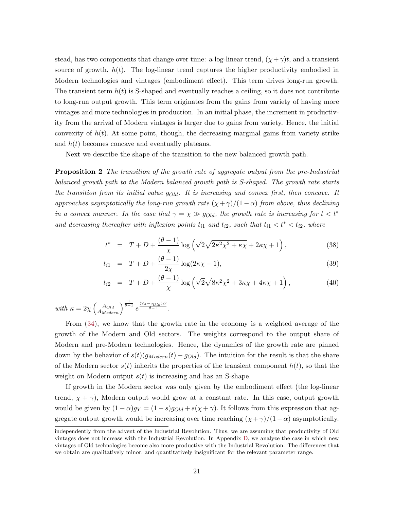<span id="page-22-0"></span>stead, has two components that change over time: a log-linear trend,  $(\chi + \gamma)t$ , and a transient source of growth,  $h(t)$ . The log-linear trend captures the higher productivity embodied in Modern technologies and vintages (embodiment effect). This term drives long-run growth. The transient term  $h(t)$  is S-shaped and eventually reaches a ceiling, so it does not contribute to long-run output growth. This term originates from the gains from variety of having more vintages and more technologies in production. In an initial phase, the increment in productivity from the arrival of Modern vintages is larger due to gains from variety. Hence, the initial convexity of  $h(t)$ . At some point, though, the decreasing marginal gains from variety strike and  $h(t)$  becomes concave and eventually plateaus.

Next we describe the shape of the transition to the new balanced growth path.

**Proposition 2** The transition of the growth rate of aggregate output from the pre-Industrial balanced growth path to the Modern balanced growth path is S-shaped. The growth rate starts the transition from its initial value  $g_{old}$ . It is increasing and convex first, then concave. It approaches asymptotically the long-run growth rate  $(\chi + \gamma)/(1-\alpha)$  from above, thus declining in a convex manner. In the case that  $\gamma = \chi \gg g_{Old}$ , the growth rate is increasing for  $t < t^*$ and decreasing thereafter with inflexion points  $t_{i1}$  and  $t_{i2}$ , such that  $t_{i1} < t^* < t_{i2}$ , where

$$
t^* = T + D + \frac{(\theta - 1)}{\chi} \log \left( \sqrt{2} \sqrt{2\kappa^2 \chi^2 + \kappa \chi} + 2\kappa \chi + 1 \right),\tag{38}
$$

$$
t_{i1} = T + D + \frac{(\theta - 1)}{2\chi} \log(2\kappa \chi + 1), \tag{39}
$$

$$
t_{i2} = T + D + \frac{(\theta - 1)}{\chi} \log \left( \sqrt{2} \sqrt{8\kappa^2 \chi^2 + 3\kappa \chi} + 4\kappa \chi + 1 \right), \tag{40}
$$

with  $\kappa = 2\chi \left(\frac{A_{Old}}{A_{Modern}}\right)^{\frac{1}{\theta-1}} e^{\frac{(2\chi - g_{Old})D}{\theta-1}}$ .

From [\(34\)](#page-21-0), we know that the growth rate in the economy is a weighted average of the growth of the Modern and Old sectors. The weights correspond to the output share of Modern and pre-Modern technologies. Hence, the dynamics of the growth rate are pinned down by the behavior of  $s(t)(g_{Modern}(t) - g_{Old})$ . The intuition for the result is that the share of the Modern sector  $s(t)$  inherits the properties of the transient component  $h(t)$ , so that the weight on Modern output  $s(t)$  is increasing and has an S-shape.

If growth in the Modern sector was only given by the embodiment effect (the log-linear trend,  $\chi + \gamma$ ), Modern output would grow at a constant rate. In this case, output growth would be given by  $(1 - \alpha)g_Y = (1 - s)g_{Old} + s(\chi + \gamma)$ . It follows from this expression that aggregate output growth would be increasing over time reaching  $(\chi + \gamma)/(1 - \alpha)$  asymptotically.

independently from the advent of the Industrial Revolution. Thus, we are assuming that productivity of Old vintages does not increase with the Industrial Revolution. In Appendix [D,](#page-49-0) we analyze the case in which new vintages of Old technologies become also more productive with the Industrial Revolution. The differences that we obtain are qualitatively minor, and quantitatively insignificant for the relevant parameter range.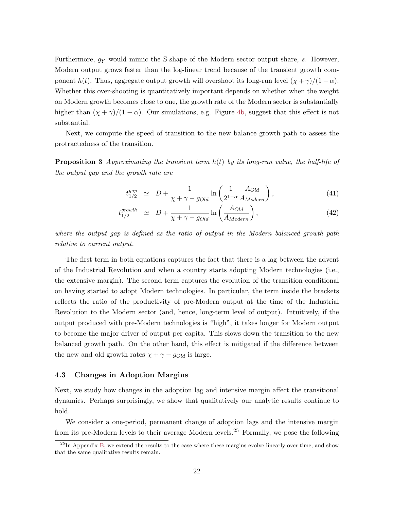<span id="page-23-0"></span>Furthermore,  $g_Y$  would mimic the S-shape of the Modern sector output share, s. However, Modern output grows faster than the log-linear trend because of the transient growth component  $h(t)$ . Thus, aggregate output growth will overshoot its long-run level  $(\chi + \gamma)/(1 - \alpha)$ . Whether this over-shooting is quantitatively important depends on whether when the weight on Modern growth becomes close to one, the growth rate of the Modern sector is substantially higher than  $(\chi + \gamma)/(1 - \alpha)$ . Our simulations, e.g. Figure [4b,](#page-41-0) suggest that this effect is not substantial.

Next, we compute the speed of transition to the new balance growth path to assess the protractedness of the transition.

**Proposition 3** Approximating the transient term  $h(t)$  by its long-run value, the half-life of the output gap and the growth rate are

$$
t_{1/2}^{gap} \simeq D + \frac{1}{\chi + \gamma - g_{Old}} \ln \left( \frac{1}{2^{1-\alpha}} \frac{A_{Old}}{A_{Modern}} \right), \tag{41}
$$

$$
t_{1/2}^{growth} \simeq D + \frac{1}{\chi + \gamma - g_{Old}} \ln \left( \frac{A_{Old}}{A_{Modern}} \right), \tag{42}
$$

where the output gap is defined as the ratio of output in the Modern balanced growth path relative to current output.

The first term in both equations captures the fact that there is a lag between the advent of the Industrial Revolution and when a country starts adopting Modern technologies (i.e., the extensive margin). The second term captures the evolution of the transition conditional on having started to adopt Modern technologies. In particular, the term inside the brackets reflects the ratio of the productivity of pre-Modern output at the time of the Industrial Revolution to the Modern sector (and, hence, long-term level of output). Intuitively, if the output produced with pre-Modern technologies is "high", it takes longer for Modern output to become the major driver of output per capita. This slows down the transition to the new balanced growth path. On the other hand, this effect is mitigated if the difference between the new and old growth rates  $\chi + \gamma - g_{Old}$  is large.

#### 4.3 Changes in Adoption Margins

Next, we study how changes in the adoption lag and intensive margin affect the transitional dynamics. Perhaps surprisingly, we show that qualitatively our analytic results continue to hold.

We consider a one-period, permanent change of adoption lags and the intensive margin from its pre-Modern levels to their average Modern levels.<sup>25</sup> Formally, we pose the following

 $^{25}$ In Appendix [B,](#page-46-0) we extend the results to the case where these margins evolve linearly over time, and show that the same qualitative results remain.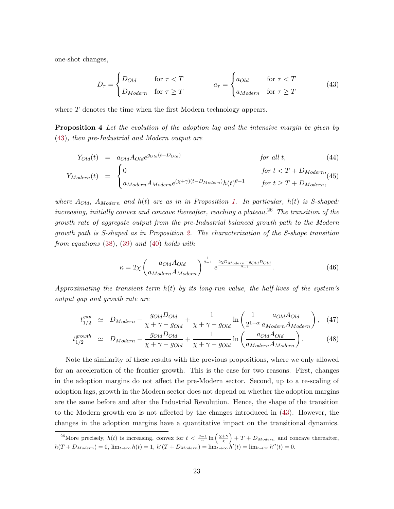<span id="page-24-0"></span>one-shot changes,

$$
D_{\tau} = \begin{cases} D_{Old} & \text{for } \tau < T \\ D_{Modern} & \text{for } \tau \ge T \end{cases} \qquad a_{\tau} = \begin{cases} a_{Old} & \text{for } \tau < T \\ a_{Modern} & \text{for } \tau \ge T \end{cases} \tag{43}
$$

where T denotes the time when the first Modern technology appears.

**Proposition 4** Let the evolution of the adoption lag and the intensive margin be given by (43), then pre-Industrial and Modern output are

$$
Y_{Old}(t) = a_{Old} A_{Old} e^{g_{Old}(t - D_{Old})}
$$
 for all t, (44)  
for  $t < T + D_{Modern}$ , (45)

$$
Y_{Modern}(t) = \begin{cases} 0 & \text{for } t < 1 + D_{Modern}, \\ a_{Modern} A_{Modern}(x+\gamma)(t-D_{Modern})h(t)^{\theta-1} & \text{for } t \ge T + D_{Modern}, \end{cases} \tag{45}
$$

where  $A_{Old}$ ,  $A_{Modern}$  and  $h(t)$  are as in in Proposition [1.](#page-21-0) In particular,  $h(t)$  is S-shaped: increasing, initially convex and concave thereafter, reaching a plateau.<sup>26</sup> The transition of the growth rate of aggregate output from the pre-Industrial balanced growth path to the Modern growth path is S-shaped as in Proposition [2.](#page-22-0) The characterization of the S-shape transition from equations [\(38\)](#page-22-0), [\(39\)](#page-22-0) and [\(40\)](#page-22-0) holds with

$$
\kappa = 2\chi \left( \frac{a_{Old} A_{Old}}{a_{Modern} A_{Modern}} \right)^{\frac{1}{\theta - 1}} e^{\frac{2\chi D_{Modern} - g_{Old} D_{Old}}{\theta - 1}}.
$$
\n(46)

Approximating the transient term  $h(t)$  by its long-run value, the half-lives of the system's output gap and growth rate are

$$
t_{1/2}^{gap} \simeq D_{Modern} - \frac{g_{Old} D_{Old}}{\chi + \gamma - g_{Old}} + \frac{1}{\chi + \gamma - g_{Old}} \ln \left( \frac{1}{2^{1-\alpha}} \frac{a_{Old} A_{Old}}{a_{Modern} A_{Modern}} \right), \quad (47)
$$

$$
t_{1/2}^{growth} \simeq D_{Modern} - \frac{g_{Old} D_{Old}}{\chi + \gamma - g_{Old}} + \frac{1}{\chi + \gamma - g_{Old}} \ln \left( \frac{a_{Old} A_{Old}}{a_{Modern} A_{Modern}} \right). \tag{48}
$$

Note the similarity of these results with the previous propositions, where we only allowed for an acceleration of the frontier growth. This is the case for two reasons. First, changes in the adoption margins do not affect the pre-Modern sector. Second, up to a re-scaling of adoption lags, growth in the Modern sector does not depend on whether the adoption margins are the same before and after the Industrial Revolution. Hence, the shape of the transition to the Modern growth era is not affected by the changes introduced in (43). However, the changes in the adoption margins have a quantitative impact on the transitional dynamics.

<sup>&</sup>lt;sup>26</sup>More precisely,  $h(t)$  is increasing, convex for  $t < \frac{\theta - 1}{\gamma} \ln\left(\frac{\chi + \gamma}{\chi}\right) + T + D_{Modern}$  and concave thereafter,  $h(T + D_{Modern}) = 0$ ,  $\lim_{t \to \infty} h(t) = 1$ ,  $h'(T + D_{Modern}) = \lim_{t \to \infty} h'(t) = \lim_{t \to \infty} h''(t) = 0$ .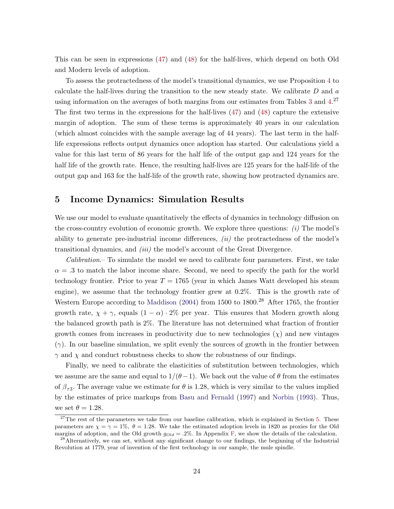<span id="page-25-0"></span>This can be seen in expressions [\(47\)](#page-24-0) and [\(48\)](#page-24-0) for the half-lives, which depend on both Old and Modern levels of adoption.

To assess the protractedness of the model's transitional dynamics, we use Proposition [4](#page-24-0) to calculate the half-lives during the transition to the new steady state. We calibrate  $D$  and  $a$ using information on the averages of both margins from our estimates from Tables [3](#page-18-0) and [4.](#page-19-0)<sup>27</sup> The first two terms in the expressions for the half-lives [\(47\)](#page-24-0) and [\(48\)](#page-24-0) capture the extensive margin of adoption. The sum of these terms is approximately 40 years in our calculation (which almost coincides with the sample average lag of 44 years). The last term in the halflife expressions reflects output dynamics once adoption has started. Our calculations yield a value for this last term of 86 years for the half life of the output gap and 124 years for the half life of the growth rate. Hence, the resulting half-lives are 125 years for the half-life of the output gap and 163 for the half-life of the growth rate, showing how protracted dynamics are.

## 5 Income Dynamics: Simulation Results

We use our model to evaluate quantitatively the effects of dynamics in technology diffusion on the cross-country evolution of economic growth. We explore three questions:  $(i)$  The model's ability to generate pre-industrial income differences,  $(ii)$  the protractedness of the model's transitional dynamics, and (iii) the model's account of the Great Divergence.

Calibration.– To simulate the model we need to calibrate four parameters. First, we take  $\alpha = 0.3$  to match the labor income share. Second, we need to specify the path for the world technology frontier. Prior to year  $T = 1765$  (year in which James Watt developed his steam engine), we assume that the technology frontier grew at 0.2%. This is the growth rate of Western Europe according to [Maddison](#page-36-0) [\(2004\)](#page-36-0) from 1500 to 1800.<sup>28</sup> After 1765, the frontier growth rate,  $\chi + \gamma$ , equals  $(1 - \alpha) \cdot 2\%$  per year. This ensures that Modern growth along the balanced growth path is 2%. The literature has not determined what fraction of frontier growth comes from increases in productivity due to new technologies  $(\chi)$  and new vintages  $(\gamma)$ . In our baseline simulation, we split evenly the sources of growth in the frontier between  $\gamma$  and  $\chi$  and conduct robustness checks to show the robustness of our findings.

Finally, we need to calibrate the elasticities of substitution between technologies, which we assume are the same and equal to  $1/(\theta - 1)$ . We back out the value of  $\theta$  from the estimates of  $\beta_{\tau_3}$ . The average value we estimate for  $\theta$  is 1.28, which is very similar to the values implied by the estimates of price markups from [Basu and Fernald](#page-35-0) [\(1997\)](#page-35-0) and [Norbin](#page-36-0) [\(1993\)](#page-36-0). Thus, we set  $\theta = 1.28$ .

<sup>&</sup>lt;sup>27</sup>The rest of the parameters we take from our baseline calibration, which is explained in Section 5. These parameters are  $\chi = \gamma = 1\%$ ,  $\theta = 1.28$ . We take the estimated adoption levels in 1820 as proxies for the Old margins of adoption, and the Old growth  $g_{Old} = .2\%$ . In Appendix [F,](#page-64-0) we show the details of the calculation.

<sup>&</sup>lt;sup>28</sup>Alternatively, we can set, without any significant change to our findings, the beginning of the Industrial Revolution at 1779, year of invention of the first technology in our sample, the mule spindle.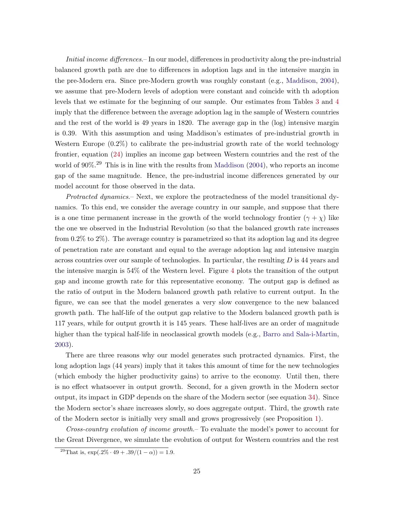Initial income differences.– In our model, differences in productivity along the pre-industrial balanced growth path are due to differences in adoption lags and in the intensive margin in the pre-Modern era. Since pre-Modern growth was roughly constant (e.g., [Maddison,](#page-36-0) [2004\)](#page-36-0), we assume that pre-Modern levels of adoption were constant and coincide with th adoption levels that we estimate for the beginning of our sample. Our estimates from Tables [3](#page-18-0) and [4](#page-19-0) imply that the difference between the average adoption lag in the sample of Western countries and the rest of the world is 49 years in 1820. The average gap in the (log) intensive margin is 0.39. With this assumption and using Maddison's estimates of pre-industrial growth in Western Europe (0.2%) to calibrate the pre-industrial growth rate of the world technology frontier, equation [\(24\)](#page-11-0) implies an income gap between Western countries and the rest of the world of 90%.<sup>29</sup> This is in line with the results from [Maddison](#page-36-0) [\(2004\)](#page-36-0), who reports an income gap of the same magnitude. Hence, the pre-industrial income differences generated by our model account for those observed in the data.

Protracted dynamics.– Next, we explore the protractedness of the model transitional dynamics. To this end, we consider the average country in our sample, and suppose that there is a one time permanent increase in the growth of the world technology frontier  $(\gamma + \chi)$  like the one we observed in the Industrial Revolution (so that the balanced growth rate increases from 0.2% to 2%). The average country is parametrized so that its adoption lag and its degree of penetration rate are constant and equal to the average adoption lag and intensive margin across countries over our sample of technologies. In particular, the resulting D is 44 years and the intensive margin is 54% of the Western level. Figure [4](#page-41-0) plots the transition of the output gap and income growth rate for this representative economy. The output gap is defined as the ratio of output in the Modern balanced growth path relative to current output. In the figure, we can see that the model generates a very slow convergence to the new balanced growth path. The half-life of the output gap relative to the Modern balanced growth path is 117 years, while for output growth it is 145 years. These half-lives are an order of magnitude higher than the typical half-life in neoclassical growth models (e.g., [Barro and Sala-i-Martin,](#page-35-0) [2003\)](#page-35-0).

There are three reasons why our model generates such protracted dynamics. First, the long adoption lags (44 years) imply that it takes this amount of time for the new technologies (which embody the higher productivity gains) to arrive to the economy. Until then, there is no effect whatsoever in output growth. Second, for a given growth in the Modern sector output, its impact in GDP depends on the share of the Modern sector (see equation [34\)](#page-21-0). Since the Modern sector's share increases slowly, so does aggregate output. Third, the growth rate of the Modern sector is initially very small and grows progressively (see Proposition [1\)](#page-21-0).

Cross-country evolution of income growth.– To evaluate the model's power to account for the Great Divergence, we simulate the evolution of output for Western countries and the rest

<sup>&</sup>lt;sup>29</sup>That is,  $\exp(.2\% \cdot 49 + .39/(1 - \alpha)) = 1.9$ .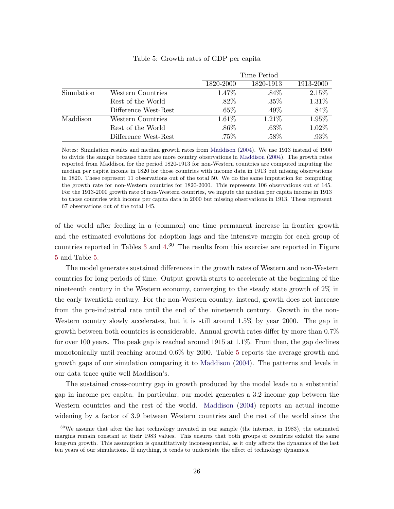|            |                      |           | Time Period |           |
|------------|----------------------|-----------|-------------|-----------|
|            |                      | 1820-2000 | 1820-1913   | 1913-2000 |
| Simulation | Western Countries    | 1.47\%    | $.84\%$     | 2.15%     |
|            | Rest of the World    | $.82\%$   | $.35\%$     | 1.31%     |
|            | Difference West-Rest | $.65\%$   | $.49\%$     | $.84\%$   |
| Maddison   | Western Countries    | $1.61\%$  | $1.21\%$    | 1.95%     |
|            | Rest of the World    | $.86\%$   | $.63\%$     | 1.02%     |
|            | Difference West-Rest | $.75\%$   | $.58\%$     | .93%      |

#### Table 5: Growth rates of GDP per capita

Notes: Simulation results and median growth rates from [Maddison](#page-36-0) [\(2004\)](#page-36-0). We use 1913 instead of 1900 to divide the sample because there are more country observations in [Maddison](#page-36-0) [\(2004\)](#page-36-0). The growth rates reported from Maddison for the period 1820-1913 for non-Western countries are computed imputing the median per capita income in 1820 for those countries with income data in 1913 but missing observations in 1820. These represent 11 observations out of the total 50. We do the same imputation for computing the growth rate for non-Western countries for 1820-2000. This represents 106 observations out of 145. For the 1913-2000 growth rate of non-Western countries, we impute the median per capita income in 1913 to those countries with income per capita data in 2000 but missing observations in 1913. These represent 67 observations out of the total 145.

of the world after feeding in a (common) one time permanent increase in frontier growth and the estimated evolutions for adoption lags and the intensive margin for each group of countries reported in Tables [3](#page-18-0) and [4.](#page-19-0) <sup>30</sup> The results from this exercise are reported in Figure [5](#page-41-0) and Table 5.

The model generates sustained differences in the growth rates of Western and non-Western countries for long periods of time. Output growth starts to accelerate at the beginning of the nineteenth century in the Western economy, converging to the steady state growth of 2% in the early twentieth century. For the non-Western country, instead, growth does not increase from the pre-industrial rate until the end of the nineteenth century. Growth in the non-Western country slowly accelerates, but it is still around 1.5% by year 2000. The gap in growth between both countries is considerable. Annual growth rates differ by more than 0.7% for over 100 years. The peak gap is reached around 1915 at 1.1%. From then, the gap declines monotonically until reaching around 0.6% by 2000. Table 5 reports the average growth and growth gaps of our simulation comparing it to [Maddison](#page-36-0) [\(2004\)](#page-36-0). The patterns and levels in our data trace quite well Maddison's.

The sustained cross-country gap in growth produced by the model leads to a substantial gap in income per capita. In particular, our model generates a 3.2 income gap between the Western countries and the rest of the world. [Maddison](#page-36-0) [\(2004\)](#page-36-0) reports an actual income widening by a factor of 3.9 between Western countries and the rest of the world since the

 $30\,\text{We assume that after the last technology invented in our sample (the internet, in 1983), the estimated$ margins remain constant at their 1983 values. This ensures that both groups of countries exhibit the same long-run growth. This assumption is quantitatively inconsequential, as it only affects the dynamics of the last ten years of our simulations. If anything, it tends to understate the effect of technology dynamics.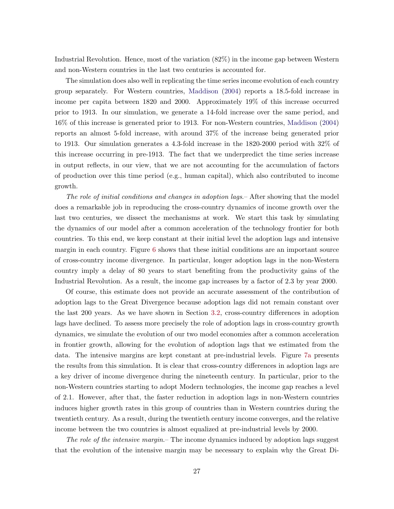Industrial Revolution. Hence, most of the variation (82%) in the income gap between Western and non-Western countries in the last two centuries is accounted for.

The simulation does also well in replicating the time series income evolution of each country group separately. For Western countries, [Maddison](#page-36-0) [\(2004\)](#page-36-0) reports a 18.5-fold increase in income per capita between 1820 and 2000. Approximately 19% of this increase occurred prior to 1913. In our simulation, we generate a 14-fold increase over the same period, and 16% of this increase is generated prior to 1913. For non-Western countries, [Maddison](#page-36-0) [\(2004\)](#page-36-0) reports an almost 5-fold increase, with around 37% of the increase being generated prior to 1913. Our simulation generates a 4.3-fold increase in the 1820-2000 period with 32% of this increase occurring in pre-1913. The fact that we underpredict the time series increase in output reflects, in our view, that we are not accounting for the accumulation of factors of production over this time period (e.g., human capital), which also contributed to income growth.

The role of initial conditions and changes in adoption lags.– After showing that the model does a remarkable job in reproducing the cross-country dynamics of income growth over the last two centuries, we dissect the mechanisms at work. We start this task by simulating the dynamics of our model after a common acceleration of the technology frontier for both countries. To this end, we keep constant at their initial level the adoption lags and intensive margin in each country. Figure [6](#page-42-0) shows that these initial conditions are an important source of cross-country income divergence. In particular, longer adoption lags in the non-Western country imply a delay of 80 years to start benefiting from the productivity gains of the Industrial Revolution. As a result, the income gap increases by a factor of 2.3 by year 2000.

Of course, this estimate does not provide an accurate assessment of the contribution of adoption lags to the Great Divergence because adoption lags did not remain constant over the last 200 years. As we have shown in Section [3.2,](#page-14-0) cross-country differences in adoption lags have declined. To assess more precisely the role of adoption lags in cross-country growth dynamics, we simulate the evolution of our two model economies after a common acceleration in frontier growth, allowing for the evolution of adoption lags that we estimated from the data. The intensive margins are kept constant at pre-industrial levels. Figure [7a](#page-42-0) presents the results from this simulation. It is clear that cross-country differences in adoption lags are a key driver of income divergence during the nineteenth century. In particular, prior to the non-Western countries starting to adopt Modern technologies, the income gap reaches a level of 2.1. However, after that, the faster reduction in adoption lags in non-Western countries induces higher growth rates in this group of countries than in Western countries during the twentieth century. As a result, during the twentieth century income converges, and the relative income between the two countries is almost equalized at pre-industrial levels by 2000.

The role of the intensive margin.– The income dynamics induced by adoption lags suggest that the evolution of the intensive margin may be necessary to explain why the Great Di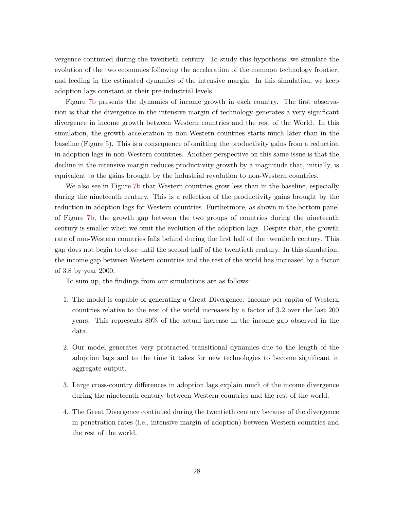vergence continued during the twentieth century. To study this hypothesis, we simulate the evolution of the two economies following the acceleration of the common technology frontier, and feeding in the estimated dynamics of the intensive margin. In this simulation, we keep adoption lags constant at their pre-industrial levels.

Figure [7b](#page-42-0) presents the dynamics of income growth in each country. The first observation is that the divergence in the intensive margin of technology generates a very significant divergence in income growth between Western countries and the rest of the World. In this simulation, the growth acceleration in non-Western countries starts much later than in the baseline (Figure [5\)](#page-41-0). This is a consequence of omitting the productivity gains from a reduction in adoption lags in non-Western countries. Another perspective on this same issue is that the decline in the intensive margin reduces productivity growth by a magnitude that, initially, is equivalent to the gains brought by the industrial revolution to non-Western countries.

We also see in Figure [7b](#page-42-0) that Western countries grow less than in the baseline, especially during the nineteenth century. This is a reflection of the productivity gains brought by the reduction in adoption lags for Western countries. Furthermore, as shown in the bottom panel of Figure [7b,](#page-42-0) the growth gap between the two groups of countries during the nineteenth century is smaller when we omit the evolution of the adoption lags. Despite that, the growth rate of non-Western countries falls behind during the first half of the twentieth century. This gap does not begin to close until the second half of the twentieth century. In this simulation, the income gap between Western countries and the rest of the world has increased by a factor of 3.8 by year 2000.

To sum up, the findings from our simulations are as follows:

- 1. The model is capable of generating a Great Divergence. Income per capita of Western countries relative to the rest of the world increases by a factor of 3.2 over the last 200 years. This represents 80% of the actual increase in the income gap observed in the data.
- 2. Our model generates very protracted transitional dynamics due to the length of the adoption lags and to the time it takes for new technologies to become significant in aggregate output.
- 3. Large cross-country differences in adoption lags explain much of the income divergence during the nineteenth century between Western countries and the rest of the world.
- 4. The Great Divergence continued during the twentieth century because of the divergence in penetration rates (i.e., intensive margin of adoption) between Western countries and the rest of the world.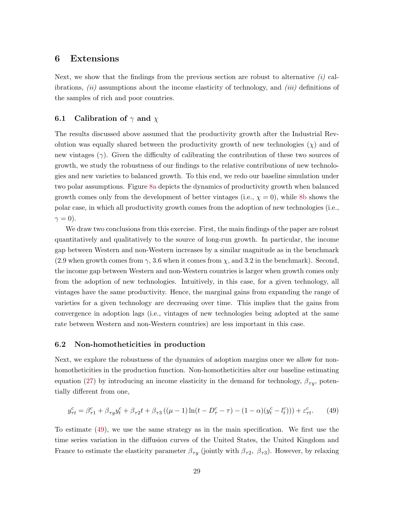### <span id="page-30-0"></span>6 Extensions

Next, we show that the findings from the previous section are robust to alternative  $(i)$  calibrations,  $(ii)$  assumptions about the income elasticity of technology, and  $(iii)$  definitions of the samples of rich and poor countries.

### 6.1 Calibration of  $\gamma$  and  $\chi$

The results discussed above assumed that the productivity growth after the Industrial Revolution was equally shared between the productivity growth of new technologies  $(\chi)$  and of new vintages  $(\gamma)$ . Given the difficulty of calibrating the contribution of these two sources of growth, we study the robustness of our findings to the relative contributions of new technologies and new varieties to balanced growth. To this end, we redo our baseline simulation under two polar assumptions. Figure [8a](#page-43-0) depicts the dynamics of productivity growth when balanced growth comes only from the development of better vintages (i.e.,  $\chi = 0$ ), while [8b](#page-43-0) shows the polar case, in which all productivity growth comes from the adoption of new technologies (i.e.,  $\gamma = 0$ ).

We draw two conclusions from this exercise. First, the main findings of the paper are robust quantitatively and qualitatively to the source of long-run growth. In particular, the income gap between Western and non-Western increases by a similar magnitude as in the benchmark (2.9 when growth comes from  $\gamma$ , 3.6 when it comes from  $\chi$ , and 3.2 in the benchmark). Second, the income gap between Western and non-Western countries is larger when growth comes only from the adoption of new technologies. Intuitively, in this case, for a given technology, all vintages have the same productivity. Hence, the marginal gains from expanding the range of varieties for a given technology are decreasing over time. This implies that the gains from convergence in adoption lags (i.e., vintages of new technologies being adopted at the same rate between Western and non-Western countries) are less important in this case.

#### 6.2 Non-homotheticities in production

Next, we explore the robustness of the dynamics of adoption margins once we allow for nonhomotheticities in the production function. Non-homotheticities alter our baseline estimating equation [\(27\)](#page-12-0) by introducing an income elasticity in the demand for technology,  $\beta_{\tau y}$ , potentially different from one,

$$
y_{\tau t}^c = \beta_{\tau 1}^c + \beta_{\tau y} y_t^c + \beta_{\tau 2} t + \beta_{\tau 3} \left( (\mu - 1) \ln(t - D_{\tau}^c - \tau) - (1 - \alpha)(y_t^c - l_t^c) \right) + \varepsilon_{\tau t}^c. \tag{49}
$$

To estimate (49), we use the same strategy as in the main specification. We first use the time series variation in the diffusion curves of the United States, the United Kingdom and France to estimate the elasticity parameter  $\beta_{\tau y}$  (jointly with  $\beta_{\tau 2}$ ,  $\beta_{\tau 3}$ ). However, by relaxing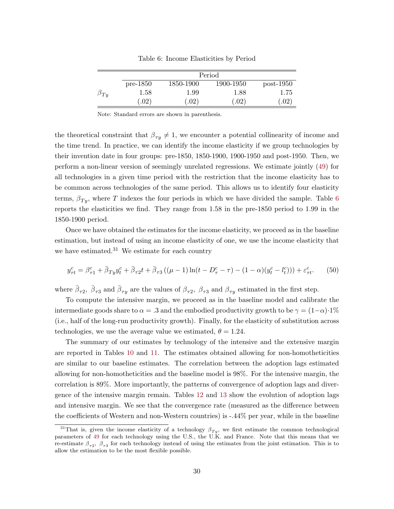|             |               |           | Period    |               |
|-------------|---------------|-----------|-----------|---------------|
|             | $pre-1850$    | 1850-1900 | 1900-1950 | $post-1950$   |
| $\rho_{Ty}$ | 1.58          | 1.99      | 1.88      | 1.75          |
|             | $.02^{\circ}$ | .02)      | .02)      | $.02^{\circ}$ |

Table 6: Income Elasticities by Period

Note: Standard errors are shown in parenthesis.

the theoretical constraint that  $\beta_{\tau y} \neq 1$ , we encounter a potential collinearity of income and the time trend. In practice, we can identify the income elasticity if we group technologies by their invention date in four groups: pre-1850, 1850-1900, 1900-1950 and post-1950. Then, we perform a non-linear version of seemingly unrelated regressions. We estimate jointly [\(49\)](#page-30-0) for all technologies in a given time period with the restriction that the income elasticity has to be common across technologies of the same period. This allows us to identify four elasticity terms,  $\beta_{T_u}$ , where T indexes the four periods in which we have divided the sample. Table 6 reports the elasticities we find. They range from 1.58 in the pre-1850 period to 1.99 in the 1850-1900 period.

Once we have obtained the estimates for the income elasticity, we proceed as in the baseline estimation, but instead of using an income elasticity of one, we use the income elasticity that we have estimated. $31$  We estimate for each country

$$
y_{\tau t}^c = \beta_{\tau 1}^c + \bar{\beta}_{T y} y_t^c + \bar{\beta}_{\tau 2} t + \bar{\beta}_{\tau 3} ((\mu - 1) \ln(t - D_{\tau}^c - \tau) - (1 - \alpha)(y_t^c - l_t^c)) + \varepsilon_{\tau t}^c.
$$
 (50)

where  $\bar{\beta}_{\tau 2}$ ,  $\bar{\beta}_{\tau 3}$  and  $\bar{\beta}_{\tau y}$  are the values of  $\beta_{\tau 2}$ ,  $\beta_{\tau 3}$  and  $\beta_{\tau y}$  estimated in the first step.

To compute the intensive margin, we proceed as in the baseline model and calibrate the intermediate goods share to  $\alpha = .3$  and the embodied productivity growth to be  $\gamma = (1-\alpha) \cdot 1\%$ (i.e., half of the long-run productivity growth). Finally, for the elasticity of substitution across technologies, we use the average value we estimated,  $\theta = 1.24$ .

The summary of our estimates by technology of the intensive and the extensive margin are reported in Tables [10](#page-38-0) and [11.](#page-39-0) The estimates obtained allowing for non-homotheticities are similar to our baseline estimates. The correlation between the adoption lags estimated allowing for non-homotheticities and the baseline model is 98%. For the intensive margin, the correlation is 89%. More importantly, the patterns of convergence of adoption lags and divergence of the intensive margin remain. Tables [12](#page-40-0) and [13](#page-40-0) show the evolution of adoption lags and intensive margin. We see that the convergence rate (measured as the difference between the coefficients of Western and non-Western countries) is -.44% per year, while in the baseline

<sup>&</sup>lt;sup>31</sup>That is, given the income elasticity of a technology  $\beta_{Ty}$ , we first estimate the common technological parameters of [49](#page-30-0) for each technology using the U.S., the U.K. and France. Note that this means that we re-estimate  $\beta_{\tau^2}$ ,  $\beta_{\tau^3}$  for each technology instead of using the estimates from the joint estimation. This is to allow the estimation to be the most flexible possible.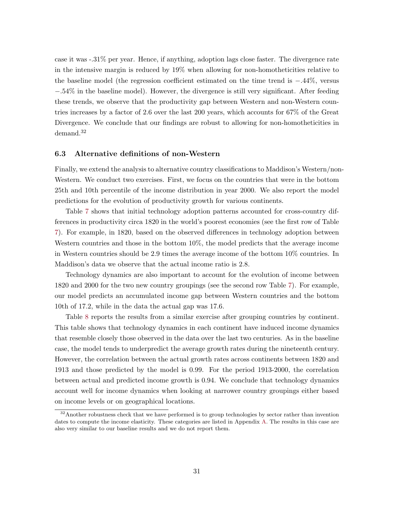case it was -.31% per year. Hence, if anything, adoption lags close faster. The divergence rate in the intensive margin is reduced by 19% when allowing for non-homotheticities relative to the baseline model (the regression coefficient estimated on the time trend is −.44%, versus −.54% in the baseline model). However, the divergence is still very significant. After feeding these trends, we observe that the productivity gap between Western and non-Western countries increases by a factor of 2.6 over the last 200 years, which accounts for 67% of the Great Divergence. We conclude that our findings are robust to allowing for non-homotheticities in demand.<sup>32</sup>

#### 6.3 Alternative definitions of non-Western

Finally, we extend the analysis to alternative country classifications to Maddison's Western/non-Western. We conduct two exercises. First, we focus on the countries that were in the bottom 25th and 10th percentile of the income distribution in year 2000. We also report the model predictions for the evolution of productivity growth for various continents.

Table [7](#page-33-0) shows that initial technology adoption patterns accounted for cross-country differences in productivity circa 1820 in the world's poorest economies (see the first row of Table [7\)](#page-33-0). For example, in 1820, based on the observed differences in technology adoption between Western countries and those in the bottom 10%, the model predicts that the average income in Western countries should be 2.9 times the average income of the bottom 10% countries. In Maddison's data we observe that the actual income ratio is 2.8.

Technology dynamics are also important to account for the evolution of income between 1820 and 2000 for the two new country groupings (see the second row Table [7\)](#page-33-0). For example, our model predicts an accumulated income gap between Western countries and the bottom 10th of 17.2, while in the data the actual gap was 17.6.

Table [8](#page-33-0) reports the results from a similar exercise after grouping countries by continent. This table shows that technology dynamics in each continent have induced income dynamics that resemble closely those observed in the data over the last two centuries. As in the baseline case, the model tends to underpredict the average growth rates during the nineteenth century. However, the correlation between the actual growth rates across continents between 1820 and 1913 and those predicted by the model is 0.99. For the period 1913-2000, the correlation between actual and predicted income growth is 0.94. We conclude that technology dynamics account well for income dynamics when looking at narrower country groupings either based on income levels or on geographical locations.

<sup>&</sup>lt;sup>32</sup> Another robustness check that we have performed is to group technologies by sector rather than invention dates to compute the income elasticity. These categories are listed in Appendix [A.](#page-44-0) The results in this case are also very similar to our baseline results and we do not report them.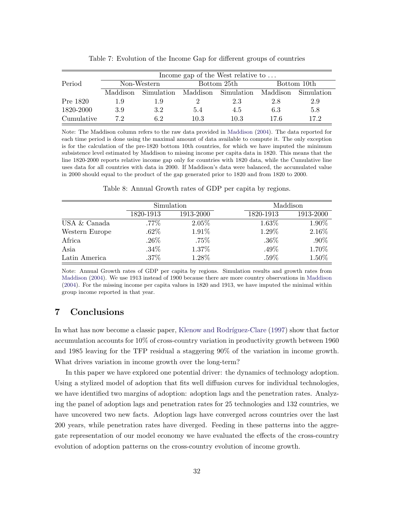<span id="page-33-0"></span>

|            |          | Income gap of the West relative to |      |                                |          |              |  |  |  |
|------------|----------|------------------------------------|------|--------------------------------|----------|--------------|--|--|--|
| Period     |          | Non-Western                        |      | Bottom 25th                    |          | Bottom 10th  |  |  |  |
|            | Maddison |                                    |      | Simulation Maddison Simulation | Maddison | - Simulation |  |  |  |
| Pre 1820   | 1.9      | 1.9                                |      | 2.3                            | 2.8      | 2.9          |  |  |  |
| 1820-2000  | 3.9      | 3.2                                | 5.4  | 4.5                            | 6.3      | 5.8          |  |  |  |
| Cumulative | 72       | 6.2                                | 10.3 | 10.3                           | 17 6     | 17.2         |  |  |  |

Table 7: Evolution of the Income Gap for different groups of countries

Note: The Maddison column refers to the raw data provided in [Maddison](#page-36-0) [\(2004\)](#page-36-0). The data reported for each time period is done using the maximal amount of data available to compute it. The only exception is for the calculation of the pre-1820 bottom 10th countries, for which we have imputed the minimum subsistence level estimated by Maddison to missing income per capita data in 1820. This means that the line 1820-2000 reports relative income gap only for countries with 1820 data, while the Cumulative line uses data for all countries with data in 2000. If Maddison's data were balanced, the accumulated value in 2000 should equal to the product of the gap generated prior to 1820 and from 1820 to 2000.

Table 8: Annual Growth rates of GDP per capita by regions.

|                |           | Simulation |           | Maddison  |  |  |
|----------------|-----------|------------|-----------|-----------|--|--|
|                | 1820-1913 | 1913-2000  | 1820-1913 | 1913-2000 |  |  |
| USA & Canada   | $.77\%$   | $2.05\%$   | $1.63\%$  | 1.90%     |  |  |
| Western Europe | $.62\%$   | 1.91%      | 1.29%     | 2.16%     |  |  |
| Africa         | $.26\%$   | .75%       | $.36\%$   | $.90\%$   |  |  |
| Asia           | $.34\%$   | 1.37%      | $.49\%$   | 1.70%     |  |  |
| Latin America  | .37%      | 1.28%      | .59%      | 1.50%     |  |  |

Note: Annual Growth rates of GDP per capita by regions. Simulation results and growth rates from [Maddison](#page-36-0) [\(2004\)](#page-36-0). We use 1913 instead of 1900 because there are more country observations in [Maddison](#page-36-0) [\(2004\)](#page-36-0). For the missing income per capita values in 1820 and 1913, we have imputed the minimal within group income reported in that year.

## 7 Conclusions

In what has now become a classic paper, Klenow and Rodríguez-Clare [\(1997\)](#page-36-0) show that factor accumulation accounts for 10% of cross-country variation in productivity growth between 1960 and 1985 leaving for the TFP residual a staggering 90% of the variation in income growth. What drives variation in income growth over the long-term?

In this paper we have explored one potential driver: the dynamics of technology adoption. Using a stylized model of adoption that fits well diffusion curves for individual technologies, we have identified two margins of adoption: adoption lags and the penetration rates. Analyzing the panel of adoption lags and penetration rates for 25 technologies and 132 countries, we have uncovered two new facts. Adoption lags have converged across countries over the last 200 years, while penetration rates have diverged. Feeding in these patterns into the aggregate representation of our model economy we have evaluated the effects of the cross-country evolution of adoption patterns on the cross-country evolution of income growth.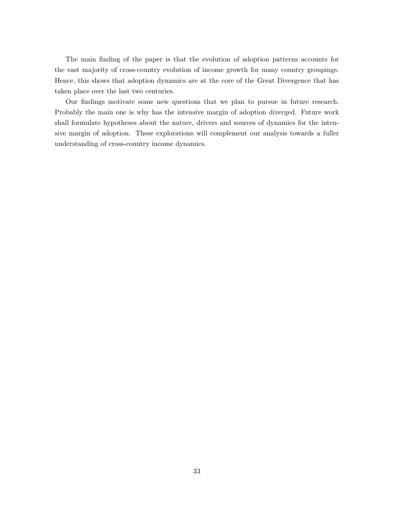The main finding of the paper is that the evolution of adoption patterns accounts for the vast majority of cross-country evolution of income growth for many country groupings. Hence, this shows that adoption dynamics are at the core of the Great Divergence that has taken place over the last two centuries.

Our findings motivate some new questions that we plan to pursue in future research. Probably the main one is why has the intensive margin of adoption diverged. Future work shall formulate hypotheses about the nature, drivers and sources of dynamics for the intensive margin of adoption. These explorations will complement our analysis towards a fuller understanding of cross-country income dynamics.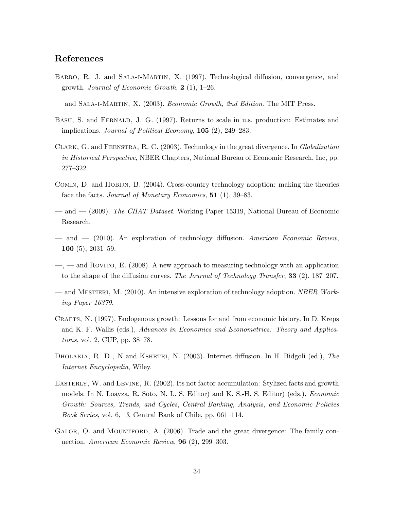## <span id="page-35-0"></span>References

- Barro, R. J. and Sala-i-Martin, X. (1997). Technological diffusion, convergence, and growth. Journal of Economic Growth,  $2(1)$ , 1–26.
- and Sala-i-Martin, X. (2003). Economic Growth, 2nd Edition. The MIT Press.
- Basu, S. and Fernald, J. G. (1997). Returns to scale in u.s. production: Estimates and implications. Journal of Political Economy,  $105$  (2), 249–283.
- Clark, G. and Feenstra, R. C. (2003). Technology in the great divergence. In Globalization in Historical Perspective, NBER Chapters, National Bureau of Economic Research, Inc, pp. 277–322.
- Comin, D. and Hobijn, B. (2004). Cross-country technology adoption: making the theories face the facts. Journal of Monetary Economics, 51 (1), 39–83.
- and (2009). The CHAT Dataset. Working Paper 15319, National Bureau of Economic Research.
- $-$  and  $-$  (2010). An exploration of technology diffusion. American Economic Review, 100 (5), 2031–59.
- —, and Rovito, E. (2008). A new approach to measuring technology with an application to the shape of the diffusion curves. The Journal of Technology Transfer, 33 (2), 187–207.
- and MESTIERI, M. (2010). An intensive exploration of technology adoption. NBER Working Paper 16379.
- CRAFTS, N. (1997). Endogenous growth: Lessons for and from economic history. In D. Kreps and K. F. Wallis (eds.), Advances in Economics and Econometrics: Theory and Applications, vol. 2, CUP, pp. 38–78.
- DHOLAKIA, R. D., N and KSHETRI, N. (2003). Internet diffusion. In H. Bidgoli (ed.), The Internet Encyclopedia, Wiley.
- Easterly, W. and Levine, R. (2002). Its not factor accumulation: Stylized facts and growth models. In N. Loayza, R. Soto, N. L. S. Editor) and K. S.-H. S. Editor) (eds.), Economic Growth: Sources, Trends, and Cycles, Central Banking, Analysis, and Economic Policies Book Series, vol. 6, 3, Central Bank of Chile, pp. 061–114.
- GALOR, O. and MOUNTFORD, A. (2006). Trade and the great divergence: The family connection. American Economic Review, 96 (2), 299-303.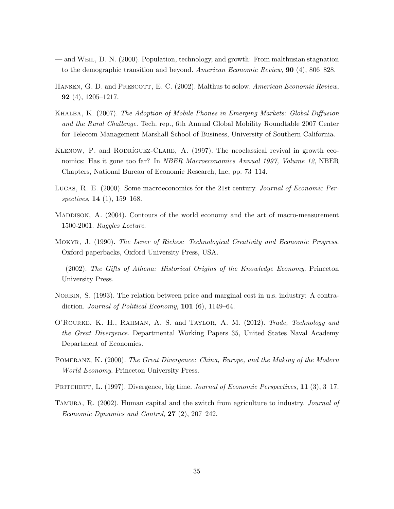- <span id="page-36-0"></span>— and Weil, D. N. (2000). Population, technology, and growth: From malthusian stagnation to the demographic transition and beyond. American Economic Review, **90** (4), 806–828.
- HANSEN, G. D. and PRESCOTT, E. C. (2002). Malthus to solow. American Economic Review, 92 (4), 1205–1217.
- Khalba, K. (2007). The Adoption of Mobile Phones in Emerging Markets: Global Diffusion and the Rural Challenge. Tech. rep., 6th Annual Global Mobility Roundtable 2007 Center for Telecom Management Marshall School of Business, University of Southern California.
- KLENOW, P. and RODRÍGUEZ-CLARE, A.  $(1997)$ . The neoclassical revival in growth economics: Has it gone too far? In *NBER Macroeconomics Annual 1997, Volume 12*, NBER Chapters, National Bureau of Economic Research, Inc, pp. 73–114.
- Lucas, R. E. (2000). Some macroeconomics for the 21st century. Journal of Economic Perspectives, **14** (1), **159–168**.
- MADDISON, A. (2004). Contours of the world economy and the art of macro-measurement 1500-2001. Ruggles Lecture.
- Mokyr, J. (1990). The Lever of Riches: Technological Creativity and Economic Progress. Oxford paperbacks, Oxford University Press, USA.
- (2002). The Gifts of Athena: Historical Origins of the Knowledge Economy. Princeton University Press.
- NORBIN, S. (1993). The relation between price and marginal cost in u.s. industry: A contradiction. Journal of Political Economy,  $101$  (6), 1149–64.
- O'Rourke, K. H., Rahman, A. S. and Taylor, A. M. (2012). Trade, Technology and the Great Divergence. Departmental Working Papers 35, United States Naval Academy Department of Economics.
- Pomeranz, K. (2000). The Great Divergence: China, Europe, and the Making of the Modern World Economy. Princeton University Press.
- PRITCHETT, L. (1997). Divergence, big time. *Journal of Economic Perspectives*, 11 (3), 3–17.
- TAMURA, R. (2002). Human capital and the switch from agriculture to industry. *Journal of* Economic Dynamics and Control, 27 (2), 207–242.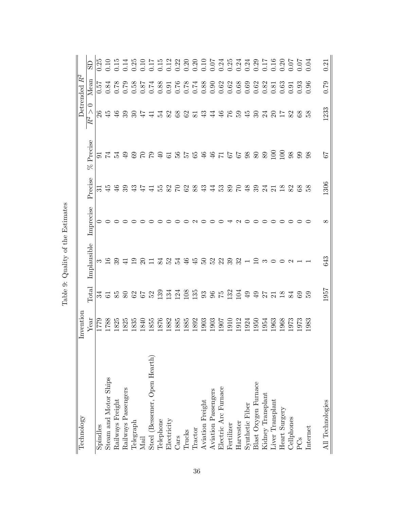<span id="page-37-0"></span>

| Technology                                | Invention                                                                                              |                                                             |                             |           |                     |                                 |                              | Detrended $R^2$ |      |
|-------------------------------------------|--------------------------------------------------------------------------------------------------------|-------------------------------------------------------------|-----------------------------|-----------|---------------------|---------------------------------|------------------------------|-----------------|------|
|                                           | Year                                                                                                   | Total                                                       | Implausible                 | Imprecise | Precise             | Precise<br>$8^{\circ}$          | $\circ$<br>$\wedge$<br>$R^2$ | Mean            | GS   |
| Spindles                                  | 1779                                                                                                   |                                                             |                             |           | $\overline{31}$     |                                 |                              | 0.57            | 0.25 |
| Steam and Motor Ships                     | 1788                                                                                                   |                                                             | ന $\Xi$                     |           | $\frac{45}{4}$      |                                 | 26                           |                 |      |
| Railways Freight                          | 1825                                                                                                   |                                                             | 39                          |           | $\frac{4}{6}$       |                                 | $\frac{6}{4}$                |                 |      |
| Railways Passengers                       |                                                                                                        |                                                             |                             |           | 39                  |                                 | 30 <sub>3</sub>              |                 |      |
| Telegraph                                 | 1825<br>1835                                                                                           | ส ๘ ๘ ๘ ๘ ๘ ๘ ฉี ฉี ฉี ๘ ๘ ๘ ๘ ๘ ๘ ฉี ฉี ฉี ฉี ฉี ๘ ๘ ๘ ๑ ๑ | $\frac{1}{4}$ $\frac{1}{2}$ |           | $\ddot{4}$          | 9 2 3 3 4 5 6 7 8 9 8 9 8 7 8 9 |                              |                 |      |
| $\rm Mail$                                | 1840                                                                                                   |                                                             |                             |           | $\ddot{4}$          |                                 | $\overline{47}$              |                 |      |
| Steel (Bessemer, Open Hearth)             | 1855                                                                                                   |                                                             |                             |           | $\overline{41}$     |                                 | $\overline{41}$              |                 |      |
| Telephone                                 | 876                                                                                                    |                                                             |                             |           | ξq                  |                                 |                              |                 |      |
| Electricity                               | 1882<br>1885<br>1892                                                                                   |                                                             | 31333499                    |           | 82                  |                                 | 528253                       |                 |      |
| Cars                                      |                                                                                                        |                                                             |                             |           | $\beta$             |                                 |                              |                 |      |
| Trucks                                    |                                                                                                        |                                                             |                             |           | 62                  |                                 |                              |                 |      |
| Tractor                                   |                                                                                                        |                                                             |                             |           | 88                  |                                 |                              |                 |      |
| Aviation Freight                          |                                                                                                        |                                                             | PS                          |           | 43                  |                                 |                              |                 |      |
| Aviation Passengers                       | $\begin{array}{l} 1903 \\ 1903 \\ 1910 \\ 1911 \\ 1912 \\ 1913 \\ 1950 \\ 1954 \\ 1954 \\ \end{array}$ |                                                             | 223                         |           | $\ddot{4}$          | 46                              | $\overline{4}$               |                 |      |
| Electric Arc Furnace                      |                                                                                                        |                                                             |                             |           | <u>ິ</u> 53         |                                 | 46                           |                 |      |
| Fertilizer                                |                                                                                                        |                                                             |                             |           |                     | <b>SE &amp; &amp; &amp; 337</b> | 76945                        |                 |      |
| Harvester                                 |                                                                                                        |                                                             | $\frac{23}{10}$             |           | 5 \$                |                                 |                              |                 |      |
| Synthetic Fiber                           |                                                                                                        |                                                             |                             |           |                     |                                 |                              |                 |      |
|                                           |                                                                                                        |                                                             |                             |           | 39                  |                                 | $30\,$                       |                 |      |
| Blast Oxygen Furnace<br>Kidney Transplant |                                                                                                        |                                                             | ಌ                           |           | $\mathbb{Z}^4$      |                                 | $^{24}$                      |                 |      |
| Liver Transplant                          | .963                                                                                                   |                                                             | $\circ$ $\circ$             |           | $\overline{\Omega}$ |                                 | $\Omega$                     |                 |      |
| Heart Surgery                             | 968                                                                                                    |                                                             |                             |           | $\frac{8}{10}$      |                                 |                              |                 |      |
| Cellphones                                | $\frac{973}{973}$                                                                                      |                                                             | $\sim$                      |           | 82                  | 98                              | 82                           |                 |      |
| PCs                                       |                                                                                                        |                                                             |                             |           | 8 <sup>o</sup>      | 99                              | 8 <sup>o</sup>               |                 |      |
| Internet                                  | 983                                                                                                    |                                                             |                             |           | $\frac{8}{2}$       | 98                              | 38                           | 0.96            |      |
| All Technologies                          |                                                                                                        | 1957                                                        | 643                         | $\infty$  | 1306                | 79                              | 1233                         | 0.79            | 0.21 |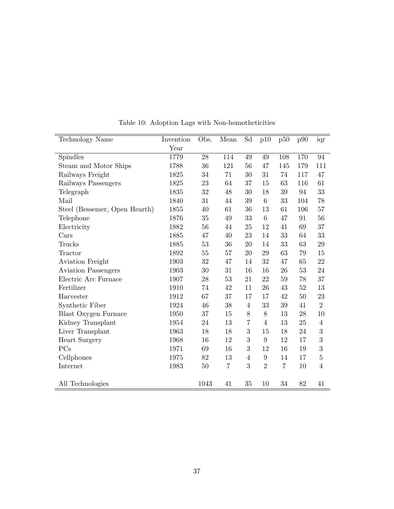<span id="page-38-0"></span>

| <b>Technology Name</b>        | Invention | Obs. | Mean           | Sd               | p10             | p50            | p90 | iqr              |
|-------------------------------|-----------|------|----------------|------------------|-----------------|----------------|-----|------------------|
|                               | Year      |      |                |                  |                 |                |     |                  |
| Spindles                      | 1779      | 28   | 114            | 49               | 49              | 108            | 170 | 94               |
| Steam and Motor Ships         | 1788      | 36   | 121            | 56               | 47              | 145            | 179 | 111              |
| Railways Freight              | 1825      | 34   | 71             | 30               | 31              | 74             | 117 | 47               |
| Railways Passengers           | 1825      | 23   | 64             | 37               | 15              | 63             | 116 | 61               |
| Telegraph                     | 1835      | 32   | 48             | 30               | 18              | 39             | 94  | 33               |
| Mail                          | 1840      | 31   | 44             | 39               | $6\phantom{.}6$ | 33             | 104 | 78               |
| Steel (Bessemer, Open Hearth) | 1855      | 40   | 61             | 36               | 13              | 61             | 106 | 57               |
| Telephone                     | 1876      | 35   | 49             | 33               | 6               | 47             | 91  | 56               |
| Electricity                   | 1882      | 56   | 44             | 25               | 12              | 41             | 69  | 37               |
| Cars                          | 1885      | 47   | 40             | 23               | 14              | 33             | 64  | 33               |
| Trucks                        | 1885      | 53   | 36             | 20               | 14              | 33             | 63  | $\,29$           |
| Tractor                       | 1892      | 55   | 57             | 20               | 29              | 63             | 79  | 15               |
| Aviation Freight              | 1903      | 32   | 47             | 14               | 32              | 47             | 65  | 22               |
| <b>Aviation Passengers</b>    | 1903      | 30   | 31             | 16               | 16              | 26             | 53  | 24               |
| Electric Arc Furnace          | 1907      | 28   | 53             | 21               | 22              | 59             | 78  | 37               |
| Fertilizer                    | 1910      | 74   | 42             | 11               | 26              | 43             | 52  | 13               |
| Harvester                     | 1912      | 67   | 37             | 17               | 17              | 42             | 50  | 23               |
| Synthetic Fiber               | 1924      | 46   | 38             | $\overline{4}$   | 33              | $39\,$         | 41  | $\overline{2}$   |
| <b>Blast Oxygen Furnace</b>   | 1950      | 37   | $15\,$         | $8\,$            | $8\,$           | 13             | 28  | 10               |
| Kidney Transplant             | 1954      | 24   | 13             | $\overline{7}$   | $\overline{4}$  | 13             | 25  | $\overline{4}$   |
| Liver Transplant              | 1963      | 18   | 18             | $\boldsymbol{3}$ | 15              | 18             | 24  | $\boldsymbol{3}$ |
| Heart Surgery                 | 1968      | 16   | 12             | 3                | 9               | 12             | 17  | $\boldsymbol{3}$ |
| PCs                           | 1971      | 69   | 16             | 3                | 12              | 16             | 19  | 3                |
| Cellphones                    | 1975      | 82   | 13             | 4                | 9               | 14             | 17  | $\bf 5$          |
| Internet                      | 1983      | 50   | $\overline{7}$ | 3                | $\overline{2}$  | $\overline{7}$ | 10  | $\overline{4}$   |
|                               |           |      |                |                  |                 |                |     |                  |
| All Technologies              |           | 1043 | 41             | 35               | 10              | 34             | 82  | 41               |

Table 10: Adoption Lags with Non-homotheticities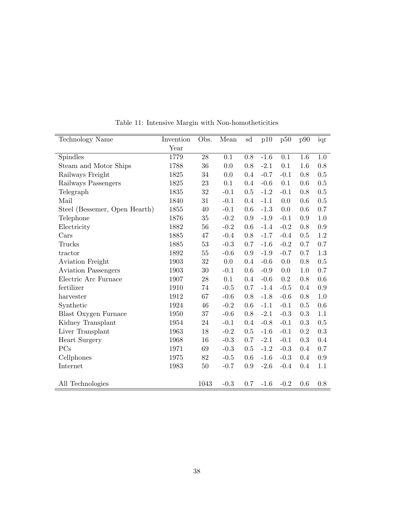<span id="page-39-0"></span>

| <b>Technology Name</b>        | Invention | Obs.   | Mean   | sd  | p10    | p50    | p90       | iqr       |
|-------------------------------|-----------|--------|--------|-----|--------|--------|-----------|-----------|
|                               | Year      |        |        |     |        |        |           |           |
| Spindles                      | 1779      | 28     | 0.1    | 0.8 | $-1.6$ | 0.1    | 1.6       | 1.0       |
| Steam and Motor Ships         | 1788      | 36     | 0.0    | 0.8 | $-2.1$ | 0.1    | 1.6       | $0.8\,$   |
| Railways Freight              | 1825      | 34     | 0.0    | 0.4 | $-0.7$ | $-0.1$ | 0.8       | 0.5       |
| Railways Passengers           | 1825      | 23     | 0.1    | 0.4 | $-0.6$ | 0.1    | 0.6       | 0.5       |
| Telegraph                     | 1835      | 32     | $-0.1$ | 0.5 | $-1.2$ | $-0.1$ | 0.8       | $0.5\,$   |
| Mail                          | 1840      | 31     | $-0.1$ | 0.4 | $-1.1$ | 0.0    | 0.6       | $0.5\,$   |
| Steel (Bessemer, Open Hearth) | 1855      | 40     | $-0.1$ | 0.6 | $-1.3$ | 0.0    | 0.6       | 0.7       |
| Telephone                     | 1876      | 35     | $-0.2$ | 0.9 | $-1.9$ | $-0.1$ | 0.9       | 1.0       |
| Electricity                   | 1882      | 56     | $-0.2$ | 0.6 | $-1.4$ | $-0.2$ | 0.8       | 0.9       |
| Cars                          | 1885      | 47     | $-0.4$ | 0.8 | $-1.7$ | $-0.4$ | 0.5       | 1.2       |
| Trucks                        | 1885      | 53     | $-0.3$ | 0.7 | $-1.6$ | $-0.2$ | 0.7       | 0.7       |
| tractor                       | 1892      | 55     | $-0.6$ | 0.9 | $-1.9$ | $-0.7$ | 0.7       | 1.3       |
| <b>Aviation Freight</b>       | 1903      | 32     | 0.0    | 0.4 | $-0.6$ | 0.0    | 0.8       | 0.5       |
| <b>Aviation Passengers</b>    | 1903      | 30     | $-0.1$ | 0.6 | $-0.9$ | 0.0    | 1.0       | 0.7       |
| Electric Arc Furnace          | 1907      | 28     | 0.1    | 0.4 | $-0.6$ | 0.2    | 0.8       | 0.6       |
| fertilizer                    | 1910      | 74     | $-0.5$ | 0.7 | $-1.4$ | $-0.5$ | 0.4       | 0.9       |
| harvester                     | 1912      | 67     | $-0.6$ | 0.8 | $-1.8$ | $-0.6$ | 0.8       | 1.0       |
| Synthetic                     | 1924      | $46\,$ | $-0.2$ | 0.6 | $-1.1$ | $-0.1$ | 0.5       | 0.6       |
| <b>Blast Oxygen Furnace</b>   | 1950      | 37     | $-0.6$ | 0.8 | $-2.1$ | $-0.3$ | 0.3       | 1.1       |
| Kidney Transplant             | 1954      | 24     | $-0.1$ | 0.4 | $-0.8$ | $-0.1$ | 0.3       | 0.5       |
| Liver Transplant              | 1963      | 18     | $-0.2$ | 0.5 | $-1.6$ | $-0.1$ | 0.2       | $\rm 0.3$ |
| Heart Surgery                 | 1968      | 16     | $-0.3$ | 0.7 | $-2.1$ | $-0.1$ | $\rm 0.3$ | 0.4       |
| PCs                           | 1971      | 69     | $-0.3$ | 0.5 | $-1.2$ | $-0.3$ | 0.4       | 0.7       |
| Cellphones                    | 1975      | 82     | $-0.5$ | 0.6 | $-1.6$ | $-0.3$ | 0.4       | 0.9       |
| Internet                      | 1983      | $50\,$ | $-0.7$ | 0.9 | $-2.6$ | $-0.4$ | 0.4       | 1.1       |
|                               |           |        |        |     |        |        |           |           |
| All Technologies              |           | 1043   | $-0.3$ | 0.7 | $-1.6$ | $-0.2$ | 0.6       | 0.8       |

Table 11: Intensive Margin with Non-homotheticities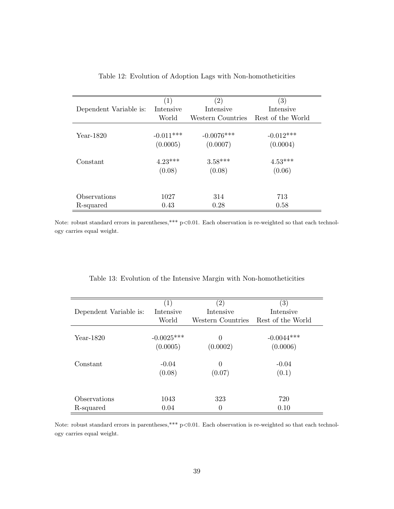<span id="page-40-0"></span>

|                        | (1)         | $\left( 2\right)$ | $\left( 3\right)$ |
|------------------------|-------------|-------------------|-------------------|
| Dependent Variable is: | Intensive   | Intensive         | Intensive         |
|                        | World       | Western Countries | Rest of the World |
|                        |             |                   |                   |
| Year-1820              | $-0.011***$ | $-0.0076$ ***     | $-0.012***$       |
|                        | (0.0005)    | (0.0007)          | (0.0004)          |
| Constant               | $4.23***$   | $3.58***$         | $4.53***$         |
|                        | (0.08)      | (0.08)            | (0.06)            |
|                        |             |                   |                   |
| Observations           | 1027        | 314               | 713               |
| R-squared              | 0.43        | 0.28              | 0.58              |

Note: robust standard errors in parentheses,\*\*\* p<0.01. Each observation is re-weighted so that each technology carries equal weight.

| Table 13: Evolution of the Intensive Margin with Non-homotheticities |  |  |  |  |  |  |  |  |
|----------------------------------------------------------------------|--|--|--|--|--|--|--|--|
|----------------------------------------------------------------------|--|--|--|--|--|--|--|--|

|                        | $\left( 1\right)$ | $\left( 2\right)$ | $\left( 3\right)$ |  |  |
|------------------------|-------------------|-------------------|-------------------|--|--|
| Dependent Variable is: | Intensive         | Intensive         | Intensive         |  |  |
|                        | World             | Western Countries | Rest of the World |  |  |
|                        |                   |                   |                   |  |  |
| $Year-1820$            | $-0.0025***$      | $\Omega$          | $-0.0044***$      |  |  |
|                        | (0.0005)          | (0.0002)          | (0.0006)          |  |  |
|                        |                   |                   |                   |  |  |
| Constant               | $-0.04$           | $\theta$          | $-0.04$           |  |  |
|                        | (0.08)            | (0.07)            | (0.1)             |  |  |
|                        |                   |                   |                   |  |  |
| Observations           | 1043              | 323               | 720               |  |  |
|                        |                   |                   |                   |  |  |
| R-squared              | 0.04              | $\theta$          | 0.10              |  |  |

Note: robust standard errors in parentheses,\*\*\* p<0.01. Each observation is re-weighted so that each technology carries equal weight.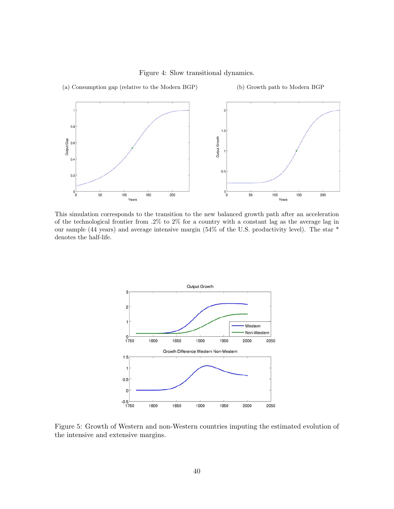

<span id="page-41-0"></span>

This simulation corresponds to the transition to the new balanced growth path after an acceleration of the technological frontier from  $.2\%$  to  $2\%$  for a country with a constant lag as the average lag in our sample (44 years) and average intensive margin (54% of the U.S. productivity level). The star \* denotes the half-life.



Figure 5: Growth of Western and non-Western countries imputing the estimated evolution of the intensive and extensive margins.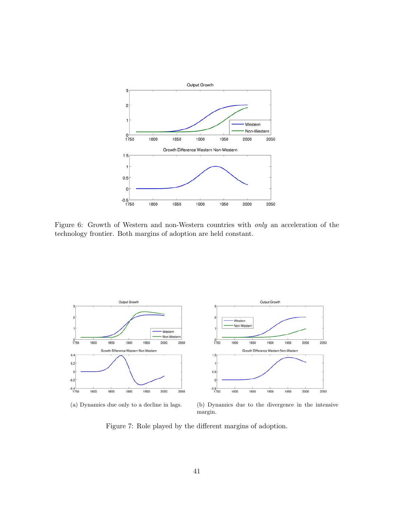<span id="page-42-0"></span>

Figure 6: Growth of Western and non-Western countries with only an acceleration of the technology frontier. Both margins of adoption are held constant.



(a) Dynamics due only to a decline in lags. (b) Dynamics due to the divergence in the intensive margin.

Figure 7: Role played by the different margins of adoption.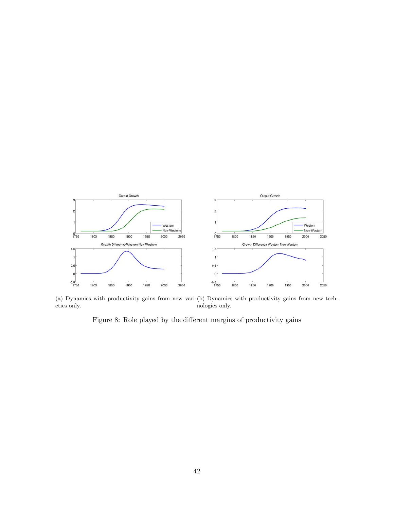<span id="page-43-0"></span>

(a) Dynamics with productivity gains from new vari-(b) Dynamics with productivity gains from new techeties only. nologies only.

Figure 8: Role played by the different margins of productivity gains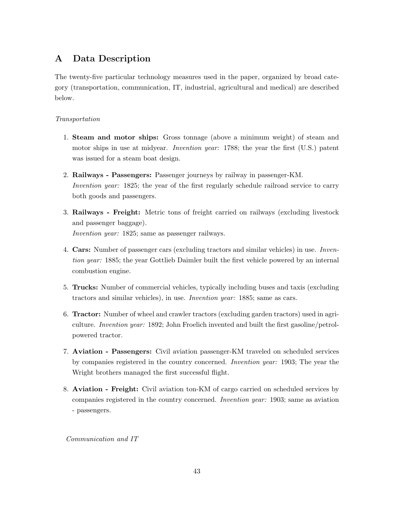## <span id="page-44-0"></span>A Data Description

The twenty-five particular technology measures used in the paper, organized by broad category (transportation, communication, IT, industrial, agricultural and medical) are described below.

## Transportation

- 1. Steam and motor ships: Gross tonnage (above a minimum weight) of steam and motor ships in use at midyear. *Invention year:* 1788; the year the first (U.S.) patent was issued for a steam boat design.
- 2. Railways Passengers: Passenger journeys by railway in passenger-KM. Invention year: 1825; the year of the first regularly schedule railroad service to carry both goods and passengers.
- 3. Railways Freight: Metric tons of freight carried on railways (excluding livestock and passenger baggage). Invention year: 1825; same as passenger railways.
- 4. Cars: Number of passenger cars (excluding tractors and similar vehicles) in use. Invention year: 1885; the year Gottlieb Daimler built the first vehicle powered by an internal combustion engine.
- 5. Trucks: Number of commercial vehicles, typically including buses and taxis (excluding tractors and similar vehicles), in use. Invention year: 1885; same as cars.
- 6. Tractor: Number of wheel and crawler tractors (excluding garden tractors) used in agriculture. Invention year: 1892; John Froelich invented and built the first gasoline/petrolpowered tractor.
- 7. Aviation Passengers: Civil aviation passenger-KM traveled on scheduled services by companies registered in the country concerned. Invention year: 1903; The year the Wright brothers managed the first successful flight.
- 8. Aviation Freight: Civil aviation ton-KM of cargo carried on scheduled services by companies registered in the country concerned. Invention year: 1903; same as aviation - passengers.

Communication and IT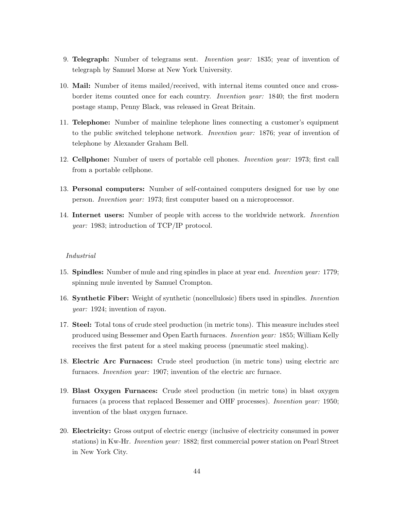- 9. Telegraph: Number of telegrams sent. Invention year: 1835; year of invention of telegraph by Samuel Morse at New York University.
- 10. Mail: Number of items mailed/received, with internal items counted once and crossborder items counted once for each country. Invention year: 1840; the first modern postage stamp, Penny Black, was released in Great Britain.
- 11. Telephone: Number of mainline telephone lines connecting a customer's equipment to the public switched telephone network. Invention year: 1876; year of invention of telephone by Alexander Graham Bell.
- 12. Cellphone: Number of users of portable cell phones. Invention year: 1973; first call from a portable cellphone.
- 13. Personal computers: Number of self-contained computers designed for use by one person. Invention year: 1973; first computer based on a microprocessor.
- 14. Internet users: Number of people with access to the worldwide network. Invention year: 1983; introduction of TCP/IP protocol.

#### Industrial

- 15. Spindles: Number of mule and ring spindles in place at year end. Invention year: 1779; spinning mule invented by Samuel Crompton.
- 16. Synthetic Fiber: Weight of synthetic (noncellulosic) fibers used in spindles. Invention year: 1924; invention of rayon.
- 17. Steel: Total tons of crude steel production (in metric tons). This measure includes steel produced using Bessemer and Open Earth furnaces. Invention year: 1855; William Kelly receives the first patent for a steel making process (pneumatic steel making).
- 18. Electric Arc Furnaces: Crude steel production (in metric tons) using electric arc furnaces. *Invention year:* 1907; invention of the electric arc furnace.
- 19. Blast Oxygen Furnaces: Crude steel production (in metric tons) in blast oxygen furnaces (a process that replaced Bessemer and OHF processes). Invention year: 1950; invention of the blast oxygen furnace.
- 20. Electricity: Gross output of electric energy (inclusive of electricity consumed in power stations) in Kw-Hr. Invention year: 1882; first commercial power station on Pearl Street in New York City.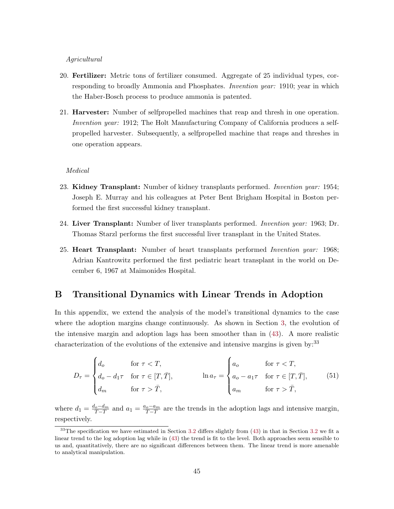#### <span id="page-46-0"></span>Agricultural

- 20. Fertilizer: Metric tons of fertilizer consumed. Aggregate of 25 individual types, corresponding to broadly Ammonia and Phosphates. *Invention year*: 1910; year in which the Haber-Bosch process to produce ammonia is patented.
- 21. Harvester: Number of selfpropelled machines that reap and thresh in one operation. Invention year: 1912; The Holt Manufacturing Company of California produces a selfpropelled harvester. Subsequently, a selfpropelled machine that reaps and threshes in one operation appears.

#### Medical

- 23. Kidney Transplant: Number of kidney transplants performed. Invention year: 1954; Joseph E. Murray and his colleagues at Peter Bent Brigham Hospital in Boston performed the first successful kidney transplant.
- 24. Liver Transplant: Number of liver transplants performed. *Invention year*: 1963; Dr. Thomas Starzl performs the first successful liver transplant in the United States.
- 25. **Heart Transplant:** Number of heart transplants performed *Invention year:* 1968; Adrian Kantrowitz performed the first pediatric heart transplant in the world on December 6, 1967 at Maimonides Hospital.

## B Transitional Dynamics with Linear Trends in Adoption

In this appendix, we extend the analysis of the model's transitional dynamics to the case where the adoption margins change continuously. As shown in Section [3,](#page-12-0) the evolution of the intensive margin and adoption lags has been smoother than in [\(43\)](#page-24-0). A more realistic characterization of the evolutions of the extensive and intensive margins is given by:  $33$ 

$$
D_{\tau} = \begin{cases} d_o & \text{for } \tau < T, \\ d_o - d_1 \tau & \text{for } \tau \in [T, \bar{T}], \\ d_m & \text{for } \tau > \bar{T}, \end{cases} \qquad \text{ln } a_{\tau} = \begin{cases} a_o & \text{for } \tau < T, \\ a_o - a_1 \tau & \text{for } \tau \in [T, \bar{T}], \\ a_m & \text{for } \tau > \bar{T}, \end{cases} \tag{51}
$$

where  $d_1 = \frac{d_o - d_m}{\overline{T} - T}$  and  $a_1 = \frac{a_o - a_m}{\overline{T} - T}$  are the trends in the adoption lags and intensive margin, respectively.

 $33$ The specification we have estimated in Section [3.2](#page-14-0) differs slightly from [\(43\)](#page-24-0) in that in Section 3.2 we fit a linear trend to the log adoption lag while in [\(43\)](#page-24-0) the trend is fit to the level. Both approaches seem sensible to us and, quantitatively, there are no significant differences between them. The linear trend is more amenable to analytical manipulation.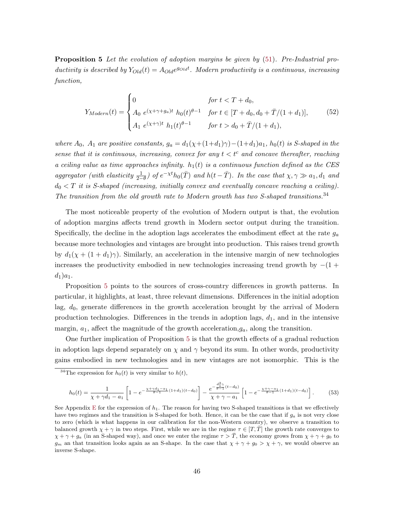Proposition 5 Let the evolution of adoption margins be given by  $(51)$ . Pre-Industrial productivity is described by  $Y_{Old}(t) = A_{Old}e^{g_{Old}t}$ . Modern productivity is a continuous, increasing function,

$$
Y_{Modern}(t) = \begin{cases} 0 & \text{for } t < T + d_0, \\ A_0 \ e^{(\chi + \gamma + g_a)t} \ h_0(t)^{\theta - 1} & \text{for } t \in [T + d_0, d_0 + \bar{T}/(1 + d_1)], \\ A_1 \ e^{(\chi + \gamma)t} \ h_1(t)^{\theta - 1} & \text{for } t > d_0 + \bar{T}/(1 + d_1), \end{cases}
$$
(52)

where  $A_0$ ,  $A_1$  are positive constants,  $g_a = d_1(\chi + (1+d_1)\gamma) - (1+d_1)a_1$ ,  $h_0(t)$  is S-shaped in the sense that it is continuous, increasing, convex for any  $t < t^c$  and concave thereafter, reaching a ceiling value as time approaches infinity.  $h_1(t)$  is a continuous function defined as the CES aggregator (with elasticity  $\frac{1}{2-\theta}$ ) of  $e^{-\chi t}h_0(\overline{T})$  and  $h(t-\overline{T})$ . In the case that  $\chi, \gamma \gg a_1, d_1$  and  $d_0 < T$  it is S-shaped (increasing, initially convex and eventually concave reaching a ceiling). The transition from the old growth rate to Modern growth has two S-shaped transitions.<sup>34</sup>

The most noticeable property of the evolution of Modern output is that, the evolution of adoption margins affects trend growth in Modern sector output during the transition. Specifically, the decline in the adoption lags accelerates the embodiment effect at the rate  $g_a$ because more technologies and vintages are brought into production. This raises trend growth by  $d_1(\chi + (1 + d_1)\gamma)$ . Similarly, an acceleration in the intensive margin of new technologies increases the productivity embodied in new technologies increasing trend growth by  $-(1 +$  $d_1)a_1.$ 

Proposition [5](#page-46-0) points to the sources of cross-country differences in growth patterns. In particular, it highlights, at least, three relevant dimensions. Differences in the initial adoption lag,  $d_0$ , generate differences in the growth acceleration brought by the arrival of Modern production technologies. Differences in the trends in adoption lags,  $d_1$ , and in the intensive margin,  $a_1$ , affect the magnitude of the growth acceleration,  $g_a$ , along the transition.

One further implication of Proposition [5](#page-46-0) is that the growth effects of a gradual reduction in adoption lags depend separately on  $\chi$  and  $\gamma$  beyond its sum. In other words, productivity gains embodied in new technologies and in new vintages are not isomorphic. This is the

$$
h_0(t) = \frac{1}{\chi + \gamma d_1 - a_1} \left[ 1 - e^{-\frac{\chi + \gamma d_1 - a_1}{\theta - 1} (1 + d_1)(t - d_0)} \right] - \frac{e^{-\frac{d_1^2 \gamma}{\theta - 1} (t - d_0)}}{\chi + \gamma - a_1} \left[ 1 - e^{-\frac{\chi + \gamma - a_1}{\theta - 1} (1 + d_1)(t - d_0)} \right].
$$
 (53)

<sup>&</sup>lt;sup>34</sup>The expression for  $h_0(t)$  is very similar to  $h(t)$ ,

See Appendix [E](#page-50-0) for the expression of  $h_1$ . The reason for having two S-shaped transitions is that we effectively have two regimes and the transition is S-shaped for both. Hence, it can be the case that if  $q_a$  is not very close to zero (which is what happens in our calibration for the non-Western country), we observe a transition to balanced growth  $\chi + \gamma$  in two steps. First, while we are in the regime  $\tau \in [T, \overline{T}]$  the growth rate converges to  $\chi + \gamma + g_a$  (in an S-shaped way), and once we enter the regime  $\tau > \overline{T}$ , the economy grows from  $\chi + \gamma + g_0$  to  $g_m$  an that transition looks again as an S-shape. In the case that  $\chi + \gamma + g_0 > \chi + \gamma$ , we would observe an inverse S-shape.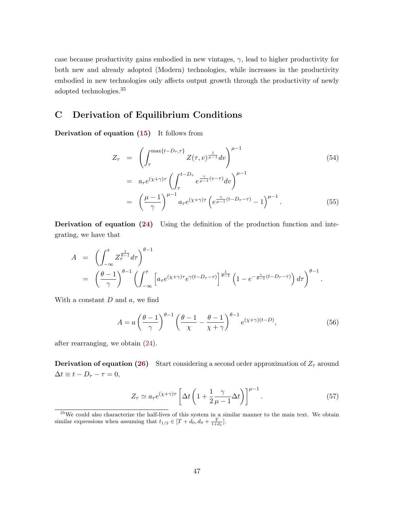<span id="page-48-0"></span>case because productivity gains embodied in new vintages,  $\gamma$ , lead to higher productivity for both new and already adopted (Modern) technologies, while increases in the productivity embodied in new technologies only affects output growth through the productivity of newly adopted technologies.<sup>35</sup>

## C Derivation of Equilibrium Conditions

Derivation of equation [\(15\)](#page-10-0) It follows from

$$
Z_{\tau} = \left( \int_{\tau}^{\max\{t - D_{\tau}, \tau\}} Z(\tau, v)^{\frac{1}{\mu - 1}} dv \right)^{\mu - 1}
$$
(54)  

$$
= a_{\tau} e^{(\chi + \gamma)\tau} \left( \int_{\tau}^{t - D_{\tau}} e^{\frac{\gamma}{\mu - 1}(v - \tau)} dv \right)^{\mu - 1}
$$
  

$$
= \left( \frac{\mu - 1}{\gamma} \right)^{\mu - 1} a_{\tau} e^{(\chi + \gamma)\tau} \left( e^{\frac{\gamma}{\mu - 1}(t - D_{\tau} - \tau)} - 1 \right)^{\mu - 1}.
$$
(55)

Derivation of equation [\(24\)](#page-11-0) Using the definition of the production function and integrating, we have that

$$
A = \left( \int_{-\infty}^{\overline{\tau}} Z_{\tau}^{\frac{1}{\theta-1}} d\tau \right)^{\theta-1}
$$
  
=  $\left( \frac{\theta-1}{\gamma} \right)^{\theta-1} \left( \int_{-\infty}^{\overline{\tau}} \left[ a_{\tau} e^{(\chi+\gamma)\tau} e^{\gamma(t-D_{\tau}-\tau)} \right]^{\frac{1}{\theta-1}} \left( 1 - e^{-\frac{\gamma}{\theta-1}(t-D_{\tau}-\tau)} \right) d\tau \right)^{\theta-1}.$ 

With a constant  $D$  and  $a$ , we find

$$
A = a \left(\frac{\theta - 1}{\gamma}\right)^{\theta - 1} \left(\frac{\theta - 1}{\chi} - \frac{\theta - 1}{\chi + \gamma}\right)^{\theta - 1} e^{(\chi + \gamma)(t - D)},\tag{56}
$$

after rearranging, we obtain [\(24\)](#page-11-0).

**Derivation of equation [\(26\)](#page-12-0)** Start considering a second order approximation of  $Z<sub>\tau</sub>$  around  $\Delta t \equiv t - D_\tau - \tau = 0,$ 

$$
Z_{\tau} \simeq a_{\tau} e^{(\chi + \gamma)\tau} \left[ \Delta t \left( 1 + \frac{1}{2} \frac{\gamma}{\mu - 1} \Delta t \right) \right]^{\mu - 1} . \tag{57}
$$

<sup>35</sup>We could also characterize the half-lives of this system in a similar manner to the main text. We obtain similar expressions when assuming that  $t_{1/2} \in [T+d_0, d_0 + \frac{\bar{T}}{1+d_1}].$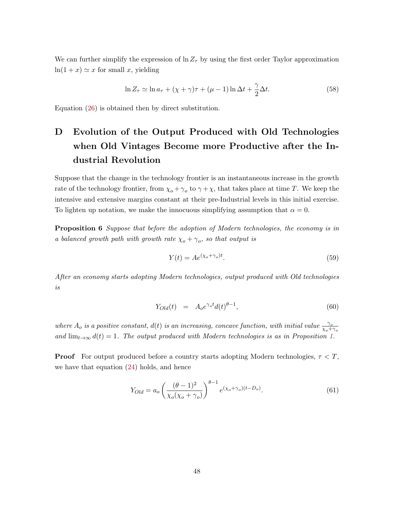<span id="page-49-0"></span>We can further simplify the expression of  $\ln Z_{\tau}$  by using the first order Taylor approximation  $ln(1 + x) \simeq x$  for small x, yielding

$$
\ln Z_{\tau} \simeq \ln a_{\tau} + (\chi + \gamma)\tau + (\mu - 1)\ln \Delta t + \frac{\gamma}{2}\Delta t.
$$
 (58)

Equation [\(26\)](#page-12-0) is obtained then by direct substitution.

# D Evolution of the Output Produced with Old Technologies when Old Vintages Become more Productive after the Industrial Revolution

Suppose that the change in the technology frontier is an instantaneous increase in the growth rate of the technology frontier, from  $\chi_o + \gamma_o$  to  $\gamma + \chi$ , that takes place at time T. We keep the intensive and extensive margins constant at their pre-Industrial levels in this initial exercise. To lighten up notation, we make the innocuous simplifying assumption that  $\alpha = 0$ .

**Proposition 6** Suppose that before the adoption of Modern technologies, the economy is in a balanced growth path with growth rate  $\chi_o + \gamma_o$ , so that output is

$$
Y(t) = Ae^{(\chi_o + \gamma_o)t}.
$$
\n(59)

After an economy starts adopting Modern technologies, output produced with Old technologies is

$$
Y_{Old}(t) = A_0 e^{\gamma_o t} d(t)^{\theta - 1}, \qquad (60)
$$

where  $A_o$  is a positive constant,  $d(t)$  is an increasing, concave function, with initial value  $\frac{\gamma_o}{\chi_o + \gamma_o}$ and  $\lim_{t\to\infty} d(t) = 1$ . The output produced with Modern technologies is as in Proposition [1.](#page-21-0)

**Proof** For output produced before a country starts adopting Modern technologies,  $\tau < T$ , we have that equation [\(24\)](#page-11-0) holds, and hence

$$
Y_{Old} = a_o \left(\frac{(\theta - 1)^2}{\chi_o(\chi_o + \gamma_o)}\right)^{\theta - 1} e^{(\chi_o + \gamma_o)(t - D_o)}.
$$
\n(61)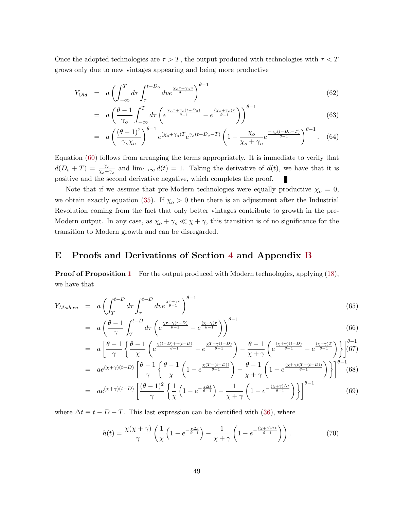<span id="page-50-0"></span>Once the adopted technologies are  $\tau > T$ , the output produced with technologies with  $\tau < T$ grows only due to new vintages appearing and being more productive

$$
Y_{Old} = a \left( \int_{-\infty}^{T} d\tau \int_{\tau}^{t - D_o} dv e^{\frac{\chi_o \tau + \gamma_o v}{\theta - 1}} \right)^{\theta - 1}
$$
\n(62)

$$
= a \left( \frac{\theta - 1}{\gamma_o} \int_{-\infty}^T d\tau \left( e^{\frac{\chi_o \tau + \gamma_o (t - D_o)}{\theta - 1}} - e^{\frac{(\chi_o + \gamma_o)\tau}{\theta - 1}} \right) \right)^{\theta - 1}
$$
(63)

$$
= a \left(\frac{(\theta - 1)^2}{\gamma_o \chi_o}\right)^{\theta - 1} e^{(\chi_o + \gamma_o)T} e^{\gamma_o (t - D_o - T)} \left(1 - \frac{\chi_o}{\chi_o + \gamma_o} e^{\frac{-\gamma_o (t - D_o - T)}{\theta - 1}}\right)^{\theta - 1}.
$$
 (64)

Equation [\(60\)](#page-49-0) follows from arranging the terms appropriately. It is immediate to verify that  $d(D_0+T) = \frac{\gamma_o}{\chi_o+\gamma_o}$  and  $\lim_{t\to\infty} d(t) = 1$ . Taking the derivative of  $d(t)$ , we have that it is positive and the second derivative negative, which completes the proof. г

Note that if we assume that pre-Modern technologies were equally productive  $\chi_o = 0$ , we obtain exactly equation [\(35\)](#page-21-0). If  $\chi_o > 0$  then there is an adjustment after the Industrial Revolution coming from the fact that only better vintages contribute to growth in the pre-Modern output. In any case, as  $\chi_o + \gamma_o \ll \chi + \gamma$ , this transition is of no significance for the transition to Modern growth and can be disregarded.

## E Proofs and Derivations of Section [4](#page-17-0) and Appendix [B](#page-46-0)

**Proof of Proposition [1](#page-21-0)** For the output produced with Modern technologies, applying [\(18\)](#page-10-0), we have that

$$
Y_{Modern} = a \left( \int_{T}^{t-D} d\tau \int_{\tau}^{t-D} d\nu e^{\frac{\chi\tau + \gamma v}{\theta - 1}} \right)^{\theta - 1}
$$
\n(65)

$$
= a \left(\frac{\theta - 1}{\gamma} \int_{T}^{t - D} d\tau \left(e^{\frac{\chi \tau + \gamma (t - D)}{\theta - 1}} - e^{\frac{(\chi + \gamma)\tau}{\theta - 1}}\right)\right)^{\theta - 1}
$$
\n(66)

$$
= a \left[ \frac{\theta - 1}{\gamma} \left\{ \frac{\theta - 1}{\chi} \left( e^{\frac{\chi(t - D) + \gamma(t - D)}{\theta - 1}} - e^{\frac{\chi T + \gamma(t - D)}{\theta - 1}} \right) - \frac{\theta - 1}{\chi + \gamma} \left( e^{\frac{(\chi + \gamma)(t - D)}{\theta - 1}} - e^{\frac{(\chi + \gamma)T}{\theta - 1}} \right) \right\} \right]^{b - 1} (67)
$$

$$
= ae^{(\chi+\gamma)(t-D)}\left[\frac{\theta-1}{\gamma}\left\{\frac{\theta-1}{\chi}\left(1-e^{\frac{\chi(T-(t-D))}{\theta-1}}\right)-\frac{\theta-1}{\chi+\gamma}\left(1-e^{\frac{(\chi+\gamma)(T-(t-D))}{\theta-1}}\right)\right\}\right]^{\theta-1} (68)
$$

$$
= ae^{(\chi+\gamma)(t-D)}\left[\frac{(\theta-1)^2}{\gamma}\left\{\frac{1}{\chi}\left(1-e^{-\frac{\chi\Delta t}{\theta-1}}\right)-\frac{1}{\chi+\gamma}\left(1-e^{-\frac{(\chi+\gamma)\Delta t}{\theta-1}}\right)\right\}\right]^{\theta-1}
$$
(69)

where  $\Delta t \equiv t - D - T$ . This last expression can be identified with [\(36\)](#page-21-0), where

$$
h(t) = \frac{\chi(\chi + \gamma)}{\gamma} \left( \frac{1}{\chi} \left( 1 - e^{-\frac{\chi \Delta t}{\theta - 1}} \right) - \frac{1}{\chi + \gamma} \left( 1 - e^{-\frac{(\chi + \gamma) \Delta t}{\theta - 1}} \right) \right). \tag{70}
$$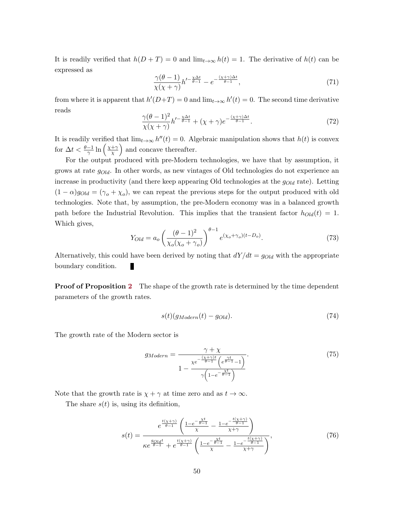<span id="page-51-0"></span>It is readily verified that  $h(D+T) = 0$  and  $\lim_{t\to\infty} h(t) = 1$ . The derivative of  $h(t)$  can be expressed as

$$
\frac{\gamma(\theta - 1)}{\chi(\chi + \gamma)} h'^{-\frac{\chi \Delta t}{\theta - 1}} - e^{-\frac{(\chi + \gamma)\Delta t}{\theta - 1}},\tag{71}
$$

from where it is apparent that  $h'(D+T) = 0$  and  $\lim_{t\to\infty} h'(t) = 0$ . The second time derivative reads

$$
\frac{\gamma(\theta - 1)^2}{\chi(\chi + \gamma)} h'^{-\frac{\chi \Delta t}{\theta - 1}} + (\chi + \gamma)e^{-\frac{(\chi + \gamma)\Delta t}{\theta - 1}}.
$$
\n(72)

It is readily verified that  $\lim_{t\to\infty} h''(t) = 0$ . Algebraic manipulation shows that  $h(t)$  is convex for  $\Delta t < \frac{\theta - 1}{\gamma} \ln \left( \frac{\chi + \gamma}{\chi} \right)$  $(\frac{+\gamma}{\chi})$  and concave thereafter.

For the output produced with pre-Modern technologies, we have that by assumption, it grows at rate  $g_{Old}$ . In other words, as new vintages of Old technologies do not experience an increase in productivity (and there keep appearing Old technologies at the  $g_{Old}$  rate). Letting  $(1 - \alpha)g_{Old} = (\gamma_o + \chi_o)$ , we can repeat the previous steps for the output produced with old technologies. Note that, by assumption, the pre-Modern economy was in a balanced growth path before the Industrial Revolution. This implies that the transient factor  $h_{Old}(t) = 1$ . Which gives,

$$
Y_{Old} = a_o \left(\frac{(\theta - 1)^2}{\chi_o(\chi_o + \gamma_o)}\right)^{\theta - 1} e^{(\chi_o + \gamma_o)(t - D_o)}.
$$
\n(73)

Alternatively, this could have been derived by noting that  $dY/dt = g_{Old}$  with the appropriate boundary condition. П

**Proof of Proposition [2](#page-22-0)** The shape of the growth rate is determined by the time dependent parameters of the growth rates.

$$
s(t)(g_{Modern}(t) - g_{Old}).
$$
\n(74)

The growth rate of the Modern sector is

$$
g_{Modern} = \frac{\gamma + \chi}{1 - \frac{\chi e^{-\frac{(\chi + \gamma)t}{\theta - 1}} \left(e^{\frac{\gamma t}{\theta - 1}} - 1\right)}{\gamma \left(1 - e^{-\frac{\chi t}{\theta - 1}}\right)}}.
$$
(75)

Note that the growth rate is  $\chi + \gamma$  at time zero and as  $t \to \infty$ .

The share  $s(t)$  is, using its definition,

$$
s(t) = \frac{e^{\frac{t(\chi+\gamma)}{\theta-1}}\left(\frac{1-e^{-\frac{\chi t}{\theta-1}}}{\chi} - \frac{1-e^{-\frac{t(\chi+\gamma)}{\theta-1}}}{\chi+\gamma}\right)}{\kappa e^{\frac{g_{\text{old}}t}{\theta-1}} + e^{\frac{t(\chi+\gamma)}{\theta-1}}\left(\frac{1-e^{-\frac{\chi t}{\theta-1}}}{\chi} - \frac{1-e^{-\frac{t(\chi+\gamma)}{\theta-1}}}{\chi+\gamma}\right)},\tag{76}
$$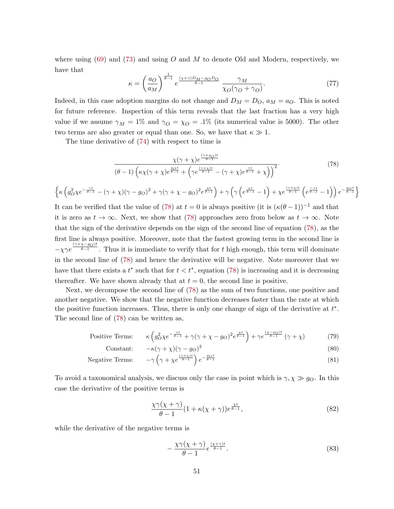<span id="page-52-0"></span>where using  $(69)$  and  $(73)$  and using O and M to denote Old and Modern, respectively, we have that

$$
\kappa = \left(\frac{a_O}{a_M}\right)^{\frac{1}{\theta - 1}} e^{\frac{(\chi + \gamma)D_M - g_O D_O}{\theta - 1}} \frac{\gamma_M}{\chi_O(\gamma_O + \gamma_O)}.
$$
\n(77)

Indeed, in this case adoption margins do not change and  $D_M = D_O$ ,  $a_M = a_O$ . This is noted for future reference. Inspection of this term reveals that the last fraction has a very high value if we assume  $\gamma_M = 1\%$  and  $\gamma_O = \chi_O = .1\%$  (its numerical value is 5000). The other two terms are also greater or equal than one. So, we have that  $\kappa \gg 1$ .

The time derivative of [\(74\)](#page-51-0) with respect to time is

$$
\frac{\chi(\gamma+\chi)e^{\frac{(\gamma+g_O)t}{\theta-1}}}{(\theta-1)\left(\kappa\chi(\gamma+\chi)e^{\frac{g_Ot}{\theta-1}}+\left(\gamma e^{\frac{(\gamma+\chi)t}{\theta-1}}-(\gamma+\chi)e^{\frac{\gamma t}{\theta-1}}+\chi\right)\right)^2}.
$$
\n(78)

$$
\left\{\kappa\left(g_{O}^2\chi e^{-\frac{\gamma t}{\theta-1}}-(\gamma+\chi)(\gamma-g_O)^2+\gamma(\gamma+\chi-g_O)^2e^{\frac{\chi t}{\theta-1}}\right)+\gamma\left(\gamma\left(e^{\frac{\chi t}{\theta-1}}-1\right)+\chi e^{\frac{(\gamma+\chi)t}{\theta-1}}\left(e^{\frac{-\gamma t}{\theta-1}}-1\right)\right)e^{-\frac{g_Ot}{\theta-1}}\right\}
$$

It can be verified that the value of (78) at  $t = 0$  is always positive (it is  $(\kappa(\theta - 1))^{-1}$  and that it is zero as  $t \to \infty$ . Next, we show that (78) approaches zero from below as  $t \to \infty$ . Note that the sign of the derivative depends on the sign of the second line of equation (78), as the first line is always positive. Moreover, note that the fastest growing term in the second line is  $-\chi\gamma e^{\frac{(\gamma+\chi-g_O)t}{\theta-1}}$ . Thus it is immediate to verify that for t high enough, this term will dominate in the second line of (78) and hence the derivative will be negative. Note moreover that we have that there exists a  $t^*$  such that for  $t < t^*$ , equation (78) is increasing and it is decreasing thereafter. We have shown already that at  $t = 0$ , the second line is positive.

Next, we decompose the second line of (78) as the sum of two functions, one positive and another negative. We show that the negative function decreases faster than the rate at which the positive function increases. Thus, there is only one change of sign of the derivative at  $t^*$ . The second line of (78) can be written as,

Positive Terms: 
$$
\kappa \left( g_O^2 \chi e^{-\frac{\gamma t}{\theta - 1}} + \gamma (\gamma + \chi - g_O)^2 e^{\frac{\chi t}{\theta - 1}} \right) + \gamma e^{\frac{(\chi - g_O)t}{\theta - 1}} (\gamma + \chi)
$$
(79)

$$
\text{Constant:} \quad -\kappa(\gamma + \chi)(\gamma - g_O)^2 \tag{80}
$$
\n
$$
\text{Live Terms:} \quad -\gamma \left(\gamma + \chi e^{\frac{(\gamma + \chi)t}{\theta - 1}}\right) e^{-\frac{g_O t}{\theta - 1}} \tag{81}
$$

Negative Terms: 
$$
-\gamma \left(\gamma + \chi e^{\frac{(\gamma + \chi)t}{\theta - 1}}\right) e^{-\frac{g_O t}{\theta - 1}}
$$
(81)

To avoid a taxonomical analysis, we discuss only the case in point which is  $\gamma, \chi \gg g_O$ . In this case the derivative of the positive terms is

$$
\frac{\chi\gamma(\chi+\gamma)}{\theta-1}(1+\kappa(\chi+\gamma))e^{\frac{\chi t}{\theta-1}},\tag{82}
$$

while the derivative of the negative terms is

$$
-\frac{\chi\gamma(\chi+\gamma)}{\theta-1}e^{\frac{(\chi+\gamma)t}{\theta-1}}.\tag{83}
$$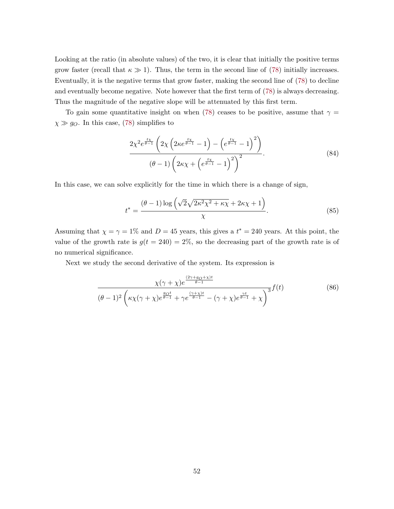<span id="page-53-0"></span>Looking at the ratio (in absolute values) of the two, it is clear that initially the positive terms grow faster (recall that  $\kappa \gg 1$ ). Thus, the term in the second line of [\(78\)](#page-52-0) initially increases. Eventually, it is the negative terms that grow faster, making the second line of [\(78\)](#page-52-0) to decline and eventually become negative. Note however that the first term of [\(78\)](#page-52-0) is always decreasing. Thus the magnitude of the negative slope will be attenuated by this first term.

To gain some quantitative insight on when [\(78\)](#page-52-0) ceases to be positive, assume that  $\gamma =$  $\chi \gg g_O$ . In this case, [\(78\)](#page-52-0) simplifies to

$$
\frac{2\chi^2 e^{\frac{t\chi}{\theta-1}} \left(2\chi \left(2\kappa e^{\frac{t\chi}{\theta-1}}-1\right) - \left(e^{\frac{t\chi}{\theta-1}}-1\right)^2\right)}{(\theta-1)\left(2\kappa\chi + \left(e^{\frac{t\chi}{\theta-1}}-1\right)^2\right)^2}.
$$
\n(84)

In this case, we can solve explicitly for the time in which there is a change of sign,

$$
t^* = \frac{(\theta - 1)\log\left(\sqrt{2}\sqrt{2\kappa^2\chi^2 + \kappa\chi} + 2\kappa\chi + 1\right)}{\chi}.\tag{85}
$$

Assuming that  $\chi = \gamma = 1\%$  and  $D = 45$  years, this gives a  $t^* = 240$  years. At this point, the value of the growth rate is  $g(t = 240) = 2\%$ , so the decreasing part of the growth rate is of no numerical significance.

Next we study the second derivative of the system. Its expression is

$$
\frac{\chi(\gamma+\chi)e^{\frac{(2\gamma+g_O+\chi)t}{\theta-1}}}{(\theta-1)^2\left(\kappa\chi(\gamma+\chi)e^{\frac{g_Ot}{\theta-1}}+\gamma e^{\frac{(\gamma+\chi)t}{\theta-1}}-(\gamma+\chi)e^{\frac{\gamma t}{\theta-1}}+\chi\right)^3}f(t)
$$
(86)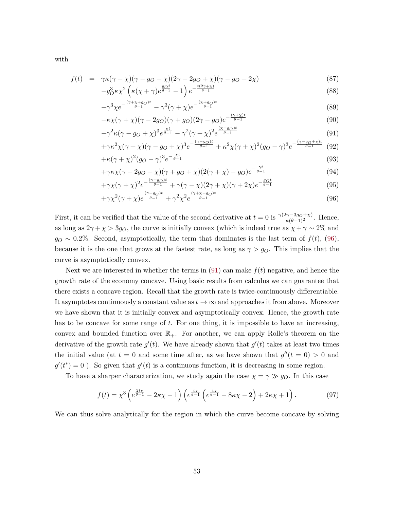with

f(t) = γκ(γ + χ)(γ − g<sup>O</sup> − χ)(2γ − 2g<sup>O</sup> + χ)(γ − g<sup>O</sup> + 2χ) (87) gOt t(2γ+χ)

$$
-g_0^3 \kappa \chi^2 \left(\kappa (\chi + \gamma) e^{\frac{g_0 t}{\theta - 1}} - 1\right) e^{-\frac{t(2\gamma + \chi)}{\theta - 1}}\tag{88}
$$

$$
-\gamma^3 \chi e^{-\frac{(\gamma + \chi + g_O)t}{\theta - 1}} - \gamma^3 (\gamma + \chi) e^{-\frac{(\chi + g_O)t}{\theta - 1}}
$$
\n
$$
(89)
$$

$$
-\kappa \chi(\gamma + \chi)(\gamma - 2g_O)(\gamma + g_O)(2\gamma - g_O)e^{-\frac{(\gamma + \chi)t}{\theta - 1}}
$$
\n
$$
(90)
$$

$$
-\gamma^{2}\kappa(\gamma - g_{O} + \chi)^{3}e^{\frac{\chi t}{\theta - 1}} - \gamma^{2}(\gamma + \chi)^{2}e^{\frac{(\chi - g_{O})t}{\theta - 1}}\tag{91}
$$

$$
+\gamma\kappa^{2}\chi(\gamma+\chi)(\gamma-g_{O}+\chi)^{3}e^{-\frac{(\gamma-g_{O})t}{\theta-1}}+\kappa^{2}\chi(\gamma+\chi)^{2}(g_{O}-\gamma)^{3}e^{-\frac{(\gamma-g_{O}+\chi)t}{\theta-1}}
$$
(92)

$$
+\kappa(\gamma + \chi)^2 (g_O - \gamma)^3 e^{-\frac{\gamma}{\theta - 1}}
$$
  
+ $\gamma \kappa \chi (\gamma - 2g_O + \chi) (\gamma + g_O + \chi) (2(\gamma + \chi) - g_O) e^{-\frac{\gamma t}{\theta - 1}}$  (94)

$$
+\gamma\chi(\gamma+\chi)^2e^{-\frac{(\gamma+g_O)t}{\theta-1}}+\gamma(\gamma-\chi)(2\gamma+\chi)(\gamma+2\chi)e^{-\frac{g_Ot}{\theta-1}}
$$
\n(95)

$$
+\gamma\chi^2(\gamma+\chi)e^{\frac{(\gamma-g_O)t}{\theta-1}}+\gamma^2\chi^2e^{\frac{(\gamma+\chi-g_O)t}{\theta-1}}\tag{96}
$$

First, it can be verified that the value of the second derivative at  $t = 0$  is  $\frac{\gamma(2\gamma-3g_O+\chi)}{\kappa(\theta-1)^2}$ . Hence, as long as  $2\gamma + \chi > 3g_O$ , the curve is initially convex (which is indeed true as  $\chi + \gamma \sim 2\%$  and  $g_O \sim 0.2\%$ . Second, asymptotically, the term that dominates is the last term of  $f(t)$ , (96), because it is the one that grows at the fastest rate, as long as  $\gamma > g_O$ . This implies that the curve is asymptotically convex.

Next we are interested in whether the terms in  $(91)$  can make  $f(t)$  negative, and hence the growth rate of the economy concave. Using basic results from calculus we can guarantee that there exists a concave region. Recall that the growth rate is twice-continuously differentiable. It asymptotes continuously a constant value as  $t \to \infty$  and approaches it from above. Moreover we have shown that it is initially convex and asymptotically convex. Hence, the growth rate has to be concave for some range of  $t$ . For one thing, it is impossible to have an increasing, convex and bounded function over  $\mathbb{R}_+$ . For another, we can apply Rolle's theorem on the derivative of the growth rate  $g'(t)$ . We have already shown that  $g'(t)$  takes at least two times the initial value (at  $t = 0$  and some time after, as we have shown that  $g''(t = 0) > 0$  and  $g'(t^*) = 0$ ). So given that  $g'(t)$  is a continuous function, it is decreasing in some region.

To have a sharper characterization, we study again the case  $\chi = \gamma \gg g_O$ . In this case

$$
f(t) = \chi^3 \left( e^{\frac{2t\chi}{\theta - 1}} - 2\kappa\chi - 1 \right) \left( e^{\frac{t\chi}{\theta - 1}} \left( e^{\frac{t\chi}{\theta - 1}} - 8\kappa\chi - 2 \right) + 2\kappa\chi + 1 \right). \tag{97}
$$

We can thus solve analytically for the region in which the curve become concave by solving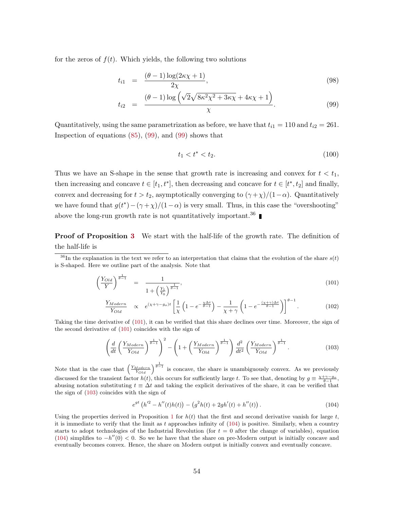for the zeros of  $f(t)$ . Which yields, the following two solutions

$$
t_{i1} = \frac{(\theta - 1)\log(2\kappa \chi + 1)}{2\chi},\tag{98}
$$

$$
t_{i2} = \frac{(\theta - 1)\log\left(\sqrt{2}\sqrt{8\kappa^2\chi^2 + 3\kappa\chi} + 4\kappa\chi + 1\right)}{\chi}.
$$
\n(99)

Quantitatively, using the same parametrization as before, we have that  $t_{i1} = 110$  and  $t_{i2} = 261$ . Inspection of equations [\(85\)](#page-53-0), (99), and (99) shows that

$$
t_1 < t^* < t_2. \tag{100}
$$

Thus we have an S-shape in the sense that growth rate is increasing and convex for  $t < t_1$ , then increasing and concave  $t \in [t_1, t^*]$ , then decreasing and concave for  $t \in [t^*, t_2]$  and finally, convex and decreasing for  $t > t_2$ , asymptotically converging to  $(\gamma + \chi)/(1 - \alpha)$ . Quantitatively we have found that  $g(t^*) - (\gamma + \chi)/(1 - \alpha)$  is very small. Thus, in this case the "overshooting" above the long-run growth rate is not quantitatively important.<sup>36</sup>

Proof of Proposition [3](#page-23-0) We start with the half-life of the growth rate. The definition of the half-life is

$$
\left(\frac{Y_{Old}}{Y}\right)^{\frac{1}{\theta - 1}} = \frac{1}{1 + \left(\frac{Y_1}{Y_0}\right)^{\frac{1}{\theta - 1}}},\tag{101}
$$

$$
\frac{Y_{Modern}}{Y_{Old}} \propto e^{(\chi + \gamma - g_o)t} \left[ \frac{1}{\chi} \left( 1 - e^{-\frac{\chi \Delta t}{\theta - 1}} \right) - \frac{1}{\chi + \gamma} \left( 1 - e^{-\frac{(\chi + \gamma) \Delta t}{\theta - 1}} \right) \right]^{\theta - 1} . \tag{102}
$$

Taking the time derivative of (101), it can be verified that this share declines over time. Moreover, the sign of the second derivative of (101) coincides with the sign of

$$
\left(\frac{d}{dt}\left(\frac{Y_{Modern}}{Y_{Old}}\right)^{\frac{1}{\theta-1}}\right)^2 - \left(1 + \left(\frac{Y_{Modern}}{Y_{Old}}\right)^{\frac{1}{\theta-1}}\right)\frac{d^2}{dt^2}\left(\frac{Y_{Modern}}{Y_{Old}}\right)^{\frac{1}{\theta-1}}.\tag{103}
$$

Note that in the case that  $\left(\frac{Y_{Modern}}{Y_{Old}}\right)^{\frac{1}{\theta-1}}$  is concave, the share is unambiguously convex. As we previously discussed for the transient factor  $h(t)$ , this occurs for sufficiently large t. To see that, denoting by  $g \equiv \frac{\chi + \gamma - g_0}{\theta - 1}$ , abusing notation substituting  $t \equiv \Delta t$  and taking the explicit derivatives of the share, it can be verified that the sign of (103) coincides with the sign of

$$
e^{gt} (h'^2 - h''(t)h(t)) - (g^2h(t) + 2gh'(t) + h''(t)).
$$
\n(104)

Using the properties derived in Proposition [1](#page-21-0) for  $h(t)$  that the first and second derivative vanish for large  $t$ , it is immediate to verify that the limit as  $t$  approaches infinity of  $(104)$  is positive. Similarly, when a country starts to adopt technologies of the Industrial Revolution (for  $t = 0$  after the change of variables), equation (104) simplifies to  $-h''(0) < 0$ . So we he have that the share on pre-Modern output is initially concave and eventually becomes convex. Hence, the share on Modern output is initially convex and eventually concave.

 $36$ In the explanation in the text we refer to an interpretation that claims that the evolution of the share  $s(t)$ is S-shaped. Here we outline part of the analysis. Note that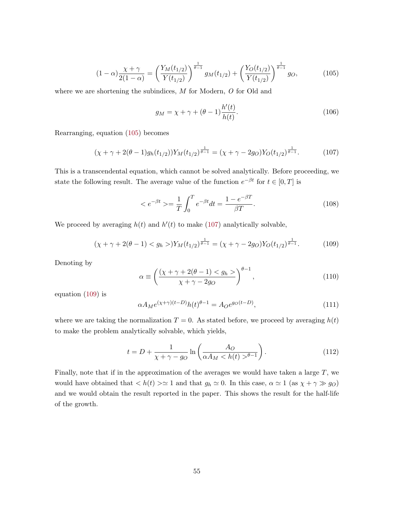$$
(1 - \alpha) \frac{\chi + \gamma}{2(1 - \alpha)} = \left(\frac{Y_M(t_{1/2})}{Y(t_{1/2})}\right)^{\frac{1}{\theta - 1}} g_M(t_{1/2}) + \left(\frac{Y_O(t_{1/2})}{Y(t_{1/2})}\right)^{\frac{1}{\theta - 1}} g_O,
$$
(105)

where we are shortening the subindices, M for Modern, O for Old and

$$
g_M = \chi + \gamma + (\theta - 1) \frac{h'(t)}{h(t)}.
$$
\n(106)

Rearranging, equation (105) becomes

$$
(\chi + \gamma + 2(\theta - 1)g_h(t_{1/2}))Y_M(t_{1/2})^{\frac{1}{\theta - 1}} = (\chi + \gamma - 2g_O)Y_O(t_{1/2})^{\frac{1}{\theta - 1}}.
$$
 (107)

This is a transcendental equation, which cannot be solved analytically. Before proceeding, we state the following result. The average value of the function  $e^{-\beta t}$  for  $t \in [0,T]$  is

$$
=\frac{1}{T}\int_0^T e^{-\beta t}dt = \frac{1-e^{-\beta T}}{\beta T}.
$$
 (108)

We proceed by averaging  $h(t)$  and  $h'(t)$  to make (107) analytically solvable,

$$
(\chi + \gamma + 2(\theta - 1) < g_h >) Y_M(t_{1/2})^{\frac{1}{\theta - 1}} = (\chi + \gamma - 2g_O) Y_O(t_{1/2})^{\frac{1}{\theta - 1}}.\tag{109}
$$

Denoting by

$$
\alpha \equiv \left(\frac{(\chi + \gamma + 2(\theta - 1) < g_h >)}{\chi + \gamma - 2g_O}\right)^{\theta - 1},\tag{110}
$$

equation (109) is

$$
\alpha A_M e^{(\chi+\gamma)(t-D)} h(t)^{\theta-1} = A_O e^{g_O(t-D)},\tag{111}
$$

where we are taking the normalization  $T = 0$ . As stated before, we proceed by averaging  $h(t)$ to make the problem analytically solvable, which yields,

$$
t = D + \frac{1}{\chi + \gamma - g_O} \ln \left( \frac{A_O}{\alpha A_M < h(t) >^{\theta - 1}} \right). \tag{112}
$$

Finally, note that if in the approximation of the averages we would have taken a large  $T$ , we would have obtained that  $\langle h(t) \rangle \simeq 1$  and that  $g_h \simeq 0$ . In this case,  $\alpha \simeq 1$  (as  $\chi + \gamma \gg g_O$ ) and we would obtain the result reported in the paper. This shows the result for the half-life of the growth.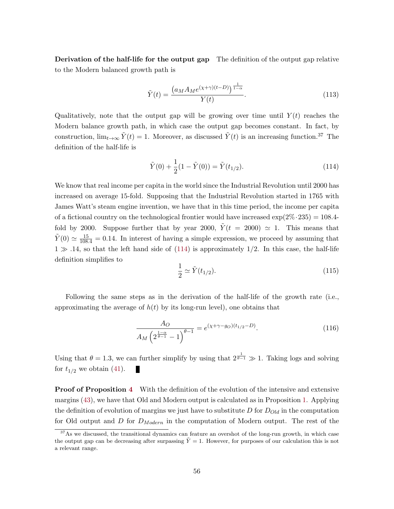Derivation of the half-life for the output gap The definition of the output gap relative to the Modern balanced growth path is

$$
\tilde{Y}(t) = \frac{\left(a_M A_M e^{(\chi + \gamma)(t - D)}\right)^{\frac{1}{1 - \alpha}}}{Y(t)}.
$$
\n(113)

Qualitatively, note that the output gap will be growing over time until  $Y(t)$  reaches the Modern balance growth path, in which case the output gap becomes constant. In fact, by construction,  $\lim_{t\to\infty} \tilde{Y}(t) = 1$ . Moreover, as discussed  $\tilde{Y}(t)$  is an increasing function.<sup>37</sup> The definition of the half-life is

$$
\tilde{Y}(0) + \frac{1}{2}(1 - \tilde{Y}(0)) = \tilde{Y}(t_{1/2}).
$$
\n(114)

We know that real income per capita in the world since the Industrial Revolution until 2000 has increased on average 15-fold. Supposing that the Industrial Revolution started in 1765 with James Watt's steam engine invention, we have that in this time period, the income per capita of a fictional country on the technological frontier would have increased  $\exp(2\% \cdot 235) = 108.4$ fold by 2000. Suppose further that by year 2000,  $\dot{Y}(t = 2000) \approx 1$ . This means that  $\tilde{Y}(0) \simeq \frac{15}{108.4} = 0.14$ . In interest of having a simple expression, we proceed by assuming that  $1 \gg .14$ , so that the left hand side of (114) is approximately 1/2. In this case, the half-life definition simplifies to

$$
\frac{1}{2} \simeq \tilde{Y}(t_{1/2}).
$$
\n(115)

Following the same steps as in the derivation of the half-life of the growth rate (i.e., approximating the average of  $h(t)$  by its long-run level), one obtains that

$$
\frac{A_O}{A_M \left(2^{\frac{1-\alpha}{\theta-1}} - 1\right)^{\theta-1}} = e^{(\chi + \gamma - g_O)(t_{1/2} - D)}.
$$
\n(116)

Using that  $\theta = 1.3$ , we can further simplify by using that  $2^{\frac{1}{\theta-1}} \gg 1$ . Taking logs and solving for  $t_{1/2}$  we obtain [\(41\)](#page-23-0).

**Proof of Proposition [4](#page-24-0)** With the definition of the evolution of the intensive and extensive margins [\(43\)](#page-24-0), we have that Old and Modern output is calculated as in Proposition [1.](#page-21-0) Applying the definition of evolution of margins we just have to substitute  $D$  for  $D_{Old}$  in the computation for Old output and  $D$  for  $D_{Modern}$  in the computation of Modern output. The rest of the

<sup>&</sup>lt;sup>37</sup>As we discussed, the transitional dynamics can feature an overshot of the long-run growth, in which case the output gap can be decreasing after surpassing  $\tilde{Y} = 1$ . However, for purposes of our calculation this is not a relevant range.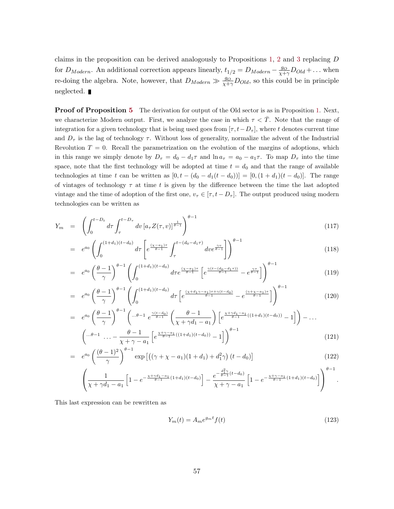claims in the proposition can be derived analogously to Propositions [1,](#page-21-0) [2](#page-22-0) and [3](#page-23-0) replacing D for  $D_{Modern}$ . An additional correction appears linearly,  $t_{1/2} = D_{Modern} - \frac{g_O}{\chi + \gamma} D_{Old} + \dots$  when re-doing the algebra. Note, however, that  $D_{Modern} \gg \frac{g_O}{\chi + \gamma} D_{Old}$ , so this could be in principle neglected.

**Proof of Proposition [5](#page-46-0)** The derivation for output of the Old sector is as in Proposition [1.](#page-21-0) Next, we characterize Modern output. First, we analyze the case in which  $\tau < \overline{T}$ . Note that the range of integration for a given technology that is being used goes from  $[\tau, t - D_{\tau}]$ , where t denotes current time and  $D_{\tau}$  is the lag of technology  $\tau$ . Without loss of generality, normalize the advent of the Industrial Revolution  $T = 0$ . Recall the parametrization on the evolution of the margins of adoptions, which in this range we simply denote by  $D_{\tau} = d_0 - d_1 \tau$  and  $\ln a_{\tau} = a_0 - a_1 \tau$ . To map  $D_{\tau}$  into the time space, note that the first technology will be adopted at time  $t = d_0$  and that the range of available technologies at time t can be written as  $[0, t - (d_0 - d_1(t - d_0))] = [0, (1 + d_1)(t - d_0)].$  The range of vintages of technology  $\tau$  at time t is given by the difference between the time the last adopted vintage and the time of adoption of the first one,  $v_{\tau} \in [\tau, t - D_{\tau}]$ . The output produced using modern technologies can be written as

$$
Y_m = \left( \int_0^{t - D_t} d\tau \int_\tau^{t - D_\tau} dv \left[ a_\tau Z(\tau, v) \right]_{\theta=1}^{\theta=1} \right)^{\theta=1}
$$
\n(117)

$$
= e^{a_0} \left( \int_0^{(1+d_1)(t-d_0)} d\tau \left[ e^{\frac{(\chi - a_1)\tau}{\theta - 1}} \int_\tau^{t - (d_0 - d_1\tau)} d\tau e^{\frac{\gamma v}{\theta - 1}} \right] \right)^{\theta - 1}
$$
(118)

$$
= e^{a_0} \left(\frac{\theta - 1}{\gamma}\right)^{\theta - 1} \left(\int_0^{(1+d_1)(t-d_0)} d\tau e^{\frac{(\chi - a_1)\tau}{\theta - 1}} \left[e^{\frac{\gamma (t - (d_0 - d_1 \tau))}{\theta - 1}} - e^{\frac{\gamma \tau}{\theta - 1}}\right]\right)^{\theta - 1}
$$
(119)

$$
= e^{a_0} \left(\frac{\theta - 1}{\gamma}\right)^{\theta - 1} \left(\int_0^{(1+d_1)(t-d_0)} d\tau \left[e^{\frac{(x+d_1\gamma - a_1)\tau + \gamma(t-d_0)}{\theta - 1}} - e^{\frac{(\gamma + x - a_1)\tau}{\theta - 1}}\right]\right)^{\theta - 1}
$$
(120)

$$
= e^{a_0} \left(\frac{\theta - 1}{\gamma}\right)^{\theta - 1} \left(\cdots^{\theta - 1} e^{\frac{\gamma(t - d_0)}{\theta - 1}} \left(\frac{\theta - 1}{\chi + \gamma d_1 - a_1}\right) \left[e^{\frac{\chi + \gamma d_1 - a_1}{\theta - 1}((1 + d_1)(t - d_0))} - 1\right]\right) - \cdots
$$

$$
\left(\cdots^{\theta - 1} \cdots - \frac{\theta - 1}{\chi + \gamma - a_1} \left[e^{\frac{\chi + \gamma - a_1}{\theta - 1}((1 + d_1)(t - d_0))} - 1\right]\right)^{\theta - 1}
$$
(121)

$$
= e^{a_0} \left( \frac{(\theta - 1)^2}{\gamma} \right)^{\theta - 1} \exp \left[ \left( (\gamma + \chi - a_1)(1 + d_1) + d_1^2 \gamma \right) (t - d_0) \right] \tag{122}
$$

$$
\left(\frac{1}{\chi+\gamma d_1-a_1}\left[1-e^{-\frac{\chi+\gamma d_1-a_1}{\theta-1}(1+d_1)(t-d_0)}\right]-\frac{e^{-\frac{d_1^2\gamma}{\theta-1}(t-d_0)}}{\chi+\gamma-a_1}\left[1-e^{-\frac{\chi+\gamma-a_1}{\theta-1}(1+d_1)(t-d_0)}\right]\right)^{\theta-1}.
$$

This last expression can be rewritten as

$$
Y_m(t) = A_m e^{g_m t} f(t)
$$
\n(123)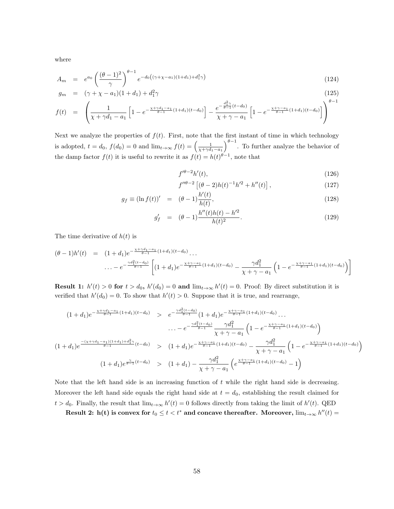<span id="page-59-0"></span>where

$$
A_m = e^{a_0} \left( \frac{(\theta - 1)^2}{\gamma} \right)^{\theta - 1} e^{-d_0 \left( (\gamma + \chi - a_1)(1 + d_1) + d_1^2 \gamma \right)} \tag{124}
$$

$$
g_m = (\gamma + \chi - a_1)(1 + d_1) + d_1^2 \gamma \tag{125}
$$

$$
f(t) = \left(\frac{1}{\chi + \gamma d_1 - a_1} \left[1 - e^{-\frac{\chi + \gamma d_1 - a_1}{\theta - 1}(1 + d_1)(t - d_0)}\right] - \frac{e^{-\frac{d_1^2 \gamma}{\theta - 1}(t - d_0)}}{\chi + \gamma - a_1} \left[1 - e^{-\frac{\chi + \gamma - a_1}{\theta - 1}(1 + d_1)(t - d_0)}\right]\right)^{\theta - 1}
$$

Next we analyze the properties of  $f(t)$ . First, note that the first instant of time in which technology is adopted,  $t = d_0$ ,  $f(d_0) = 0$  and  $\lim_{t\to\infty} f(t) = \left(\frac{1}{\chi + \gamma d_1 - a_1}\right)^{\theta - 1}$ . To further analyze the behavior of the damp factor  $f(t)$  it is useful to rewrite it as  $f(t) = h(t)^{\theta-1}$ , note that

$$
f'^{\theta - 2}h'(t),\tag{126}
$$

$$
f''^{\theta-2} \left[ (\theta - 2)h(t)^{-1}h'^2 + h''(t) \right], \tag{127}
$$

$$
g_f \equiv (\ln f(t))' = (\theta - 1) \frac{h'(t)}{h(t)},\tag{128}
$$

$$
g'_{f} = (\theta - 1) \frac{h''(t)h(t) - h'^2}{h(t)^2}.
$$
\n(129)

The time derivative of  $h(t)$  is

$$
(\theta - 1)h'(t) = (1 + d_1)e^{-\frac{\chi + \gamma d_1 - a_1}{\theta - 1}(1 + d_1)(t - d_0)} \dots
$$
  

$$
\dots - e^{-\frac{\gamma d_1^2(t - d_0)}{\theta - 1}} \left[ (1 + d_1)e^{-\frac{\chi + \gamma - a_1}{\theta - 1}(1 + d_1)(t - d_0)} - \frac{\gamma d_1^2}{\chi + \gamma - a_1} \left( 1 - e^{-\frac{\chi + \gamma - a_1}{\theta - 1}(1 + d_1)(t - d_0)} \right) \right]
$$

**Result 1:**  $h'(t) > 0$  for  $t > d_0$ ,  $h'(d_0) = 0$  and  $\lim_{t\to\infty} h'(t) = 0$ . Proof: By direct substitution it is verified that  $h'(d_0) = 0$ . To show that  $h'(t) > 0$ . Suppose that it is true, and rearrange,

$$
(1+d_1)e^{-\frac{\chi+\gamma d_1-a_1}{\theta-1}(1+d_1)(t-d_0)} > e^{-\frac{\gamma d_1^2(t-d_0)}{\theta-1}}(1+d_1)e^{-\frac{\chi+\gamma-a_1}{\theta-1}(1+d_1)(t-d_0)}\dots
$$
  

$$
\dots - e^{-\frac{\gamma d_1^2(t-d_0)}{\theta-1}}\frac{\gamma d_1^2}{\chi+\gamma-a_1}\left(1-e^{-\frac{\chi+\gamma-a_1}{\theta-1}(1+d_1)(t-d_0)}\right)
$$
  

$$
(1+d_1)e^{\frac{-(\chi+\gamma d_1-a_1)(1+d_1)+d_1^2\gamma}{\theta-1}(t-d_0)} > (1+d_1)e^{-\frac{\chi+\gamma-a_1}{\theta-1}(1+d_1)(t-d_0)} - \frac{\gamma d_1^2}{\chi+\gamma-a_1}\left(1-e^{-\frac{\chi+\gamma-a_1}{\theta-1}(1+d_1)(t-d_0)}\right)
$$
  

$$
(1+d_1)e^{\frac{\gamma}{\theta-1}(t-d_0)} > (1+d_1) - \frac{\gamma d_1^2}{\chi+\gamma-a_1}\left(e^{\frac{\chi+\gamma-a_1}{\theta-1}(1+d_1)(t-d_0)}-1\right)
$$

Note that the left hand side is an increasing function of  $t$  while the right hand side is decreasing. Moreover the left hand side equals the right hand side at  $t = d_0$ , establishing the result claimed for  $t > d_0$ . Finally, the result that  $\lim_{t\to\infty} h'(t) = 0$  follows directly from taking the limit of  $h'(t)$ . QED

Result 2: h(t) is convex for  $t_0 \leq t < t^*$  and concave thereafter. Moreover,  $\lim_{t\to\infty} h''(t) =$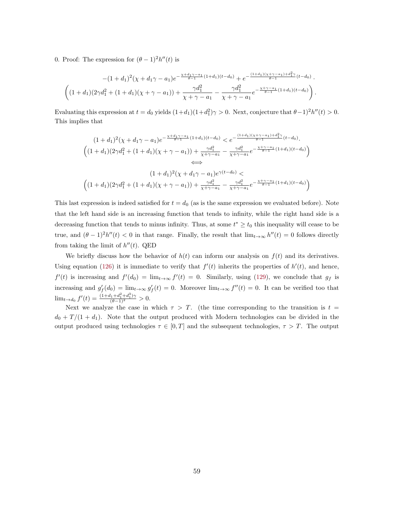0. Proof: The expression for  $(\theta - 1)^2 h''(t)$  is

$$
-(1+d_1)^2(\chi+d_1\gamma-a_1)e^{-\frac{\chi+d_1\gamma-a_1}{\theta-1}(1+d_1)(t-d_0)}+e^{-\frac{(1+d_1)(\chi+\gamma-a_1)+d_1^2\gamma}{\theta-1}(t-d_0)}.
$$

$$
\left((1+d_1)(2\gamma d_1^2+(1+d_1)(\chi+\gamma-a_1))+\frac{\gamma d_1^2}{\chi+\gamma-a_1}-\frac{\gamma d_1^2}{\chi+\gamma-a_1}e^{-\frac{\chi+\gamma-a_1}{\theta-1}(1+d_1)(t-d_0)}\right).
$$

Evaluating this expression at  $t = d_0$  yields  $(1+d_1)(1+d_1^2)\gamma > 0$ . Next, conjecture that  $\theta - 1^2 h''(t) > 0$ . This implies that

$$
(1+d_1)^2(\chi+d_1\gamma-a_1)e^{-\frac{\chi+d_1\gamma-a_1}{\theta-1}(1+d_1)(t-d_0)} < e^{-\frac{(1+d_1)(\chi+\gamma-a_1)+d_1^2\gamma}{\theta-1}(t-d_0)}.
$$
  

$$
\left((1+d_1)(2\gamma d_1^2 + (1+d_1)(\chi+\gamma-a_1)) + \frac{\gamma d_1^2}{\chi+\gamma-a_1} - \frac{\gamma d_1^2}{\chi+\gamma-a_1}e^{-\frac{\chi+\gamma-a_1}{\theta-1}(1+d_1)(t-d_0)}\right)
$$
  

$$
\iff (1+d_1)^2(\chi+d_1\gamma-a_1)e^{\gamma(t-d_0)} <
$$
  

$$
\left((1+d_1)(2\gamma d_1^2 + (1+d_1)(\chi+\gamma-a_1)) + \frac{\gamma d_1^2}{\chi+\gamma-a_1} - \frac{\gamma d_1^2}{\chi+\gamma-a_1}e^{-\frac{\chi+\gamma-a_1}{\theta-1}(1+d_1)(t-d_0)}\right)
$$

This last expression is indeed satisfied for  $t = d_0$  (as is the same expression we evaluated before). Note that the left hand side is an increasing function that tends to infinity, while the right hand side is a decreasing function that tends to minus infinity. Thus, at some  $t^* \geq t_0$  this inequality will cease to be true, and  $(\theta - 1)^2 h''(t) < 0$  in that range. Finally, the result that  $\lim_{t\to\infty} h''(t) = 0$  follows directly from taking the limit of  $h''(t)$ . QED

We briefly discuss how the behavior of  $h(t)$  can inform our analysis on  $f(t)$  and its derivatives. Using equation [\(126\)](#page-59-0) it is immediate to verify that  $f'(t)$  inherits the properties of  $h'(t)$ , and hence,  $f'(t)$  is increasing and  $f'(d_0) = \lim_{t\to\infty} f'(t) = 0$ . Similarly, using [\(129\)](#page-59-0), we conclude that  $g_f$  is increasing and  $g'_f(d_0) = \lim_{t\to\infty} g'_f(t) = 0$ . Moreover  $\lim_{t\to\infty} f''(t) = 0$ . It can be verified too that  $\lim_{t \to d_0} f'(t) = \frac{(1+d_1+d_1^2+d_1^3)\gamma}{(\theta-1)^2} > 0.$ 

Next we analyze the case in which  $\tau > T$ . (the time corresponding to the transition is  $t =$  $d_0 + T/(1 + d_1)$ . Note that the output produced with Modern technologies can be divided in the output produced using technologies  $\tau \in [0, T]$  and the subsequent technologies,  $\tau > T$ . The output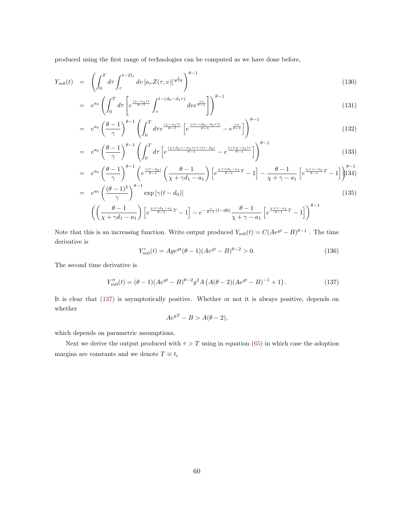<span id="page-61-0"></span>produced using the first range of technologies can be computed as we have done before,

$$
Y_{m0}(t) = \left( \int_0^T d\tau \int_\tau^{t-D_\tau} dv \left[ a_\tau Z(\tau, v) \right]^{\frac{1}{\theta-1}} \right)^{\theta-1} \tag{130}
$$

$$
= e^{a_0} \left( \int_0^T d\tau \left[ e^{\frac{(\chi - a_1)\tau}{\theta - 1}} \int_\tau^{t - (d_0 - d_1 \tau)} d\tau e^{\frac{\gamma v}{\theta - 1}} \right] \right)^{\theta - 1}
$$
\n
$$
(131)
$$

$$
= e^{a_0} \left(\frac{\theta - 1}{\gamma}\right)^{\theta - 1} \left(\int_0^T d\tau e^{\frac{(\chi - a_1)\tau}{\theta - 1}} \left[e^{\frac{\gamma (t - (d_0 - d_1 \tau))}{\theta - 1}} - e^{\frac{\gamma \tau}{\theta - 1}}\right]\right)^{\theta - 1}
$$
\n
$$
(132)
$$

$$
= e^{a_0} \left(\frac{\theta - 1}{\gamma}\right)^{\theta - 1} \left(\int_0^T d\tau \left[e^{\frac{(x + d_1\gamma - a_1)\tau + \gamma(t - d_0)}{\theta - 1}} - e^{\frac{(\gamma + x - a_1)\tau}{\theta - 1}}\right]\right)^{\theta - 1}
$$
\n(133)

$$
= e^{a_0} \left(\frac{\theta - 1}{\gamma}\right)^{\theta - 1} \left(e^{\frac{\gamma(t - d_0)}{\theta - 1}} \left(\frac{\theta - 1}{\chi + \gamma d_1 - a_1}\right) \left[e^{\frac{\chi + \gamma d_1 - a_1}{\theta - 1}T} - 1\right] - \frac{\theta - 1}{\chi + \gamma - a_1} \left[e^{\frac{\chi + \gamma - a_1}{\theta - 1}T} - 1\right]\right)^{\theta - 1}
$$
\n
$$
= a_0 \left(\frac{(\theta - 1)^2}{\phi - 1}\right)^{\theta - 1} \left[ \left(\frac{(\theta - 1)^2}{\phi - 1}\right)^{\theta - 1} \left[\left(\frac{(\theta - 1)^2}{\phi - 1}\right)^{\theta - 1}\right] \left(\frac{(\theta - 1)^2}{\phi - 1}\right] \tag{137}
$$

$$
= e^{a_0} \left( \frac{\omega - 1}{\gamma} \right) \exp \left[ \gamma (t - d_0) \right]
$$
\n
$$
\left( \left( \frac{\theta - 1}{\chi + \gamma d_1 - a_1} \right) \left[ e^{\frac{\chi + \gamma d_1 - a_1}{\theta - 1}T} - 1 \right] - e^{-\frac{\gamma}{\theta - 1}(t - d_0)} \frac{\theta - 1}{\chi + \gamma - a_1} \left[ e^{\frac{\chi + \gamma - a_1}{\theta - 1}T} - 1 \right] \right)^{\theta - 1}
$$
\n
$$
(135)
$$

Note that this is an increasing function. Write output produced  $Y_{m0}(t) = C(Ae^{gt} - B)^{\theta-1}$ . The time derivative is

$$
Y'_{m0}(t) = Age^{gt}(\theta - 1)(Ae^{gt} - B)^{\theta - 2} > 0.
$$
\n(136)

The second time derivative is

$$
Y_{m0}''(t) = (\theta - 1)(Ae^{gt} - B)^{\theta - 2}g^2 A \left( A(\theta - 2)(Ae^{gt} - B)^{-1} + 1 \right). \tag{137}
$$

It is clear that (137) is asymptotically positive. Whether or not it is always positive, depends on whether

$$
Ae^{gT} - B > A(\theta - 2),
$$

which depends on parametric assumptions.

Next we derive the output produced with  $\tau > T$  using in equation [\(65\)](#page-50-0) in which case the adoption margins are constants and we denote  $T \equiv t_i$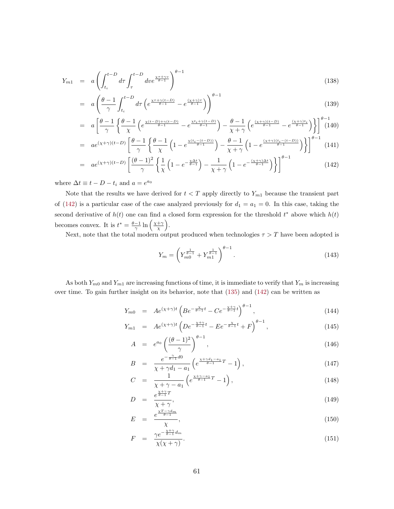<span id="page-62-0"></span>
$$
Y_{m1} = a \left( \int_{t_i}^{t-D} d\tau \int_{\tau}^{t-D} d\nu e^{\frac{\chi_{\tau+\gamma v}}{\theta - 1}} \right)^{\theta - 1}
$$
\n(138)

$$
= a \left( \frac{\theta - 1}{\gamma} \int_{t_i}^{t - D} d\tau \left( e^{\frac{\chi \tau + \gamma (t - D)}{\theta - 1}} - e^{\frac{(\chi + \gamma)\tau}{\theta - 1}} \right) \right)^{\theta - 1}
$$
\n
$$
(139)
$$

$$
= a \left[ \frac{\theta - 1}{\gamma} \left\{ \frac{\theta - 1}{\chi} \left( e^{\frac{\chi(t - D) + \gamma(t - D)}{\theta - 1}} - e^{\frac{\chi t_i + \gamma(t - D)}{\theta - 1}} \right) - \frac{\theta - 1}{\chi + \gamma} \left( e^{\frac{(\chi + \gamma)(t - D)}{\theta - 1}} - e^{\frac{(\chi + \gamma)t_i}{\theta - 1}} \right) \right\} \right]^{ \theta - 1} (140)
$$

$$
= a e^{(\chi+\gamma)(t-D)} \left[ \frac{\theta-1}{\gamma} \left\{ \frac{\theta-1}{\chi} \left( 1 - e^{\frac{\chi(t_i - (t-D))}{\theta-1}} \right) - \frac{\theta-1}{\chi+\gamma} \left( 1 - e^{\frac{(\chi+\gamma)(t_i - (t-D))}{\theta-1}} \right) \right\} \right]^{\theta-1} (141)
$$

$$
= a e^{(\chi+\gamma)(t-D)} \left[ \frac{(\theta-1)^2}{\gamma} \left\{ \frac{1}{\chi} \left( 1 - e^{-\frac{\chi \Delta t}{\theta-1}} \right) - \frac{1}{\chi+\gamma} \left( 1 - e^{-\frac{(\chi+\gamma)\Delta t}{\theta-1}} \right) \right\} \right]^{\theta-1}
$$
(142)

where  $\Delta t \equiv t - D - t_i$  and  $a = e^{a_0}$ 

Note that the results we have derived for  $t < T$  apply directly to  $Y_{m1}$  because the transient part of (142) is a particular case of the case analyzed previously for  $d_1 = a_1 = 0$ . In this case, taking the second derivative of  $h(t)$  one can find a closed form expression for the threshold  $t^*$  above which  $h(t)$ becomes convex. It is  $t^* = \frac{\theta - 1}{\gamma} \ln \left( \frac{\chi + \gamma}{\chi} \right)$ .

Next, note that the total modern output produced when technologies  $\tau > T$  have been adopted is

$$
Y_m = \left(Y_{m0}^{\frac{1}{\theta - 1}} + Y_{m1}^{\frac{1}{\theta - 1}}\right)^{\theta - 1}.
$$
\n(143)

As both  $Y_{m0}$  and  $Y_{m1}$  are increasing functions of time, it is immediate to verify that  $Y_m$  is increasing over time. To gain further insight on its behavior, note that [\(135\)](#page-61-0) and (142) can be written as

$$
Y_{m0} = Ae^{(\chi+\gamma)t} \left( Be^{-\frac{\chi}{\theta-1}t} - Ce^{-\frac{\chi+\gamma}{\theta-1}t} \right)^{\theta-1}, \qquad (144)
$$

$$
Y_{m1} = Ae^{(\chi+\gamma)t} \left( De^{-\frac{\chi+\gamma}{\theta-1}t} - Ee^{-\frac{\chi}{\theta-1}t} + F \right)^{\theta-1}, \tag{145}
$$

$$
A = e^{a_0} \left(\frac{(\theta - 1)^2}{\gamma}\right)^{\theta - 1}, \tag{146}
$$

$$
B = \frac{e^{-\frac{\gamma}{\theta - 1}} d0}{\chi + \gamma d_1 - a_1} \left( e^{\frac{\chi + \gamma d_1 - a_1}{\theta - 1} T} - 1 \right),\tag{147}
$$

$$
C = \frac{1}{\chi + \gamma - a_1} \left( e^{\frac{\chi + \gamma - a_1}{\theta - 1}T} - 1 \right),\tag{148}
$$

$$
D = \frac{e^{\frac{\chi^2 + \gamma}{\theta - 1}T}}{\chi + \gamma},\tag{149}
$$

$$
E = \frac{e^{\frac{\chi T - \gamma d_m}{\theta - 1}}}{\chi},\tag{150}
$$

$$
F = \frac{\gamma e^{-\frac{\chi + \gamma}{\theta - 1} d_m}}{\chi(\chi + \gamma)}.
$$
\n(151)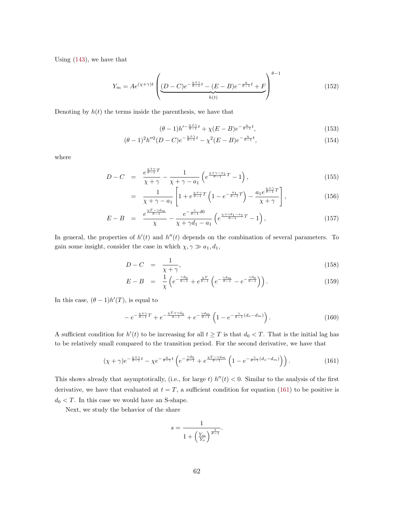Using [\(143\)](#page-62-0), we have that

$$
Y_m = Ae^{(\chi + \gamma)t} \left( \underbrace{(D - C)e^{-\frac{\chi + \gamma}{\theta - 1}t} - (E - B)e^{-\frac{\chi}{\theta - 1}t} + F}_{h(t)} \right)^{\theta - 1}
$$
\n(152)

Denoting by  $h(t)$  the terms inside the parenthesis, we have that

$$
(\theta - 1)h'^{-\frac{\chi + \gamma}{\theta - 1}t} + \chi(E - B)e^{-\frac{\chi}{\theta - 1}t},\tag{153}
$$

$$
(\theta - 1)^2 h''^2 (D - C) e^{-\frac{\chi + \gamma}{\theta - 1}t} - \chi^2 (E - B) e^{-\frac{\chi}{\theta - 1}t}, \tag{154}
$$

where

$$
D - C = \frac{e^{\frac{\chi + \gamma}{\theta - 1}T}}{\chi + \gamma} - \frac{1}{\chi + \gamma - a_1} \left( e^{\frac{\chi + \gamma - a_1}{\theta - 1}T} - 1 \right),\tag{155}
$$

$$
= \frac{1}{\chi + \gamma - a_1} \left[ 1 + e^{\frac{\chi + \gamma}{\theta - 1}T} \left( 1 - e^{-\frac{a_1}{\theta - 1}T} \right) - \frac{a_1 e^{\frac{\chi + \gamma}{\theta - 1}T}}{\chi + \gamma} \right],
$$
(156)

$$
E - B = \frac{e^{\frac{\chi T - \gamma d_m}{\theta - 1}}}{\chi} - \frac{e^{-\frac{\gamma}{\theta - 1}d0}}{\chi + \gamma d_1 - a_1} \left( e^{\frac{\chi + \gamma d_1 - a_1}{\theta - 1}T} - 1 \right),\tag{157}
$$

In general, the properties of  $h'(t)$  and  $h''(t)$  depends on the combination of several parameters. To gain some insight, consider the case in which  $\chi, \gamma \gg a_1, d_1$ ,

$$
D - C = \frac{1}{\chi + \gamma},\tag{158}
$$

$$
E - B = \frac{1}{\chi} \left( e^{-\frac{\gamma d_0}{\theta - 1}} + e^{\frac{\chi T}{\theta - 1}} \left( e^{-\frac{\gamma d_m}{\theta - 1}} - e^{-\frac{\gamma d_0}{\theta - 1}} \right) \right).
$$
 (159)

In this case,  $(\theta - 1)h'(T)$ , is equal to

$$
-e^{-\frac{\chi+\gamma}{\theta-1}T} + e^{-\frac{\chi T + \gamma d_0}{\theta-1}} + e^{-\frac{\gamma d_m}{\theta-1}} \left(1 - e^{-\frac{\gamma}{\theta-1}(d_o - d_m)}\right). \tag{160}
$$

A sufficient condition for  $h'(t)$  to be increasing for all  $t \geq T$  is that  $d_0 < T$ . That is the initial lag has to be relatively small compared to the transition period. For the second derivative, we have that

$$
(\chi + \gamma)e^{-\frac{\chi + \gamma}{\theta - 1}t} - \chi e^{-\frac{\chi}{\theta - 1}t} \left( e^{-\frac{\gamma d_0}{\theta - 1}} + e^{\frac{\chi T - \gamma d_m}{\theta - 1}} \left( 1 - e^{-\frac{\gamma}{\theta - 1}(d_o - d_m)} \right) \right).
$$
 (161)

This shows already that asymptotically, (i.e., for large t)  $h''(t) < 0$ . Similar to the analysis of the first derivative, we have that evaluated at  $t = T$ , a sufficient condition for equation (161) to be positive is  $d_0 < T.$  In this case we would have an S-shape.

Next, we study the behavior of the share

$$
s=\frac{1}{1+\left(\frac{Y_m}{Y_o}\right)^{\frac{1}{\theta-1}}}.
$$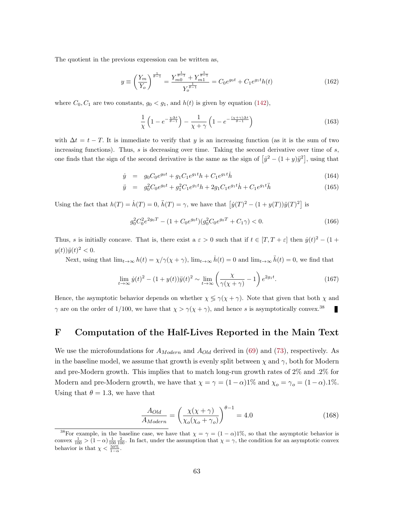<span id="page-64-0"></span>The quotient in the previous expression can be written as,

$$
y \equiv \left(\frac{Y_m}{Y_o}\right)^{\frac{1}{\theta - 1}} = \frac{Y_{m0}^{\frac{1}{\theta - 1}} + Y_{m1}^{\frac{1}{\theta - 1}}}{Y_o^{\frac{1}{\theta - 1}}} = C_0 e^{g_0 t} + C_1 e^{g_1 t} h(t)
$$
\n(162)

where  $C_0, C_1$  are two constants,  $g_0 < g_1$ , and  $h(t)$  is given by equation [\(142\)](#page-62-0),

$$
\frac{1}{\chi} \left( 1 - e^{-\frac{\chi \Delta t}{\theta - 1}} \right) - \frac{1}{\chi + \gamma} \left( 1 - e^{-\frac{(\chi + \gamma)\Delta t}{\theta - 1}} \right) \tag{163}
$$

with  $\Delta t = t - T$ . It is immediate to verify that y is an increasing function (as it is the sum of two increasing functions). Thus,  $s$  is decreasing over time. Taking the second derivative over time of  $s$ , one finds that the sign of the second derivative is the same as the sign of  $[y^2 - (1 + y)y^2]$ , using that

$$
\dot{y} = g_0 C_0 e^{g_0 t} + g_1 C_1 e^{g_1 t} h + C_1 e^{g_1 t} \dot{h}
$$
\n(164)

$$
\ddot{y} = g_0^2 C_0 e^{g_0 t} + g_1^2 C_1 e^{g_1 t} h + 2g_1 C_1 e^{g_1 t} \dot{h} + C_1 e^{g_1 t} \ddot{h}
$$
\n(165)

Using the fact that  $h(T) = \dot{h}(T) = 0$ ,  $\ddot{h}(T) = \gamma$ , we have that  $\left[\dot{y}(T)^2 - (1 + y(T))\ddot{y}(T)^2\right]$  is

$$
g_0^2 C_0^2 e^{2g_0 T} - (1 + C_0 e^{g_0 t}) (g_0^2 C_0 e^{g_0 T} + C_1 \gamma) < 0. \tag{166}
$$

Thus, s is initially concave. That is, there exist a  $\varepsilon > 0$  such that if  $t \in [T, T + \varepsilon]$  then  $\dot{y}(t)^2 - (1 +$  $y(t))\ddot{y}(t)^{2} < 0.$ 

Next, using that  $\lim_{t\to\infty} h(t) = \chi/\gamma(\chi + \gamma)$ ,  $\lim_{t\to\infty} \dot{h}(t) = 0$  and  $\lim_{t\to\infty} \ddot{h}(t) = 0$ , we find that

$$
\lim_{t \to \infty} \dot{y}(t)^2 - (1 + y(t))\ddot{y}(t)^2 \sim \lim_{t \to \infty} \left(\frac{\chi}{\gamma(\chi + \gamma)} - 1\right) e^{2g_1 t}.
$$
 (167)

Hence, the asymptotic behavior depends on whether  $\chi \leq \gamma(\chi + \gamma)$ . Note that given that both  $\chi$  and  $\gamma$  are on the order of 1/100, we have that  $\chi > \gamma(\chi + \gamma)$ , and hence s is asymptotically convex.<sup>38</sup> п

## F Computation of the Half-Lives Reported in the Main Text

We use the microfoundations for  $A_{Modern}$  and  $A_{Old}$  derived in [\(69\)](#page-50-0) and [\(73\)](#page-51-0), respectively. As in the baseline model, we assume that growth is evenly split between  $\chi$  and  $\gamma$ , both for Modern and pre-Modern growth. This implies that to match long-run growth rates of 2% and .2% for Modern and pre-Modern growth, we have that  $\chi = \gamma = (1 - \alpha)1\%$  and  $\chi_o = \gamma_o = (1 - \alpha)1\%$ . Using that  $\theta = 1.3$ , we have that

$$
\frac{A_{Old}}{A_{Modern}} = \left(\frac{\chi(\chi + \gamma)}{\chi_o(\chi_o + \gamma_o)}\right)^{\theta - 1} = 4.0\tag{168}
$$

<sup>&</sup>lt;sup>38</sup>For example, in the baseline case, we have that  $\chi = \gamma = (1 - \alpha)1\%$ , so that the asymptotic behavior is convex  $\frac{1}{100}$  >  $(1-\alpha)\frac{1}{100}\frac{2}{100}$ . In fact, under the assumption that  $\chi = \gamma$ , the condition for an asymptotic convex behavior is that  $\chi < \frac{50\%}{1-\alpha}$ .